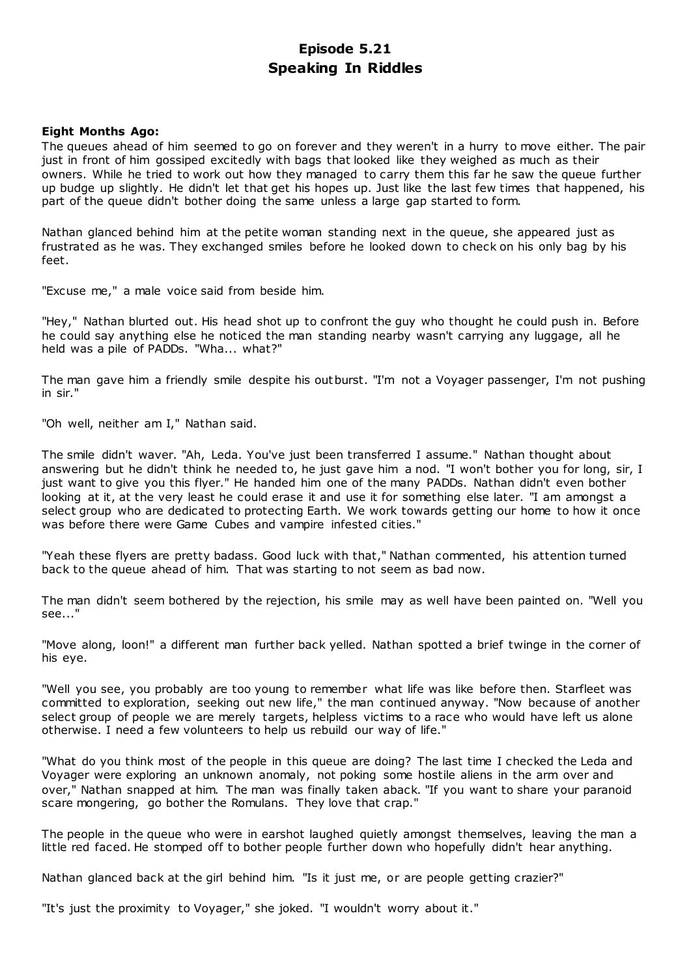# **Episode 5.21 Speaking In Riddles**

### **Eight Months Ago:**

The queues ahead of him seemed to go on forever and they weren't in a hurry to move either. The pair just in front of him gossiped excitedly with bags that looked like they weighed as much as their owners. While he tried to work out how they managed to carry them this far he saw the queue further up budge up slightly. He didn't let that get his hopes up. Just like the last few times that happened, his part of the queue didn't bother doing the same unless a large gap started to form.

Nathan glanced behind him at the petite woman standing next in the queue, she appeared just as frustrated as he was. They exchanged smiles before he looked down to check on his only bag by his feet.

"Excuse me," a male voice said from beside him.

"Hey," Nathan blurted out. His head shot up to confront the guy who thought he could push in. Before he could say anything else he noticed the man standing nearby wasn't carrying any luggage, all he held was a pile of PADDs. "Wha... what?"

The man gave him a friendly smile despite his outburst. "I'm not a Voyager passenger, I'm not pushing in sir."

"Oh well, neither am I," Nathan said.

The smile didn't waver. "Ah, Leda. You've just been transferred I assume." Nathan thought about answering but he didn't think he needed to, he just gave him a nod. "I won't bother you for long, sir, I just want to give you this flyer." He handed him one of the many PADDs. Nathan didn't even bother looking at it, at the very least he could erase it and use it for something else later. "I am amongst a select group who are dedicated to protecting Earth. We work towards getting our home to how it once was before there were Game Cubes and vampire infested cities."

"Yeah these flyers are pretty badass. Good luck with that," Nathan commented, his attention turned back to the queue ahead of him. That was starting to not seem as bad now.

The man didn't seem bothered by the rejection, his smile may as well have been painted on. "Well you see..."

"Move along, loon!" a different man further back yelled. Nathan spotted a brief twinge in the corner of his eye.

"Well you see, you probably are too young to remember what life was like before then. Starfleet was committed to exploration, seeking out new life," the man continued anyway. "Now because of another select group of people we are merely targets, helpless victims to a race who would have left us alone otherwise. I need a few volunteers to help us rebuild our way of life."

"What do you think most of the people in this queue are doing? The last time I checked the Leda and Voyager were exploring an unknown anomaly, not poking some hostile aliens in the arm over and over," Nathan snapped at him. The man was finally taken aback. "If you want to share your paranoid scare mongering, go bother the Romulans. They love that crap."

The people in the queue who were in earshot laughed quietly amongst themselves, leaving the man a little red faced. He stomped off to bother people further down who hopefully didn't hear anything.

Nathan glanced back at the girl behind him. "Is it just me, or are people getting crazier?"

"It's just the proximity to Voyager," she joked. "I wouldn't worry about it."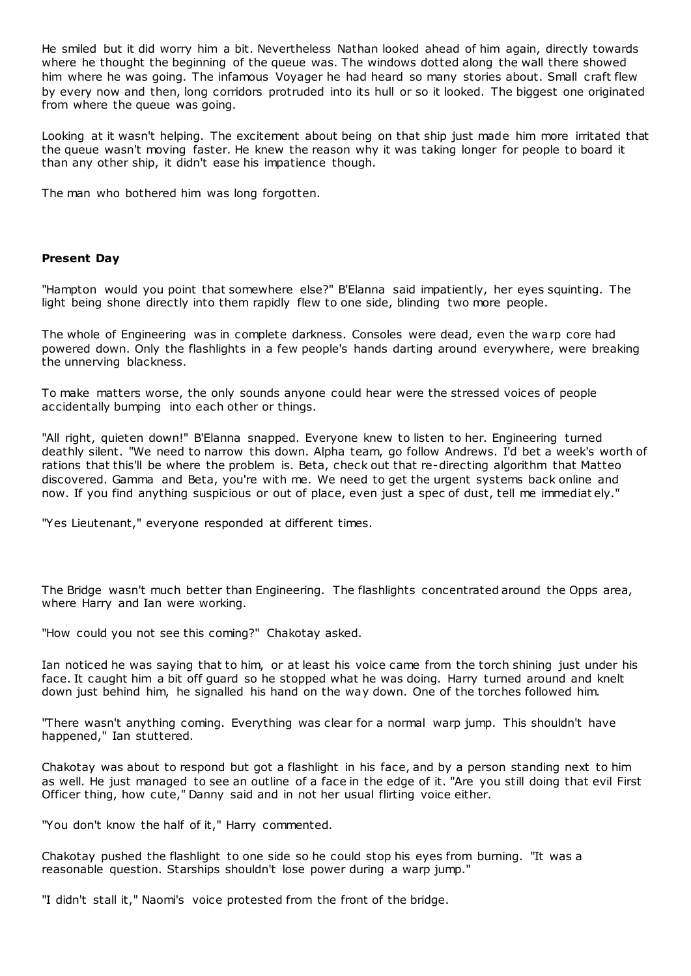He smiled but it did worry him a bit. Nevertheless Nathan looked ahead of him again, directly towards where he thought the beginning of the queue was. The windows dotted along the wall there showed him where he was going. The infamous Voyager he had heard so many stories about. Small craft flew by every now and then, long corridors protruded into its hull or so it looked. The biggest one originated from where the queue was going.

Looking at it wasn't helping. The excitement about being on that ship just made him more irritated that the queue wasn't moving faster. He knew the reason why it was taking longer for people to board it than any other ship, it didn't ease his impatience though.

The man who bothered him was long forgotten.

# **Present Day**

"Hampton would you point that somewhere else?" B'Elanna said impatiently, her eyes squinting. The light being shone directly into them rapidly flew to one side, blinding two more people.

The whole of Engineering was in complete darkness. Consoles were dead, even the warp core had powered down. Only the flashlights in a few people's hands darting around everywhere, were breaking the unnerving blackness.

To make matters worse, the only sounds anyone could hear were the stressed voices of people accidentally bumping into each other or things.

"All right, quieten down!" B'Elanna snapped. Everyone knew to listen to her. Engineering turned deathly silent. "We need to narrow this down. Alpha team, go follow Andrews. I'd bet a week's worth of rations that this'll be where the problem is. Beta, check out that re-directing algorithm that Matteo discovered. Gamma and Beta, you're with me. We need to get the urgent systems back online and now. If you find anything suspicious or out of place, even just a spec of dust, tell me immediat ely."

"Yes Lieutenant," everyone responded at different times.

The Bridge wasn't much better than Engineering. The flashlights concentrated around the Opps area, where Harry and Ian were working.

"How could you not see this coming?" Chakotay asked.

Ian noticed he was saying that to him, or at least his voice came from the torch shining just under his face. It caught him a bit off guard so he stopped what he was doing. Harry turned around and knelt down just behind him, he signalled his hand on the way down. One of the torches followed him.

"There wasn't anything coming. Everything was clear for a normal warp jump. This shouldn't have happened," Ian stuttered.

Chakotay was about to respond but got a flashlight in his face, and by a person standing next to him as well. He just managed to see an outline of a face in the edge of it. "Are you still doing that evil First Officer thing, how cute," Danny said and in not her usual flirting voice either.

"You don't know the half of it," Harry commented.

Chakotay pushed the flashlight to one side so he could stop his eyes from burning. "It was a reasonable question. Starships shouldn't lose power during a warp jump."

"I didn't stall it," Naomi's voice protested from the front of the bridge.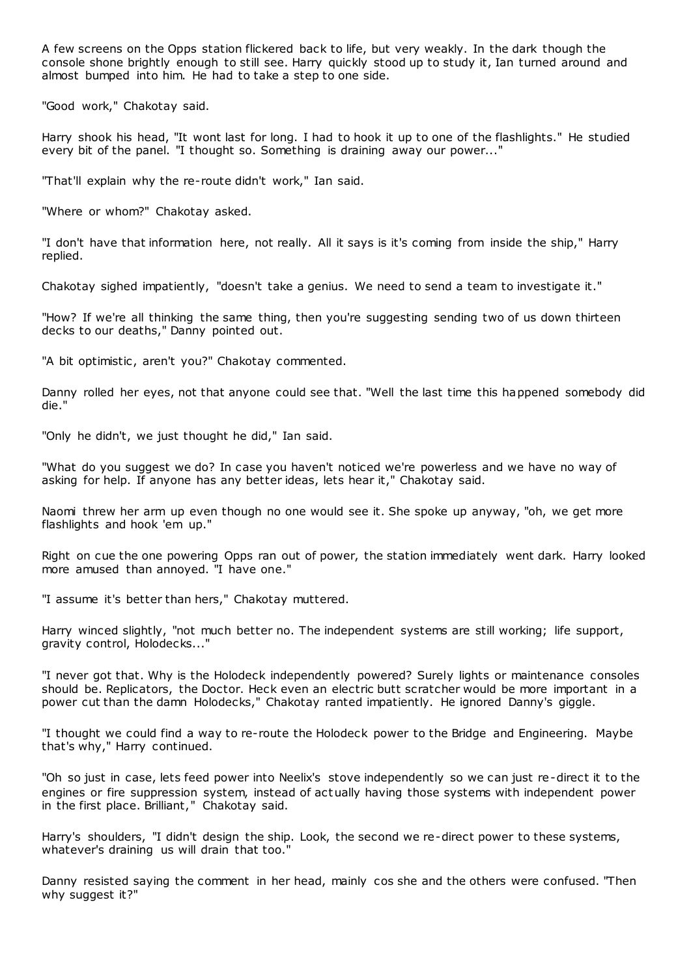A few screens on the Opps station flickered back to life, but very weakly. In the dark though the console shone brightly enough to still see. Harry quickly stood up to study it, Ian turned around and almost bumped into him. He had to take a step to one side.

"Good work," Chakotay said.

Harry shook his head, "It wont last for long. I had to hook it up to one of the flashlights." He studied every bit of the panel. "I thought so. Something is draining away our power..."

"That'll explain why the re-route didn't work," Ian said.

"Where or whom?" Chakotay asked.

"I don't have that information here, not really. All it says is it's coming from inside the ship," Harry replied.

Chakotay sighed impatiently, "doesn't take a genius. We need to send a team to investigate it."

"How? If we're all thinking the same thing, then you're suggesting sending two of us down thirteen decks to our deaths," Danny pointed out.

"A bit optimistic, aren't you?" Chakotay commented.

Danny rolled her eyes, not that anyone could see that. "Well the last time this happened somebody did die."

"Only he didn't, we just thought he did," Ian said.

"What do you suggest we do? In case you haven't noticed we're powerless and we have no way of asking for help. If anyone has any better ideas, lets hear it," Chakotay said.

Naomi threw her arm up even though no one would see it. She spoke up anyway, "oh, we get more flashlights and hook 'em up."

Right on cue the one powering Opps ran out of power, the station immediately went dark. Harry looked more amused than annoyed. "I have one."

"I assume it's better than hers," Chakotay muttered.

Harry winced slightly, "not much better no. The independent systems are still working; life support, gravity control, Holodecks..."

"I never got that. Why is the Holodeck independently powered? Surely lights or maintenance consoles should be. Replicators, the Doctor. Heck even an electric butt scratcher would be more important in a power cut than the damn Holodecks," Chakotay ranted impatiently. He ignored Danny's giggle.

"I thought we could find a way to re-route the Holodeck power to the Bridge and Engineering. Maybe that's why," Harry continued.

"Oh so just in case, lets feed power into Neelix's stove independently so we can just re-direct it to the engines or fire suppression system, instead of actually having those systems with independent power in the first place. Brilliant," Chakotay said.

Harry's shoulders, "I didn't design the ship. Look, the second we re-direct power to these systems, whatever's draining us will drain that too."

Danny resisted saying the comment in her head, mainly cos she and the others were confused. "Then why suggest it?"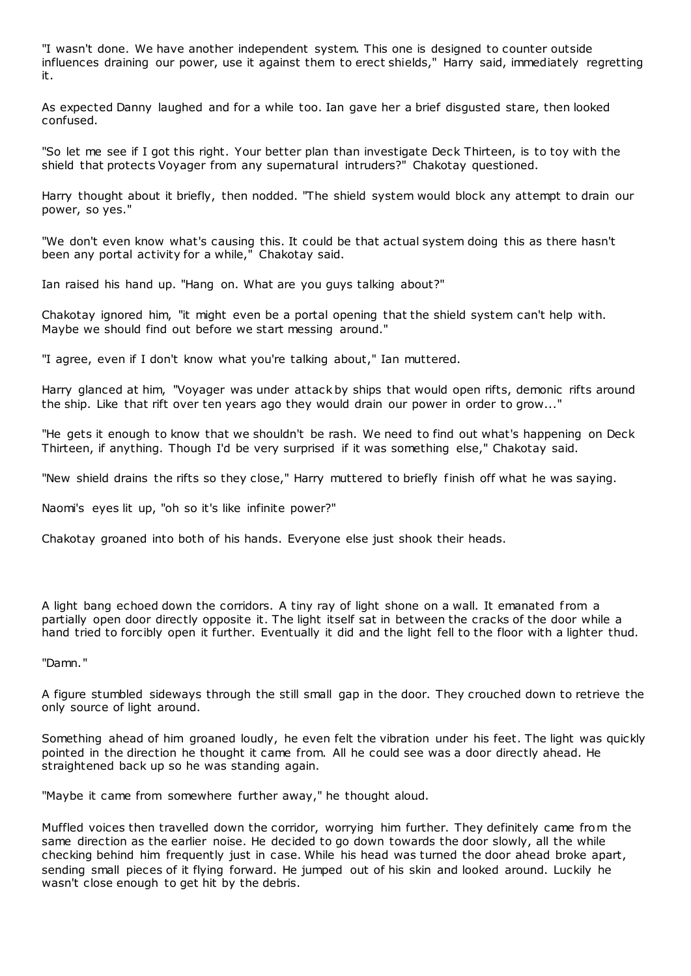"I wasn't done. We have another independent system. This one is designed to counter outside influences draining our power, use it against them to erect shields," Harry said, immediately regretting it.

As expected Danny laughed and for a while too. Ian gave her a brief disgusted stare, then looked confused.

"So let me see if I got this right. Your better plan than investigate Deck Thirteen, is to toy with the shield that protects Voyager from any supernatural intruders?" Chakotay questioned.

Harry thought about it briefly, then nodded. "The shield system would block any attempt to drain our power, so yes."

"We don't even know what's causing this. It could be that actual system doing this as there hasn't been any portal activity for a while," Chakotay said.

Ian raised his hand up. "Hang on. What are you guys talking about?"

Chakotay ignored him, "it might even be a portal opening that the shield system can't help with. Maybe we should find out before we start messing around."

"I agree, even if I don't know what you're talking about," Ian muttered.

Harry glanced at him, "Voyager was under attack by ships that would open rifts, demonic rifts around the ship. Like that rift over ten years ago they would drain our power in order to grow..."

"He gets it enough to know that we shouldn't be rash. We need to find out what's happening on Deck Thirteen, if anything. Though I'd be very surprised if it was something else," Chakotay said.

"New shield drains the rifts so they close," Harry muttered to briefly finish off what he was saying.

Naomi's eyes lit up, "oh so it's like infinite power?"

Chakotay groaned into both of his hands. Everyone else just shook their heads.

A light bang echoed down the corridors. A tiny ray of light shone on a wall. It emanated from a partially open door directly opposite it. The light itself sat in between the cracks of the door while a hand tried to forcibly open it further. Eventually it did and the light fell to the floor with a lighter thud.

"Damn."

A figure stumbled sideways through the still small gap in the door. They crouched down to retrieve the only source of light around.

Something ahead of him groaned loudly, he even felt the vibration under his feet. The light was quickly pointed in the direction he thought it came from. All he could see was a door directly ahead. He straightened back up so he was standing again.

"Maybe it came from somewhere further away," he thought aloud.

Muffled voices then travelled down the corridor, worrying him further. They definitely came from the same direction as the earlier noise. He decided to go down towards the door slowly, all the while checking behind him frequently just in case. While his head was turned the door ahead broke apart, sending small pieces of it flying forward. He jumped out of his skin and looked around. Luckily he wasn't close enough to get hit by the debris.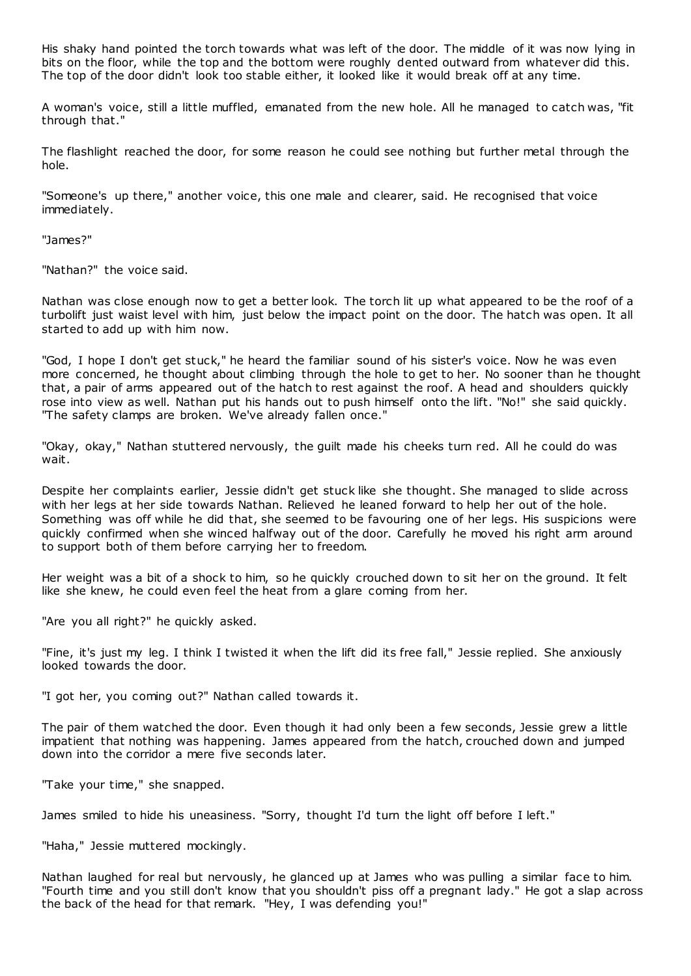His shaky hand pointed the torch towards what was left of the door. The middle of it was now lying in bits on the floor, while the top and the bottom were roughly dented outward from whatever did this. The top of the door didn't look too stable either, it looked like it would break off at any time.

A woman's voice, still a little muffled, emanated from the new hole. All he managed to catch was, "fit through that."

The flashlight reached the door, for some reason he could see nothing but further metal through the hole.

"Someone's up there," another voice, this one male and clearer, said. He recognised that voice immediately.

"James?"

"Nathan?" the voice said.

Nathan was close enough now to get a better look. The torch lit up what appeared to be the roof of a turbolift just waist level with him, just below the impact point on the door. The hatch was open. It all started to add up with him now.

"God, I hope I don't get stuck," he heard the familiar sound of his sister's voice. Now he was even more concerned, he thought about climbing through the hole to get to her. No sooner than he thought that, a pair of arms appeared out of the hatch to rest against the roof. A head and shoulders quickly rose into view as well. Nathan put his hands out to push himself onto the lift. "No!" she said quickly. "The safety clamps are broken. We've already fallen once."

"Okay, okay," Nathan stuttered nervously, the guilt made his cheeks turn red. All he could do was wait.

Despite her complaints earlier, Jessie didn't get stuck like she thought. She managed to slide across with her legs at her side towards Nathan. Relieved he leaned forward to help her out of the hole. Something was off while he did that, she seemed to be favouring one of her legs. His suspicions were quickly confirmed when she winced halfway out of the door. Carefully he moved his right arm around to support both of them before carrying her to freedom.

Her weight was a bit of a shock to him, so he quickly crouched down to sit her on the ground. It felt like she knew, he could even feel the heat from a glare coming from her.

"Are you all right?" he quickly asked.

"Fine, it's just my leg. I think I twisted it when the lift did its free fall," Jessie replied. She anxiously looked towards the door.

"I got her, you coming out?" Nathan called towards it.

The pair of them watched the door. Even though it had only been a few seconds, Jessie grew a little impatient that nothing was happening. James appeared from the hatch, crouched down and jumped down into the corridor a mere five seconds later.

"Take your time," she snapped.

James smiled to hide his uneasiness. "Sorry, thought I'd turn the light off before I left."

"Haha," Jessie muttered mockingly.

Nathan laughed for real but nervously, he glanced up at James who was pulling a similar face to him. "Fourth time and you still don't know that you shouldn't piss off a pregnant lady." He got a slap across the back of the head for that remark. "Hey, I was defending you!"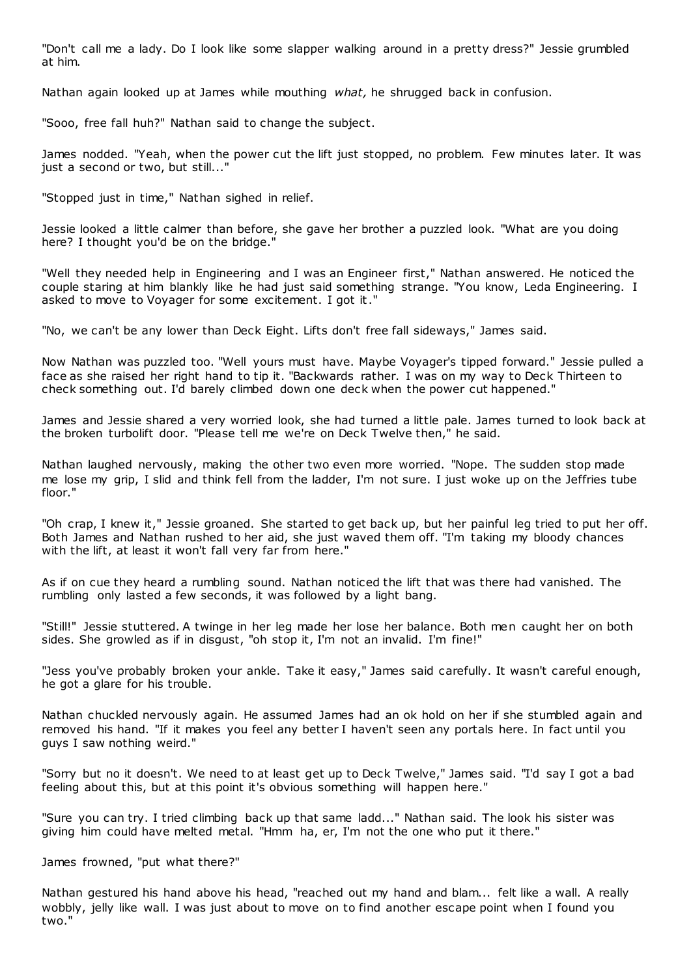"Don't call me a lady. Do I look like some slapper walking around in a pretty dress?" Jessie grumbled at him.

Nathan again looked up at James while mouthing *what,* he shrugged back in confusion.

"Sooo, free fall huh?" Nathan said to change the subject.

James nodded. "Yeah, when the power cut the lift just stopped, no problem. Few minutes later. It was just a second or two, but still..."

"Stopped just in time," Nathan sighed in relief.

Jessie looked a little calmer than before, she gave her brother a puzzled look. "What are you doing here? I thought you'd be on the bridge."

"Well they needed help in Engineering and I was an Engineer first," Nathan answered. He noticed the couple staring at him blankly like he had just said something strange. "You know, Leda Engineering. I asked to move to Voyager for some excitement. I got it."

"No, we can't be any lower than Deck Eight. Lifts don't free fall sideways," James said.

Now Nathan was puzzled too. "Well yours must have. Maybe Voyager's tipped forward." Jessie pulled a face as she raised her right hand to tip it. "Backwards rather. I was on my way to Deck Thirteen to check something out. I'd barely climbed down one deck when the power cut happened."

James and Jessie shared a very worried look, she had turned a little pale. James turned to look back at the broken turbolift door. "Please tell me we're on Deck Twelve then," he said.

Nathan laughed nervously, making the other two even more worried. "Nope. The sudden stop made me lose my grip, I slid and think fell from the ladder, I'm not sure. I just woke up on the Jeffries tube floor."

"Oh crap, I knew it," Jessie groaned. She started to get back up, but her painful leg tried to put her off. Both James and Nathan rushed to her aid, she just waved them off. "I'm taking my bloody chances with the lift, at least it won't fall very far from here."

As if on cue they heard a rumbling sound. Nathan noticed the lift that was there had vanished. The rumbling only lasted a few seconds, it was followed by a light bang.

"Still!" Jessie stuttered. A twinge in her leg made her lose her balance. Both men caught her on both sides. She growled as if in disgust, "oh stop it, I'm not an invalid. I'm fine!"

"Jess you've probably broken your ankle. Take it easy," James said carefully. It wasn't careful enough, he got a glare for his trouble.

Nathan chuckled nervously again. He assumed James had an ok hold on her if she stumbled again and removed his hand. "If it makes you feel any better I haven't seen any portals here. In fact until you guys I saw nothing weird."

"Sorry but no it doesn't. We need to at least get up to Deck Twelve," James said. "I'd say I got a bad feeling about this, but at this point it's obvious something will happen here."

"Sure you can try. I tried climbing back up that same ladd..." Nathan said. The look his sister was giving him could have melted metal. "Hmm ha, er, I'm not the one who put it there."

James frowned, "put what there?"

Nathan gestured his hand above his head, "reached out my hand and blam... felt like a wall. A really wobbly, jelly like wall. I was just about to move on to find another escape point when I found you two."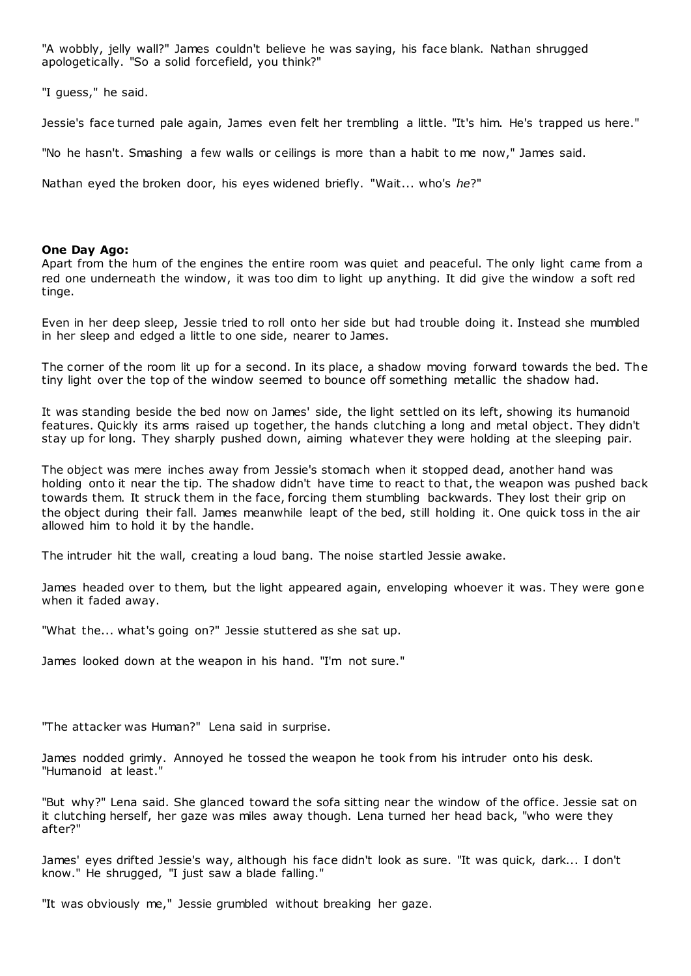"A wobbly, jelly wall?" James couldn't believe he was saying, his face blank. Nathan shrugged apologetically. "So a solid forcefield, you think?"

"I guess," he said.

Jessie's face turned pale again, James even felt her trembling a little. "It's him. He's trapped us here."

"No he hasn't. Smashing a few walls or ceilings is more than a habit to me now," James said.

Nathan eyed the broken door, his eyes widened briefly. "Wait... who's *he*?"

### **One Day Ago:**

Apart from the hum of the engines the entire room was quiet and peaceful. The only light came from a red one underneath the window, it was too dim to light up anything. It did give the window a soft red tinge.

Even in her deep sleep, Jessie tried to roll onto her side but had trouble doing it. Instead she mumbled in her sleep and edged a little to one side, nearer to James.

The corner of the room lit up for a second. In its place, a shadow moving forward towards the bed. The tiny light over the top of the window seemed to bounce off something metallic the shadow had.

It was standing beside the bed now on James' side, the light settled on its left, showing its humanoid features. Quickly its arms raised up together, the hands clutching a long and metal object. They didn't stay up for long. They sharply pushed down, aiming whatever they were holding at the sleeping pair.

The object was mere inches away from Jessie's stomach when it stopped dead, another hand was holding onto it near the tip. The shadow didn't have time to react to that, the weapon was pushed back towards them. It struck them in the face, forcing them stumbling backwards. They lost their grip on the object during their fall. James meanwhile leapt of the bed, still holding it. One quick toss in the air allowed him to hold it by the handle.

The intruder hit the wall, creating a loud bang. The noise startled Jessie awake.

James headed over to them, but the light appeared again, enveloping whoever it was. They were gone when it faded away.

"What the... what's going on?" Jessie stuttered as she sat up.

James looked down at the weapon in his hand. "I'm not sure."

"The attacker was Human?" Lena said in surprise.

James nodded grimly. Annoyed he tossed the weapon he took from his intruder onto his desk. "Humanoid at least."

"But why?" Lena said. She glanced toward the sofa sitting near the window of the office. Jessie sat on it clutching herself, her gaze was miles away though. Lena turned her head back, "who were they after?"

James' eyes drifted Jessie's way, although his face didn't look as sure. "It was quick, dark... I don't know." He shrugged, "I just saw a blade falling."

"It was obviously me," Jessie grumbled without breaking her gaze.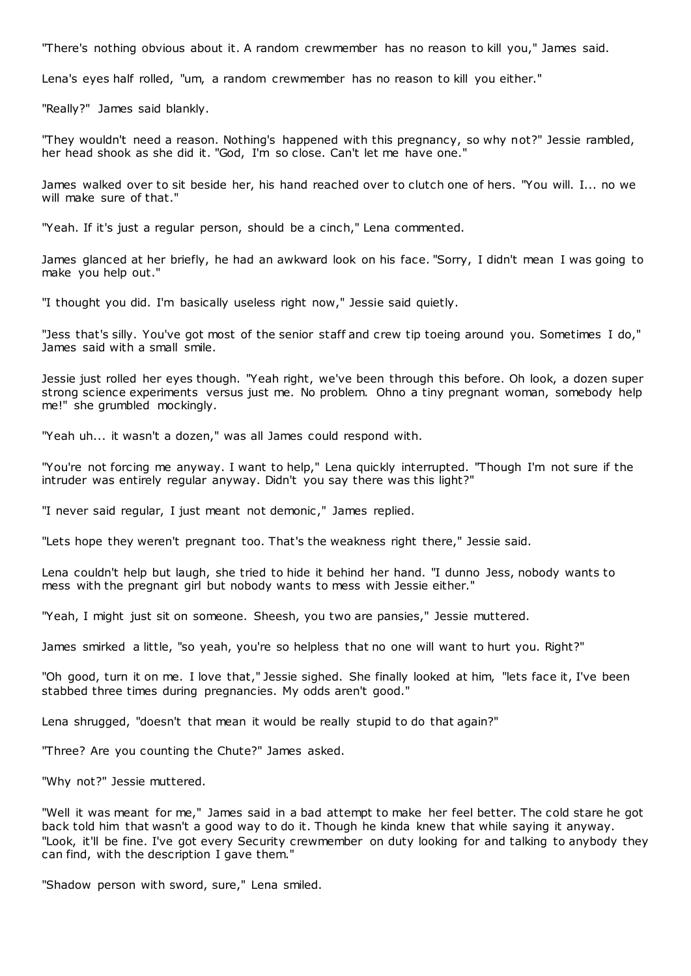"There's nothing obvious about it. A random crewmember has no reason to kill you," James said.

Lena's eyes half rolled, "um, a random crewmember has no reason to kill you either."

"Really?" James said blankly.

"They wouldn't need a reason. Nothing's happened with this pregnancy, so why not?" Jessie rambled, her head shook as she did it. "God, I'm so close. Can't let me have one."

James walked over to sit beside her, his hand reached over to clutch one of hers. "You will. I... no we will make sure of that."

"Yeah. If it's just a regular person, should be a cinch," Lena commented.

James glanced at her briefly, he had an awkward look on his face. "Sorry, I didn't mean I was going to make you help out."

"I thought you did. I'm basically useless right now," Jessie said quietly.

"Jess that's silly. You've got most of the senior staff and crew tip toeing around you. Sometimes I do," James said with a small smile.

Jessie just rolled her eyes though. "Yeah right, we've been through this before. Oh look, a dozen super strong science experiments versus just me. No problem. Ohno a tiny pregnant woman, somebody help me!" she grumbled mockingly.

"Yeah uh... it wasn't a dozen," was all James could respond with.

"You're not forcing me anyway. I want to help," Lena quickly interrupted. "Though I'm not sure if the intruder was entirely regular anyway. Didn't you say there was this light?"

"I never said regular, I just meant not demonic ," James replied.

"Lets hope they weren't pregnant too. That's the weakness right there," Jessie said.

Lena couldn't help but laugh, she tried to hide it behind her hand. "I dunno Jess, nobody wants to mess with the pregnant girl but nobody wants to mess with Jessie either."

"Yeah, I might just sit on someone. Sheesh, you two are pansies," Jessie muttered.

James smirked a little, "so yeah, you're so helpless that no one will want to hurt you. Right?"

"Oh good, turn it on me. I love that," Jessie sighed. She finally looked at him, "lets face it, I've been stabbed three times during pregnancies. My odds aren't good."

Lena shrugged, "doesn't that mean it would be really stupid to do that again?"

"Three? Are you counting the Chute?" James asked.

"Why not?" Jessie muttered.

"Well it was meant for me," James said in a bad attempt to make her feel better. The cold stare he got back told him that wasn't a good way to do it. Though he kinda knew that while saying it anyway. "Look, it'll be fine. I've got every Security crewmember on duty looking for and talking to anybody they can find, with the description I gave them."

"Shadow person with sword, sure," Lena smiled.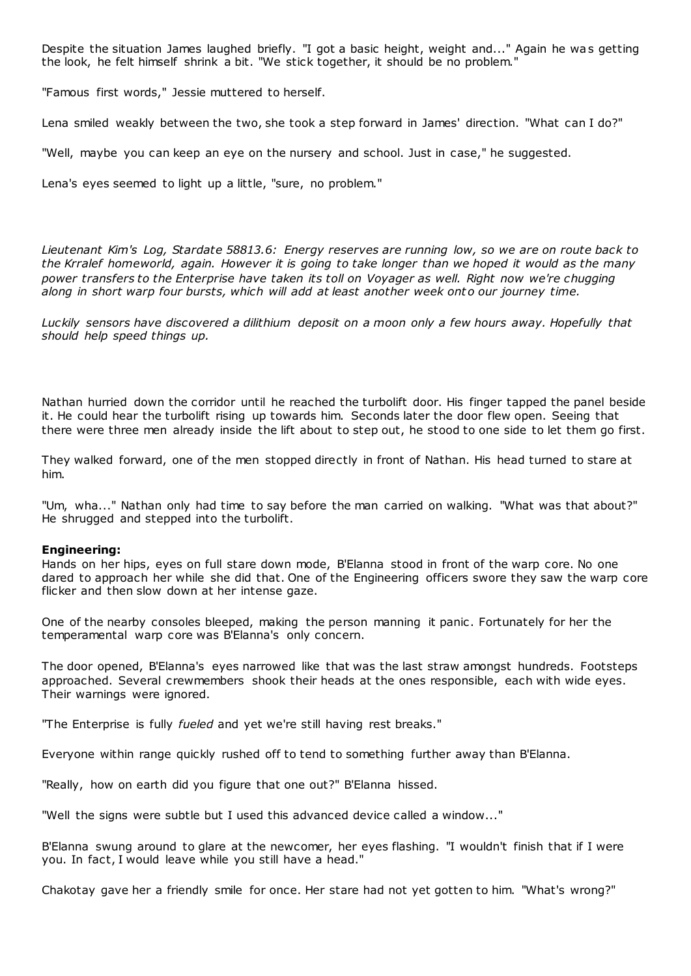Despite the situation James laughed briefly. "I got a basic height, weight and..." Again he was getting the look, he felt himself shrink a bit. "We stick together, it should be no problem."

"Famous first words," Jessie muttered to herself.

Lena smiled weakly between the two, she took a step forward in James' direction. "What can I do?"

"Well, maybe you can keep an eye on the nursery and school. Just in case," he suggested.

Lena's eyes seemed to light up a little, "sure, no problem."

*Lieutenant Kim's Log, Stardate 58813.6: Energy reserves are running low, so we are on route back to the Krralef homeworld, again. However it is going to take longer than we hoped it would as the many power transfers to the Enterprise have taken its toll on Voyager as well. Right now we're chugging along in short warp four bursts, which will add at least another week ont o our journey time.*

*Luckily sensors have discovered a dilithium deposit on a moon only a few hours away. Hopefully that should help speed things up.*

Nathan hurried down the corridor until he reached the turbolift door. His finger tapped the panel beside it. He could hear the turbolift rising up towards him. Seconds later the door flew open. Seeing that there were three men already inside the lift about to step out, he stood to one side to let them go first.

They walked forward, one of the men stopped directly in front of Nathan. His head turned to stare at him.

"Um, wha..." Nathan only had time to say before the man carried on walking. "What was that about?" He shrugged and stepped into the turbolift.

### **Engineering:**

Hands on her hips, eyes on full stare down mode, B'Elanna stood in front of the warp core. No one dared to approach her while she did that. One of the Engineering officers swore they saw the warp core flicker and then slow down at her intense gaze.

One of the nearby consoles bleeped, making the person manning it panic . Fortunately for her the temperamental warp core was B'Elanna's only concern.

The door opened, B'Elanna's eyes narrowed like that was the last straw amongst hundreds. Footsteps approached. Several crewmembers shook their heads at the ones responsible, each with wide eyes. Their warnings were ignored.

"The Enterprise is fully *fueled* and yet we're still having rest breaks."

Everyone within range quickly rushed off to tend to something further away than B'Elanna.

"Really, how on earth did you figure that one out?" B'Elanna hissed.

"Well the signs were subtle but I used this advanced device called a window..."

B'Elanna swung around to glare at the newcomer, her eyes flashing. "I wouldn't finish that if I were you. In fact, I would leave while you still have a head."

Chakotay gave her a friendly smile for once. Her stare had not yet gotten to him. "What's wrong?"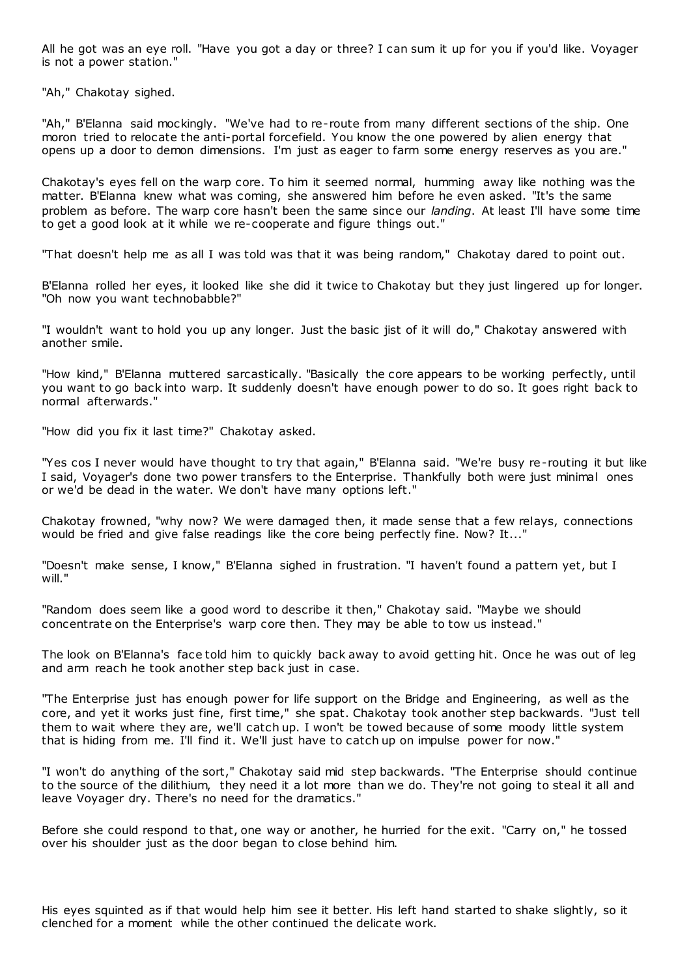All he got was an eye roll. "Have you got a day or three? I can sum it up for you if you'd like. Voyager is not a power station."

"Ah," Chakotay sighed.

"Ah," B'Elanna said mockingly. "We've had to re-route from many different sections of the ship. One moron tried to relocate the anti-portal forcefield. You know the one powered by alien energy that opens up a door to demon dimensions. I'm just as eager to farm some energy reserves as you are."

Chakotay's eyes fell on the warp core. To him it seemed normal, humming away like nothing was the matter. B'Elanna knew what was coming, she answered him before he even asked. "It's the same problem as before. The warp core hasn't been the same since our *landing*. At least I'll have some time to get a good look at it while we re-cooperate and figure things out."

"That doesn't help me as all I was told was that it was being random," Chakotay dared to point out.

B'Elanna rolled her eyes, it looked like she did it twice to Chakotay but they just lingered up for longer. "Oh now you want technobabble?"

"I wouldn't want to hold you up any longer. Just the basic jist of it will do," Chakotay answered with another smile.

"How kind," B'Elanna muttered sarcastically. "Basically the core appears to be working perfectly, until you want to go back into warp. It suddenly doesn't have enough power to do so. It goes right back to normal afterwards."

"How did you fix it last time?" Chakotay asked.

"Yes cos I never would have thought to try that again," B'Elanna said. "We're busy re-routing it but like I said, Voyager's done two power transfers to the Enterprise. Thankfully both were just minimal ones or we'd be dead in the water. We don't have many options left."

Chakotay frowned, "why now? We were damaged then, it made sense that a few relays, connections would be fried and give false readings like the core being perfectly fine. Now? It..."

"Doesn't make sense, I know," B'Elanna sighed in frustration. "I haven't found a pattern yet, but I will."

"Random does seem like a good word to describe it then," Chakotay said. "Maybe we should concentrate on the Enterprise's warp core then. They may be able to tow us instead."

The look on B'Elanna's face told him to quickly back away to avoid getting hit. Once he was out of leg and arm reach he took another step back just in case.

"The Enterprise just has enough power for life support on the Bridge and Engineering, as well as the core, and yet it works just fine, first time," she spat. Chakotay took another step backwards. "Just tell them to wait where they are, we'll catch up. I won't be towed because of some moody little system that is hiding from me. I'll find it. We'll just have to catch up on impulse power for now."

"I won't do anything of the sort," Chakotay said mid step backwards. "The Enterprise should continue to the source of the dilithium, they need it a lot more than we do. They're not going to steal it all and leave Voyager dry. There's no need for the dramatics."

Before she could respond to that, one way or another, he hurried for the exit. "Carry on," he tossed over his shoulder just as the door began to close behind him.

His eyes squinted as if that would help him see it better. His left hand started to shake slightly, so it clenched for a moment while the other continued the delicate work.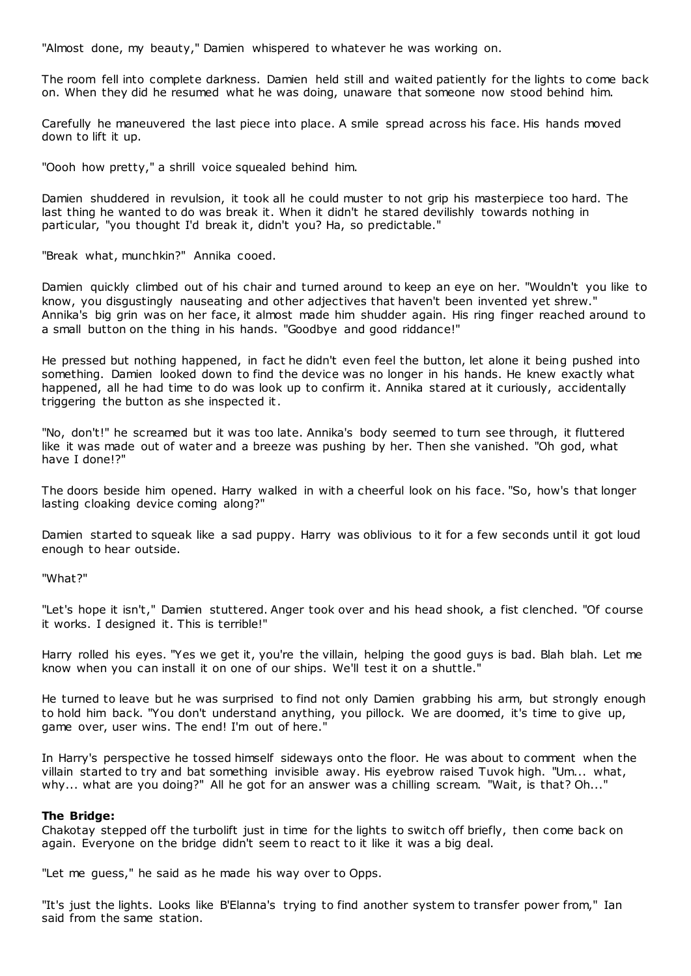"Almost done, my beauty," Damien whispered to whatever he was working on.

The room fell into complete darkness. Damien held still and waited patiently for the lights to come back on. When they did he resumed what he was doing, unaware that someone now stood behind him.

Carefully he maneuvered the last piece into place. A smile spread across his face. His hands moved down to lift it up.

"Oooh how pretty," a shrill voice squealed behind him.

Damien shuddered in revulsion, it took all he could muster to not grip his masterpiece too hard. The last thing he wanted to do was break it. When it didn't he stared devilishly towards nothing in particular, "you thought I'd break it, didn't you? Ha, so predictable."

"Break what, munchkin?" Annika cooed.

Damien quickly climbed out of his chair and turned around to keep an eye on her. "Wouldn't you like to know, you disgustingly nauseating and other adjectives that haven't been invented yet shrew." Annika's big grin was on her face, it almost made him shudder again. His ring finger reached around to a small button on the thing in his hands. "Goodbye and good riddance!"

He pressed but nothing happened, in fact he didn't even feel the button, let alone it being pushed into something. Damien looked down to find the device was no longer in his hands. He knew exactly what happened, all he had time to do was look up to confirm it. Annika stared at it curiously, accidentally triggering the button as she inspected it.

"No, don't!" he screamed but it was too late. Annika's body seemed to turn see through, it fluttered like it was made out of water and a breeze was pushing by her. Then she vanished. "Oh god, what have I done!?"

The doors beside him opened. Harry walked in with a cheerful look on his face. "So, how's that longer lasting cloaking device coming along?"

Damien started to squeak like a sad puppy. Harry was oblivious to it for a few seconds until it got loud enough to hear outside.

"What?"

"Let's hope it isn't," Damien stuttered. Anger took over and his head shook, a fist clenched. "Of course it works. I designed it. This is terrible!"

Harry rolled his eyes. "Yes we get it, you're the villain, helping the good guys is bad. Blah blah. Let me know when you can install it on one of our ships. We'll test it on a shuttle."

He turned to leave but he was surprised to find not only Damien grabbing his arm, but strongly enough to hold him back. "You don't understand anything, you pillock. We are doomed, it's time to give up, game over, user wins. The end! I'm out of here."

In Harry's perspective he tossed himself sideways onto the floor. He was about to comment when the villain started to try and bat something invisible away. His eyebrow raised Tuvok high. "Um... what, why... what are you doing?" All he got for an answer was a chilling scream. "Wait, is that? Oh..."

### **The Bridge:**

Chakotay stepped off the turbolift just in time for the lights to switch off briefly, then come back on again. Everyone on the bridge didn't seem to react to it like it was a big deal.

"Let me guess," he said as he made his way over to Opps.

"It's just the lights. Looks like B'Elanna's trying to find another system to transfer power from," Ian said from the same station.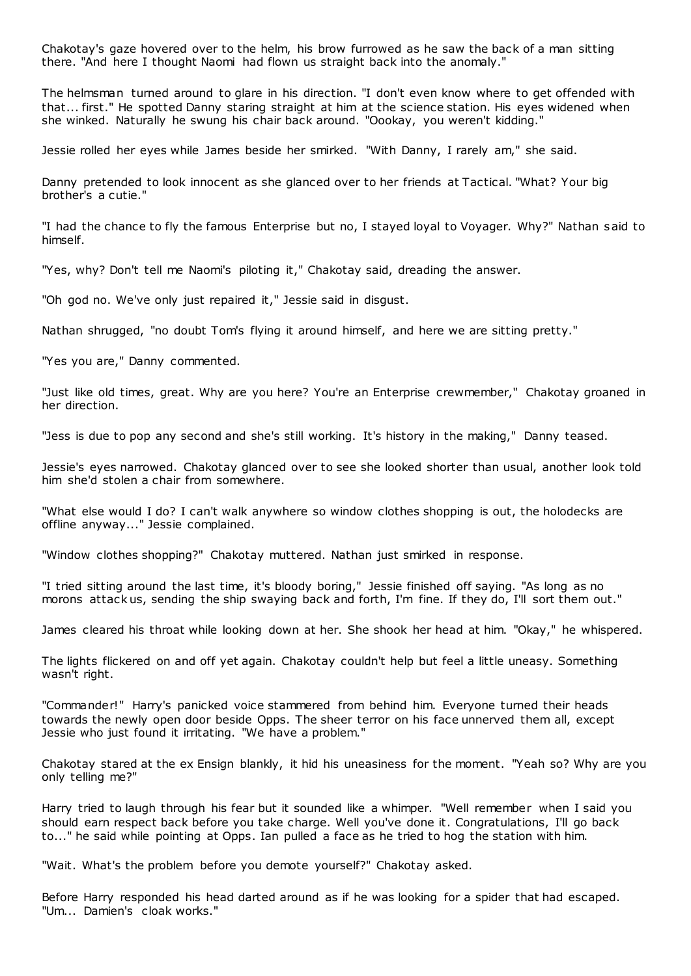Chakotay's gaze hovered over to the helm, his brow furrowed as he saw the back of a man sitting there. "And here I thought Naomi had flown us straight back into the anomaly."

The helmsman turned around to glare in his direction. "I don't even know where to get offended with that... first." He spotted Danny staring straight at him at the science station. His eyes widened when she winked. Naturally he swung his chair back around. "Oookay, you weren't kidding."

Jessie rolled her eyes while James beside her smirked. "With Danny, I rarely am," she said.

Danny pretended to look innocent as she glanced over to her friends at Tactical. "What? Your big brother's a cutie."

"I had the chance to fly the famous Enterprise but no, I stayed loyal to Voyager. Why?" Nathan said to himself.

"Yes, why? Don't tell me Naomi's piloting it," Chakotay said, dreading the answer.

"Oh god no. We've only just repaired it," Jessie said in disgust.

Nathan shrugged, "no doubt Tom's flying it around himself, and here we are sitting pretty."

"Yes you are," Danny commented.

"Just like old times, great. Why are you here? You're an Enterprise crewmember," Chakotay groaned in her direction.

"Jess is due to pop any second and she's still working. It's history in the making," Danny teased.

Jessie's eyes narrowed. Chakotay glanced over to see she looked shorter than usual, another look told him she'd stolen a chair from somewhere.

"What else would I do? I can't walk anywhere so window clothes shopping is out, the holodecks are offline anyway..." Jessie complained.

"Window clothes shopping?" Chakotay muttered. Nathan just smirked in response.

"I tried sitting around the last time, it's bloody boring," Jessie finished off saying. "As long as no morons attack us, sending the ship swaying back and forth, I'm fine. If they do, I'll sort them out."

James cleared his throat while looking down at her. She shook her head at him. "Okay," he whispered.

The lights flickered on and off yet again. Chakotay couldn't help but feel a little uneasy. Something wasn't right.

"Commander!" Harry's panicked voice stammered from behind him. Everyone turned their heads towards the newly open door beside Opps. The sheer terror on his face unnerved them all, except Jessie who just found it irritating. "We have a problem."

Chakotay stared at the ex Ensign blankly, it hid his uneasiness for the moment. "Yeah so? Why are you only telling me?"

Harry tried to laugh through his fear but it sounded like a whimper. "Well remember when I said you should earn respect back before you take charge. Well you've done it. Congratulations, I'll go back to..." he said while pointing at Opps. Ian pulled a face as he tried to hog the station with him.

"Wait. What's the problem before you demote yourself?" Chakotay asked.

Before Harry responded his head darted around as if he was looking for a spider that had escaped. "Um... Damien's cloak works."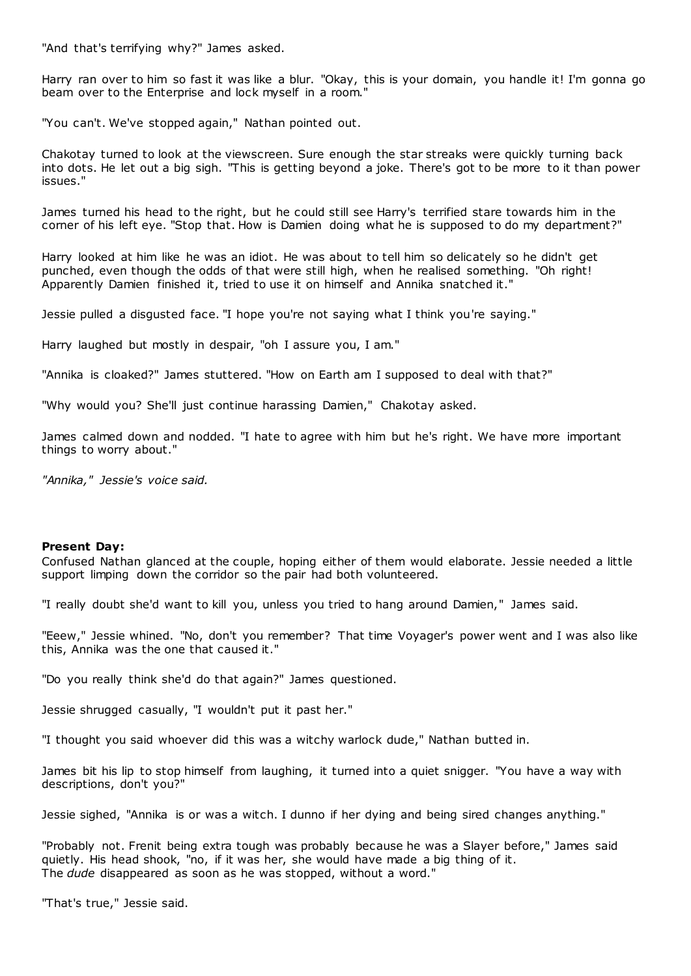"And that's terrifying why?" James asked.

Harry ran over to him so fast it was like a blur. "Okay, this is your domain, you handle it! I'm gonna go beam over to the Enterprise and lock myself in a room."

"You can't. We've stopped again," Nathan pointed out.

Chakotay turned to look at the viewscreen. Sure enough the star streaks were quickly turning back into dots. He let out a big sigh. "This is getting beyond a joke. There's got to be more to it than power issues."

James turned his head to the right, but he could still see Harry's terrified stare towards him in the corner of his left eye. "Stop that. How is Damien doing what he is supposed to do my department?"

Harry looked at him like he was an idiot. He was about to tell him so delicately so he didn't get punched, even though the odds of that were still high, when he realised something. "Oh right! Apparently Damien finished it, tried to use it on himself and Annika snatched it."

Jessie pulled a disgusted face. "I hope you're not saying what I think you're saying."

Harry laughed but mostly in despair, "oh I assure you, I am."

"Annika is cloaked?" James stuttered. "How on Earth am I supposed to deal with that?"

"Why would you? She'll just continue harassing Damien," Chakotay asked.

James calmed down and nodded. "I hate to agree with him but he's right. We have more important things to worry about."

*"Annika," Jessie's voice said.*

### **Present Day:**

Confused Nathan glanced at the couple, hoping either of them would elaborate. Jessie needed a little support limping down the corridor so the pair had both volunteered.

"I really doubt she'd want to kill you, unless you tried to hang around Damien," James said.

"Eeew," Jessie whined. "No, don't you remember? That time Voyager's power went and I was also like this, Annika was the one that caused it."

"Do you really think she'd do that again?" James questioned.

Jessie shrugged casually, "I wouldn't put it past her."

"I thought you said whoever did this was a witchy warlock dude," Nathan butted in.

James bit his lip to stop himself from laughing, it turned into a quiet snigger. "You have a way with descriptions, don't you?"

Jessie sighed, "Annika is or was a witch. I dunno if her dying and being sired changes anything."

"Probably not. Frenit being extra tough was probably because he was a Slayer before," James said quietly. His head shook, "no, if it was her, she would have made a big thing of it. The *dude* disappeared as soon as he was stopped, without a word."

"That's true," Jessie said.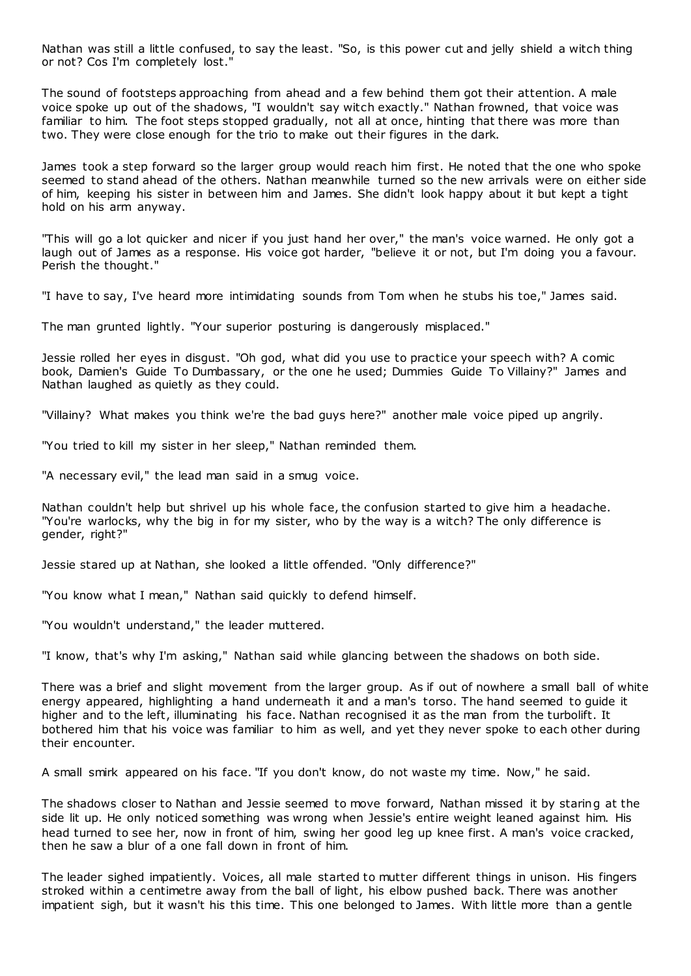Nathan was still a little confused, to say the least. "So, is this power cut and jelly shield a witch thing or not? Cos I'm completely lost."

The sound of footsteps approaching from ahead and a few behind them got their attention. A male voice spoke up out of the shadows, "I wouldn't say witch exactly." Nathan frowned, that voice was familiar to him. The foot steps stopped gradually, not all at once, hinting that there was more than two. They were close enough for the trio to make out their figures in the dark.

James took a step forward so the larger group would reach him first. He noted that the one who spoke seemed to stand ahead of the others. Nathan meanwhile turned so the new arrivals were on either side of him, keeping his sister in between him and James. She didn't look happy about it but kept a tight hold on his arm anyway.

"This will go a lot quicker and nicer if you just hand her over," the man's voice warned. He only got a laugh out of James as a response. His voice got harder, "believe it or not, but I'm doing you a favour. Perish the thought."

"I have to say, I've heard more intimidating sounds from Tom when he stubs his toe," James said.

The man grunted lightly. "Your superior posturing is dangerously misplaced."

Jessie rolled her eyes in disgust. "Oh god, what did you use to practice your speech with? A comic book, Damien's Guide To Dumbassary, or the one he used; Dummies Guide To Villainy?" James and Nathan laughed as quietly as they could.

"Villainy? What makes you think we're the bad guys here?" another male voice piped up angrily.

"You tried to kill my sister in her sleep," Nathan reminded them.

"A necessary evil," the lead man said in a smug voice.

Nathan couldn't help but shrivel up his whole face, the confusion started to give him a headache. "You're warlocks, why the big in for my sister, who by the way is a witch? The only difference is gender, right?"

Jessie stared up at Nathan, she looked a little offended. "Only difference?"

"You know what I mean," Nathan said quickly to defend himself.

"You wouldn't understand," the leader muttered.

"I know, that's why I'm asking," Nathan said while glancing between the shadows on both side.

There was a brief and slight movement from the larger group. As if out of nowhere a small ball of white energy appeared, highlighting a hand underneath it and a man's torso. The hand seemed to guide it higher and to the left, illuminating his face. Nathan recognised it as the man from the turbolift. It bothered him that his voice was familiar to him as well, and yet they never spoke to each other during their encounter.

A small smirk appeared on his face. "If you don't know, do not waste my time. Now," he said.

The shadows closer to Nathan and Jessie seemed to move forward, Nathan missed it by staring at the side lit up. He only noticed something was wrong when Jessie's entire weight leaned against him. His head turned to see her, now in front of him, swing her good leg up knee first. A man's voice cracked, then he saw a blur of a one fall down in front of him.

The leader sighed impatiently. Voices, all male started to mutter different things in unison. His fingers stroked within a centimetre away from the ball of light, his elbow pushed back. There was another impatient sigh, but it wasn't his this time. This one belonged to James. With little more than a gentle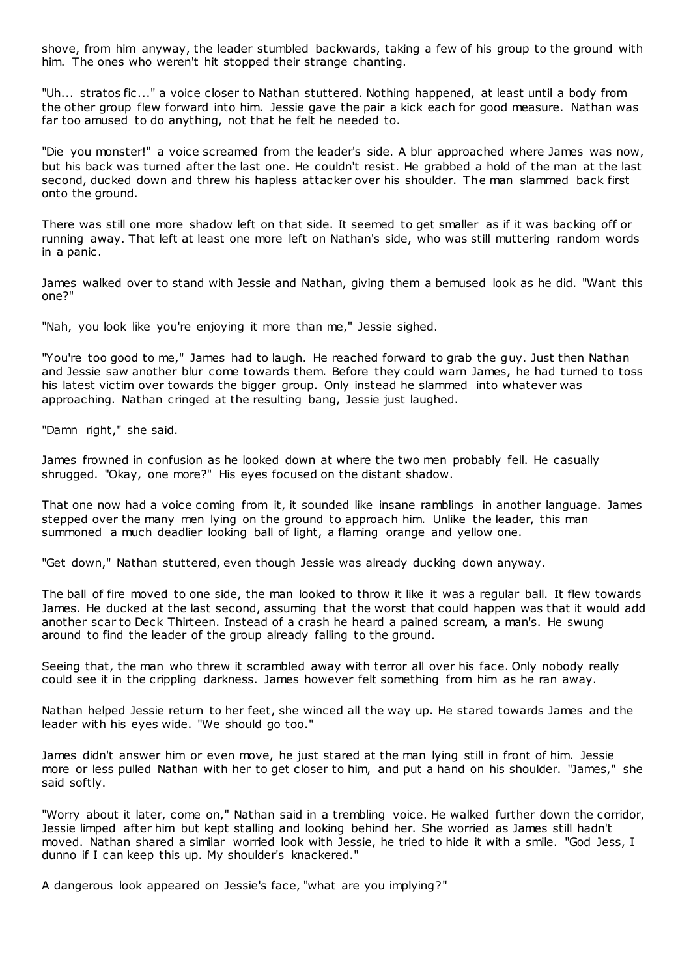shove, from him anyway, the leader stumbled backwards, taking a few of his group to the ground with him. The ones who weren't hit stopped their strange chanting.

"Uh... stratos fic ..." a voice closer to Nathan stuttered. Nothing happened, at least until a body from the other group flew forward into him. Jessie gave the pair a kick each for good measure. Nathan was far too amused to do anything, not that he felt he needed to.

"Die you monster!" a voice screamed from the leader's side. A blur approached where James was now, but his back was turned after the last one. He couldn't resist. He grabbed a hold of the man at the last second, ducked down and threw his hapless attacker over his shoulder. The man slammed back first onto the ground.

There was still one more shadow left on that side. It seemed to get smaller as if it was backing off or running away. That left at least one more left on Nathan's side, who was still muttering random words in a panic .

James walked over to stand with Jessie and Nathan, giving them a bemused look as he did. "Want this one?"

"Nah, you look like you're enjoying it more than me," Jessie sighed.

"You're too good to me," James had to laugh. He reached forward to grab the guy. Just then Nathan and Jessie saw another blur come towards them. Before they could warn James, he had turned to toss his latest victim over towards the bigger group. Only instead he slammed into whatever was approaching. Nathan cringed at the resulting bang, Jessie just laughed.

"Damn right," she said.

James frowned in confusion as he looked down at where the two men probably fell. He casually shrugged. "Okay, one more?" His eyes focused on the distant shadow.

That one now had a voice coming from it, it sounded like insane ramblings in another language. James stepped over the many men lying on the ground to approach him. Unlike the leader, this man summoned a much deadlier looking ball of light, a flaming orange and yellow one.

"Get down," Nathan stuttered, even though Jessie was already ducking down anyway.

The ball of fire moved to one side, the man looked to throw it like it was a regular ball. It flew towards James. He ducked at the last second, assuming that the worst that could happen was that it would add another scar to Deck Thirteen. Instead of a crash he heard a pained scream, a man's. He swung around to find the leader of the group already falling to the ground.

Seeing that, the man who threw it scrambled away with terror all over his face. Only nobody really could see it in the crippling darkness. James however felt something from him as he ran away.

Nathan helped Jessie return to her feet, she winced all the way up. He stared towards James and the leader with his eyes wide. "We should go too."

James didn't answer him or even move, he just stared at the man lying still in front of him. Jessie more or less pulled Nathan with her to get closer to him, and put a hand on his shoulder. "James," she said softly.

"Worry about it later, come on," Nathan said in a trembling voice. He walked further down the corridor, Jessie limped after him but kept stalling and looking behind her. She worried as James still hadn't moved. Nathan shared a similar worried look with Jessie, he tried to hide it with a smile. "God Jess, I dunno if I can keep this up. My shoulder's knackered."

A dangerous look appeared on Jessie's face, "what are you implying?"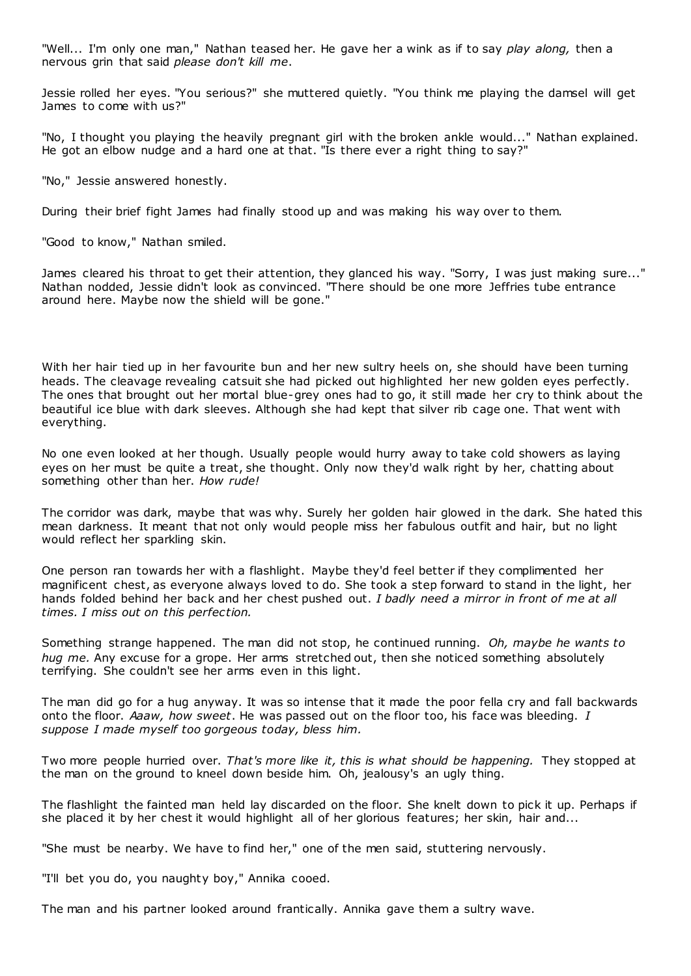"Well... I'm only one man," Nathan teased her. He gave her a wink as if to say *play along,* then a nervous grin that said *please don't kill me*.

Jessie rolled her eyes. "You serious?" she muttered quietly. "You think me playing the damsel will get James to come with us?"

"No, I thought you playing the heavily pregnant girl with the broken ankle would..." Nathan explained. He got an elbow nudge and a hard one at that. "Is there ever a right thing to say?"

"No," Jessie answered honestly.

During their brief fight James had finally stood up and was making his way over to them.

"Good to know," Nathan smiled.

James cleared his throat to get their attention, they glanced his way. "Sorry, I was just making sure..." Nathan nodded, Jessie didn't look as convinced. "There should be one more Jeffries tube entrance around here. Maybe now the shield will be gone."

With her hair tied up in her favourite bun and her new sultry heels on, she should have been turning heads. The cleavage revealing catsuit she had picked out highlighted her new golden eyes perfectly. The ones that brought out her mortal blue-grey ones had to go, it still made her cry to think about the beautiful ice blue with dark sleeves. Although she had kept that silver rib cage one. That went with everything.

No one even looked at her though. Usually people would hurry away to take cold showers as laying eyes on her must be quite a treat, she thought. Only now they'd walk right by her, chatting about something other than her. *How rude!*

The corridor was dark, maybe that was why. Surely her golden hair glowed in the dark. She hated this mean darkness. It meant that not only would people miss her fabulous outfit and hair, but no light would reflect her sparkling skin.

One person ran towards her with a flashlight. Maybe they'd feel better if they complimented her magnificent chest, as everyone always loved to do. She took a step forward to stand in the light, her hands folded behind her back and her chest pushed out. *I badly need a mirror in front of me at all times. I miss out on this perfection.*

Something strange happened. The man did not stop, he continued running. *Oh, maybe he wants to hug me.* Any excuse for a grope. Her arms stretched out, then she noticed something absolutely terrifying. She couldn't see her arms even in this light.

The man did go for a hug anyway. It was so intense that it made the poor fella cry and fall backwards onto the floor. *Aaaw, how sweet*. He was passed out on the floor too, his face was bleeding. *I suppose I made myself too gorgeous today, bless him.*

Two more people hurried over. *That's more like it, this is what should be happening.* They stopped at the man on the ground to kneel down beside him. Oh, jealousy's an ugly thing.

The flashlight the fainted man held lay discarded on the floor. She knelt down to pick it up. Perhaps if she placed it by her chest it would highlight all of her glorious features; her skin, hair and...

"She must be nearby. We have to find her," one of the men said, stuttering nervously.

"I'll bet you do, you naughty boy," Annika cooed.

The man and his partner looked around frantically. Annika gave them a sultry wave.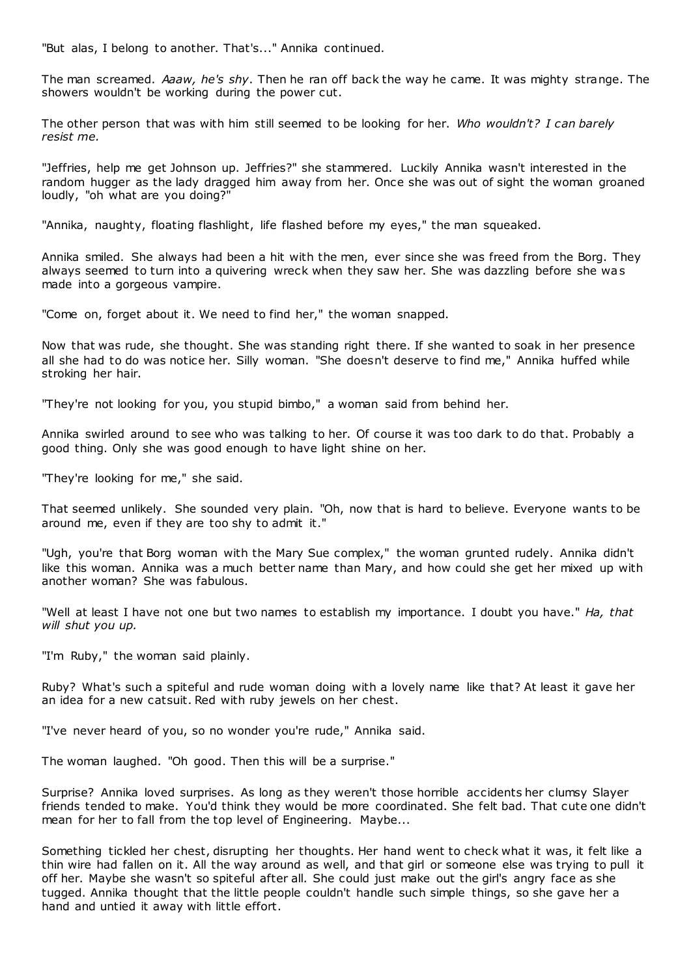"But alas, I belong to another. That's..." Annika continued.

The man screamed. *Aaaw, he's shy*. Then he ran off back the way he came. It was mighty strange. The showers wouldn't be working during the power cut.

The other person that was with him still seemed to be looking for her. *Who wouldn't? I can barely resist me.*

"Jeffries, help me get Johnson up. Jeffries?" she stammered. Luckily Annika wasn't interested in the random hugger as the lady dragged him away from her. Once she was out of sight the woman groaned loudly, "oh what are you doing?"

"Annika, naughty, floating flashlight, life flashed before my eyes," the man squeaked.

Annika smiled. She always had been a hit with the men, ever since she was freed from the Borg. They always seemed to turn into a quivering wreck when they saw her. She was dazzling before she was made into a gorgeous vampire.

"Come on, forget about it. We need to find her," the woman snapped.

Now that was rude, she thought. She was standing right there. If she wanted to soak in her presence all she had to do was notice her. Silly woman. "She doesn't deserve to find me," Annika huffed while stroking her hair.

"They're not looking for you, you stupid bimbo," a woman said from behind her.

Annika swirled around to see who was talking to her. Of course it was too dark to do that. Probably a good thing. Only she was good enough to have light shine on her.

"They're looking for me," she said.

That seemed unlikely. She sounded very plain. "Oh, now that is hard to believe. Everyone wants to be around me, even if they are too shy to admit it."

"Ugh, you're that Borg woman with the Mary Sue complex," the woman grunted rudely. Annika didn't like this woman. Annika was a much better name than Mary, and how could she get her mixed up with another woman? She was fabulous.

"Well at least I have not one but two names to establish my importance. I doubt you have." *Ha, that will shut you up.*

"I'm Ruby," the woman said plainly.

Ruby? What's such a spiteful and rude woman doing with a lovely name like that? At least it gave her an idea for a new catsuit. Red with ruby jewels on her chest.

"I've never heard of you, so no wonder you're rude," Annika said.

The woman laughed. "Oh good. Then this will be a surprise."

Surprise? Annika loved surprises. As long as they weren't those horrible accidents her clumsy Slayer friends tended to make. You'd think they would be more coordinated. She felt bad. That cute one didn't mean for her to fall from the top level of Engineering. Maybe...

Something tickled her chest, disrupting her thoughts. Her hand went to check what it was, it felt like a thin wire had fallen on it. All the way around as well, and that girl or someone else was trying to pull it off her. Maybe she wasn't so spiteful after all. She could just make out the girl's angry face as she tugged. Annika thought that the little people couldn't handle such simple things, so she gave her a hand and untied it away with little effort.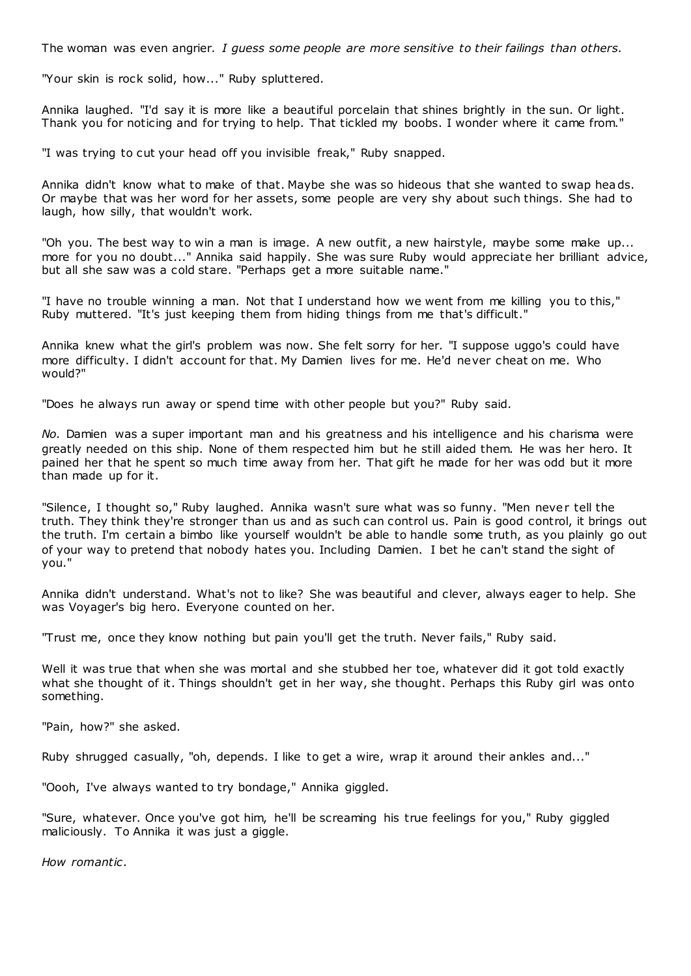The woman was even angrier. *I guess some people are more sensitive to their failings than others.*

"Your skin is rock solid, how..." Ruby spluttered.

Annika laughed. "I'd say it is more like a beautiful porcelain that shines brightly in the sun. Or light. Thank you for noticing and for trying to help. That tickled my boobs. I wonder where it came from."

"I was trying to cut your head off you invisible freak," Ruby snapped.

Annika didn't know what to make of that. Maybe she was so hideous that she wanted to swap heads. Or maybe that was her word for her assets, some people are very shy about such things. She had to laugh, how silly, that wouldn't work.

"Oh you. The best way to win a man is image. A new outfit, a new hairstyle, maybe some make up... more for you no doubt..." Annika said happily. She was sure Ruby would appreciate her brilliant advice, but all she saw was a cold stare. "Perhaps get a more suitable name."

"I have no trouble winning a man. Not that I understand how we went from me killing you to this," Ruby muttered. "It's just keeping them from hiding things from me that's difficult."

Annika knew what the girl's problem was now. She felt sorry for her. "I suppose uggo's could have more difficulty. I didn't account for that. My Damien lives for me. He'd never cheat on me. Who would?"

"Does he always run away or spend time with other people but you?" Ruby said.

*No.* Damien was a super important man and his greatness and his intelligence and his charisma were greatly needed on this ship. None of them respected him but he still aided them. He was her hero. It pained her that he spent so much time away from her. That gift he made for her was odd but it more than made up for it.

"Silence, I thought so," Ruby laughed. Annika wasn't sure what was so funny. "Men never tell the truth. They think they're stronger than us and as such can control us. Pain is good control, it brings out the truth. I'm certain a bimbo like yourself wouldn't be able to handle some truth, as you plainly go out of your way to pretend that nobody hates you. Including Damien. I bet he can't stand the sight of you."

Annika didn't understand. What's not to like? She was beautiful and clever, always eager to help. She was Voyager's big hero. Everyone counted on her.

"Trust me, once they know nothing but pain you'll get the truth. Never fails," Ruby said.

Well it was true that when she was mortal and she stubbed her toe, whatever did it got told exactly what she thought of it. Things shouldn't get in her way, she thought. Perhaps this Ruby girl was onto something.

"Pain, how?" she asked.

Ruby shrugged casually, "oh, depends. I like to get a wire, wrap it around their ankles and..."

"Oooh, I've always wanted to try bondage," Annika giggled.

"Sure, whatever. Once you've got him, he'll be screaming his true feelings for you," Ruby giggled maliciously. To Annika it was just a giggle.

*How romantic .*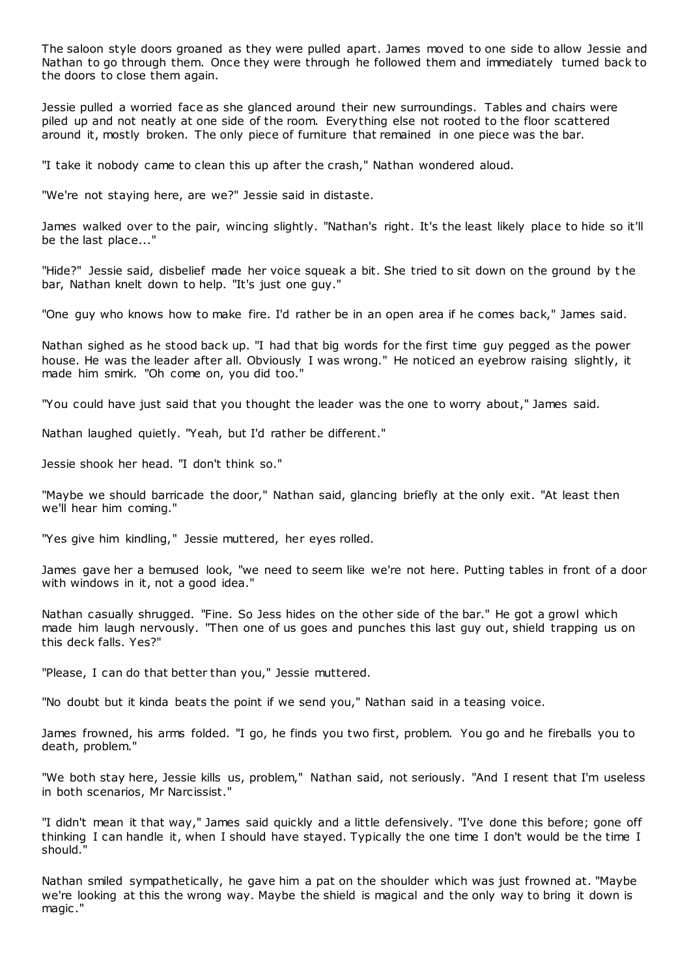The saloon style doors groaned as they were pulled apart. James moved to one side to allow Jessie and Nathan to go through them. Once they were through he followed them and immediately turned back to the doors to close them again.

Jessie pulled a worried face as she glanced around their new surroundings. Tables and chairs were piled up and not neatly at one side of the room. Everything else not rooted to the floor scattered around it, mostly broken. The only piece of furniture that remained in one piece was the bar.

"I take it nobody came to clean this up after the crash," Nathan wondered aloud.

"We're not staying here, are we?" Jessie said in distaste.

James walked over to the pair, wincing slightly. "Nathan's right. It's the least likely place to hide so it'll be the last place..."

"Hide?" Jessie said, disbelief made her voice squeak a bit. She tried to sit down on the ground by t he bar, Nathan knelt down to help. "It's just one guy."

"One guy who knows how to make fire. I'd rather be in an open area if he comes back," James said.

Nathan sighed as he stood back up. "I had that big words for the first time guy pegged as the power house. He was the leader after all. Obviously I was wrong." He noticed an eyebrow raising slightly, it made him smirk. "Oh come on, you did too."

"You could have just said that you thought the leader was the one to worry about," James said.

Nathan laughed quietly. "Yeah, but I'd rather be different."

Jessie shook her head. "I don't think so."

"Maybe we should barricade the door," Nathan said, glancing briefly at the only exit. "At least then we'll hear him coming."

"Yes give him kindling," Jessie muttered, her eyes rolled.

James gave her a bemused look, "we need to seem like we're not here. Putting tables in front of a door with windows in it, not a good idea."

Nathan casually shrugged. "Fine. So Jess hides on the other side of the bar." He got a growl which made him laugh nervously. "Then one of us goes and punches this last guy out, shield trapping us on this deck falls. Yes?"

"Please, I can do that better than you," Jessie muttered.

"No doubt but it kinda beats the point if we send you," Nathan said in a teasing voice.

James frowned, his arms folded. "I go, he finds you two first, problem. You go and he fireballs you to death, problem."

"We both stay here, Jessie kills us, problem," Nathan said, not seriously. "And I resent that I'm useless in both scenarios, Mr Narcissist."

"I didn't mean it that way," James said quickly and a little defensively. "I've done this before; gone off thinking I can handle it, when I should have stayed. Typically the one time I don't would be the time I should."

Nathan smiled sympathetically, he gave him a pat on the shoulder which was just frowned at. "Maybe we're looking at this the wrong way. Maybe the shield is magical and the only way to bring it down is magic ."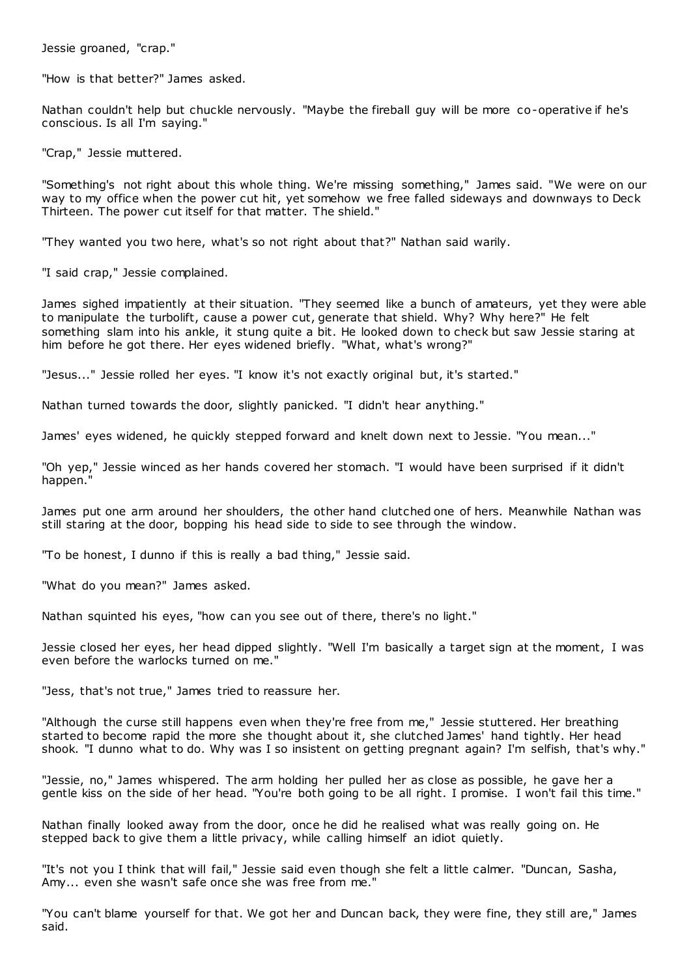Jessie groaned, "crap."

"How is that better?" James asked.

Nathan couldn't help but chuckle nervously. "Maybe the fireball guy will be more co-operative if he's conscious. Is all I'm saying."

"Crap," Jessie muttered.

"Something's not right about this whole thing. We're missing something," James said. "We were on our way to my office when the power cut hit, yet somehow we free falled sideways and downways to Deck Thirteen. The power cut itself for that matter. The shield."

"They wanted you two here, what's so not right about that?" Nathan said warily.

"I said crap," Jessie complained.

James sighed impatiently at their situation. "They seemed like a bunch of amateurs, yet they were able to manipulate the turbolift, cause a power cut, generate that shield. Why? Why here?" He felt something slam into his ankle, it stung quite a bit. He looked down to check but saw Jessie staring at him before he got there. Her eyes widened briefly. "What, what's wrong?"

"Jesus..." Jessie rolled her eyes. "I know it's not exactly original but, it's started."

Nathan turned towards the door, slightly panicked. "I didn't hear anything."

James' eyes widened, he quickly stepped forward and knelt down next to Jessie. "You mean..."

"Oh yep," Jessie winced as her hands covered her stomach. "I would have been surprised if it didn't happen."

James put one arm around her shoulders, the other hand clutched one of hers. Meanwhile Nathan was still staring at the door, bopping his head side to side to see through the window.

"To be honest, I dunno if this is really a bad thing," Jessie said.

"What do you mean?" James asked.

Nathan squinted his eyes, "how can you see out of there, there's no light."

Jessie closed her eyes, her head dipped slightly. "Well I'm basically a target sign at the moment, I was even before the warlocks turned on me."

"Jess, that's not true," James tried to reassure her.

"Although the curse still happens even when they're free from me," Jessie stuttered. Her breathing started to become rapid the more she thought about it, she clutched James' hand tightly. Her head shook. "I dunno what to do. Why was I so insistent on getting pregnant again? I'm selfish, that's why."

"Jessie, no," James whispered. The arm holding her pulled her as close as possible, he gave her a gentle kiss on the side of her head. "You're both going to be all right. I promise. I won't fail this time."

Nathan finally looked away from the door, once he did he realised what was really going on. He stepped back to give them a little privacy, while calling himself an idiot quietly.

"It's not you I think that will fail," Jessie said even though she felt a little calmer. "Duncan, Sasha, Amy... even she wasn't safe once she was free from me."

"You can't blame yourself for that. We got her and Duncan back, they were fine, they still are," James said.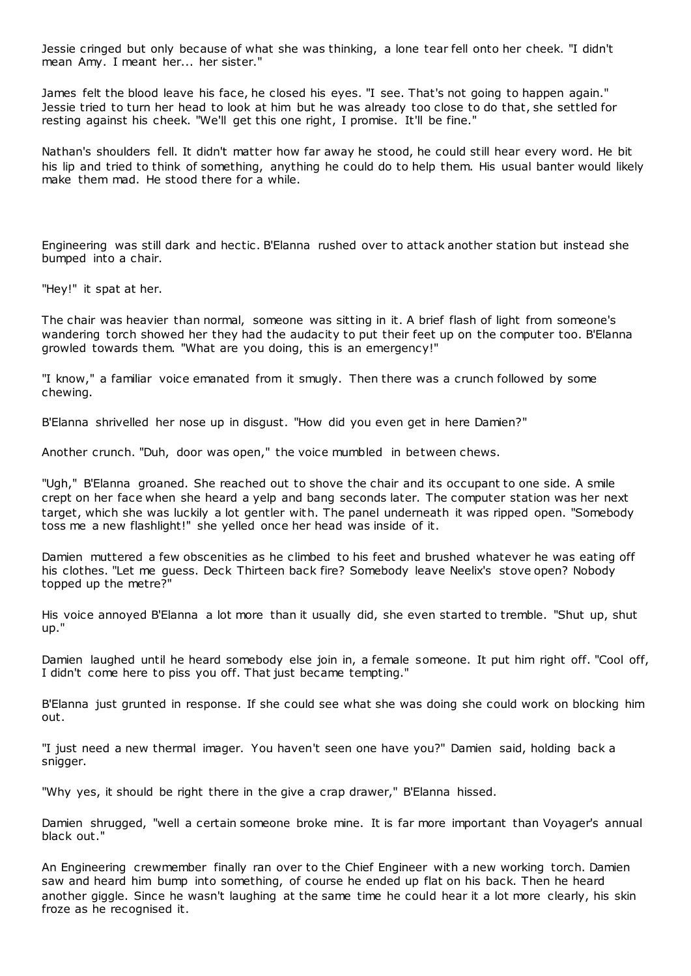Jessie cringed but only because of what she was thinking, a lone tear fell onto her cheek. "I didn't mean Amy. I meant her... her sister."

James felt the blood leave his face, he closed his eyes. "I see. That's not going to happen again." Jessie tried to turn her head to look at him but he was already too close to do that, she settled for resting against his cheek. "We'll get this one right, I promise. It'll be fine."

Nathan's shoulders fell. It didn't matter how far away he stood, he could still hear every word. He bit his lip and tried to think of something, anything he could do to help them. His usual banter would likely make them mad. He stood there for a while.

Engineering was still dark and hectic . B'Elanna rushed over to attack another station but instead she bumped into a chair.

"Hey!" it spat at her.

The chair was heavier than normal, someone was sitting in it. A brief flash of light from someone's wandering torch showed her they had the audacity to put their feet up on the computer too. B'Elanna growled towards them. "What are you doing, this is an emergency!"

"I know," a familiar voice emanated from it smugly. Then there was a crunch followed by some chewing.

B'Elanna shrivelled her nose up in disgust. "How did you even get in here Damien?"

Another crunch. "Duh, door was open," the voice mumbled in between chews.

"Ugh," B'Elanna groaned. She reached out to shove the chair and its occupant to one side. A smile crept on her face when she heard a yelp and bang seconds later. The computer station was her next target, which she was luckily a lot gentler with. The panel underneath it was ripped open. "Somebody toss me a new flashlight!" she yelled once her head was inside of it.

Damien muttered a few obscenities as he climbed to his feet and brushed whatever he was eating off his clothes. "Let me guess. Deck Thirteen back fire? Somebody leave Neelix's stove open? Nobody topped up the metre?"

His voice annoyed B'Elanna a lot more than it usually did, she even started to tremble. "Shut up, shut up."

Damien laughed until he heard somebody else join in, a female someone. It put him right off. "Cool off, I didn't come here to piss you off. That just became tempting."

B'Elanna just grunted in response. If she could see what she was doing she could work on blocking him out.

"I just need a new thermal imager. You haven't seen one have you?" Damien said, holding back a snigger.

"Why yes, it should be right there in the give a crap drawer," B'Elanna hissed.

Damien shrugged, "well a certain someone broke mine. It is far more important than Voyager's annual black out."

An Engineering crewmember finally ran over to the Chief Engineer with a new working torch. Damien saw and heard him bump into something, of course he ended up flat on his back. Then he heard another giggle. Since he wasn't laughing at the same time he could hear it a lot more clearly, his skin froze as he recognised it.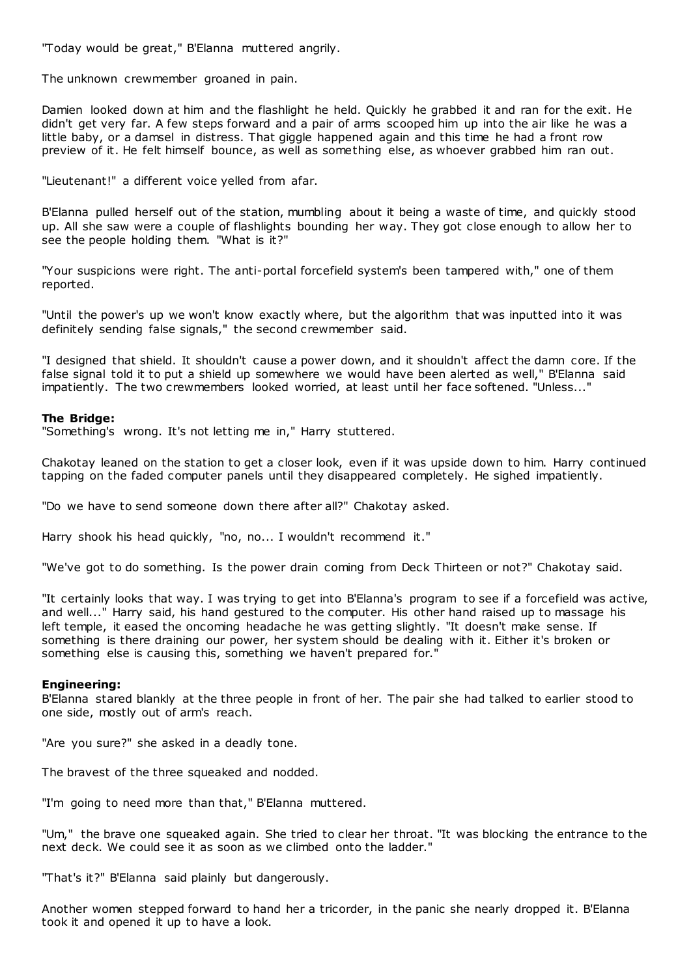"Today would be great," B'Elanna muttered angrily.

The unknown crewmember groaned in pain.

Damien looked down at him and the flashlight he held. Quickly he grabbed it and ran for the exit. He didn't get very far. A few steps forward and a pair of arms scooped him up into the air like he was a little baby, or a damsel in distress. That giggle happened again and this time he had a front row preview of it. He felt himself bounce, as well as something else, as whoever grabbed him ran out.

"Lieutenant!" a different voice yelled from afar.

B'Elanna pulled herself out of the station, mumbling about it being a waste of time, and quickly stood up. All she saw were a couple of flashlights bounding her way. They got close enough to allow her to see the people holding them. "What is it?"

"Your suspicions were right. The anti-portal forcefield system's been tampered with," one of them reported.

"Until the power's up we won't know exactly where, but the algorithm that was inputted into it was definitely sending false signals," the second crewmember said.

"I designed that shield. It shouldn't cause a power down, and it shouldn't affect the damn core. If the false signal told it to put a shield up somewhere we would have been alerted as well," B'Elanna said impatiently. The two crewmembers looked worried, at least until her face softened. "Unless..."

# **The Bridge:**

"Something's wrong. It's not letting me in," Harry stuttered.

Chakotay leaned on the station to get a closer look, even if it was upside down to him. Harry continued tapping on the faded computer panels until they disappeared completely. He sighed impatiently.

"Do we have to send someone down there after all?" Chakotay asked.

Harry shook his head quickly, "no, no... I wouldn't recommend it."

"We've got to do something. Is the power drain coming from Deck Thirteen or not?" Chakotay said.

"It certainly looks that way. I was trying to get into B'Elanna's program to see if a forcefield was active, and well..." Harry said, his hand gestured to the computer. His other hand raised up to massage his left temple, it eased the oncoming headache he was getting slightly. "It doesn't make sense. If something is there draining our power, her system should be dealing with it. Either it's broken or something else is causing this, something we haven't prepared for."

### **Engineering:**

B'Elanna stared blankly at the three people in front of her. The pair she had talked to earlier stood to one side, mostly out of arm's reach.

"Are you sure?" she asked in a deadly tone.

The bravest of the three squeaked and nodded.

"I'm going to need more than that," B'Elanna muttered.

"Um," the brave one squeaked again. She tried to clear her throat. "It was blocking the entrance to the next deck. We could see it as soon as we climbed onto the ladder."

"That's it?" B'Elanna said plainly but dangerously.

Another women stepped forward to hand her a tricorder, in the panic she nearly dropped it. B'Elanna took it and opened it up to have a look.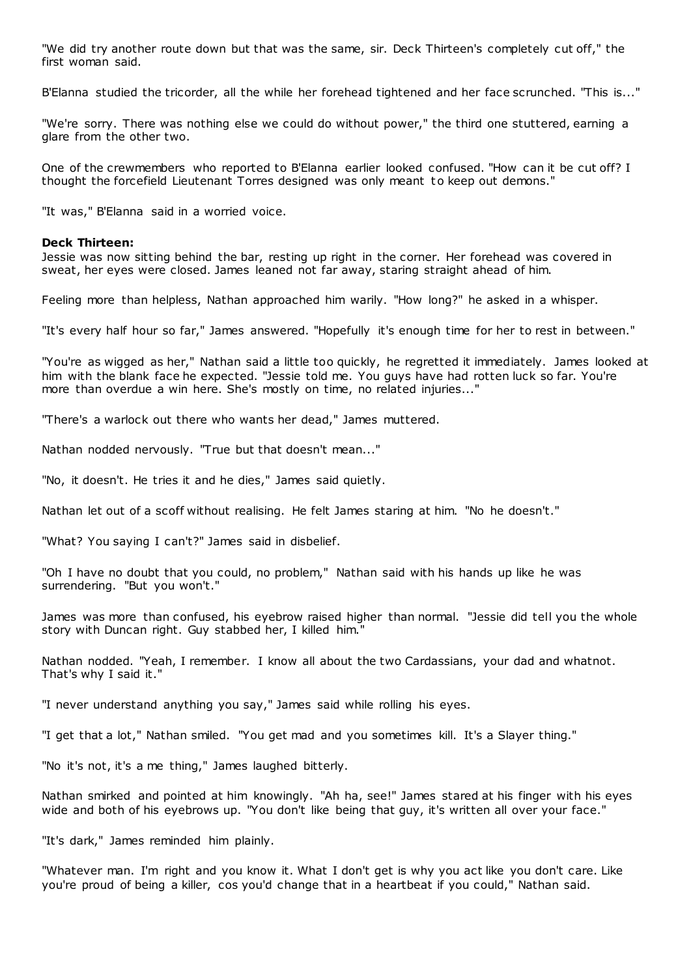"We did try another route down but that was the same, sir. Deck Thirteen's completely cut off," the first woman said.

B'Elanna studied the tricorder, all the while her forehead tightened and her face scrunched. "This is..."

"We're sorry. There was nothing else we could do without power," the third one stuttered, earning a glare from the other two.

One of the crewmembers who reported to B'Elanna earlier looked confused. "How can it be cut off? I thought the forcefield Lieutenant Torres designed was only meant t o keep out demons."

"It was," B'Elanna said in a worried voice.

#### **Deck Thirteen:**

Jessie was now sitting behind the bar, resting up right in the corner. Her forehead was covered in sweat, her eyes were closed. James leaned not far away, staring straight ahead of him.

Feeling more than helpless, Nathan approached him warily. "How long?" he asked in a whisper.

"It's every half hour so far," James answered. "Hopefully it's enough time for her to rest in between."

"You're as wigged as her," Nathan said a little too quickly, he regretted it immediately. James looked at him with the blank face he expected. "Jessie told me. You guys have had rotten luck so far. You're more than overdue a win here. She's mostly on time, no related injuries..."

"There's a warlock out there who wants her dead," James muttered.

Nathan nodded nervously. "True but that doesn't mean..."

"No, it doesn't. He tries it and he dies," James said quietly.

Nathan let out of a scoff without realising. He felt James staring at him. "No he doesn't."

"What? You saying I can't?" James said in disbelief.

"Oh I have no doubt that you could, no problem," Nathan said with his hands up like he was surrendering. "But you won't."

James was more than confused, his eyebrow raised higher than normal. "Jessie did tell you the whole story with Duncan right. Guy stabbed her, I killed him."

Nathan nodded. "Yeah, I remember. I know all about the two Cardassians, your dad and whatnot. That's why I said it."

"I never understand anything you say," James said while rolling his eyes.

"I get that a lot," Nathan smiled. "You get mad and you sometimes kill. It's a Slayer thing."

"No it's not, it's a me thing," James laughed bitterly.

Nathan smirked and pointed at him knowingly. "Ah ha, see!" James stared at his finger with his eyes wide and both of his eyebrows up. "You don't like being that guy, it's written all over your face."

"It's dark," James reminded him plainly.

"Whatever man. I'm right and you know it. What I don't get is why you act like you don't care. Like you're proud of being a killer, cos you'd change that in a heartbeat if you could," Nathan said.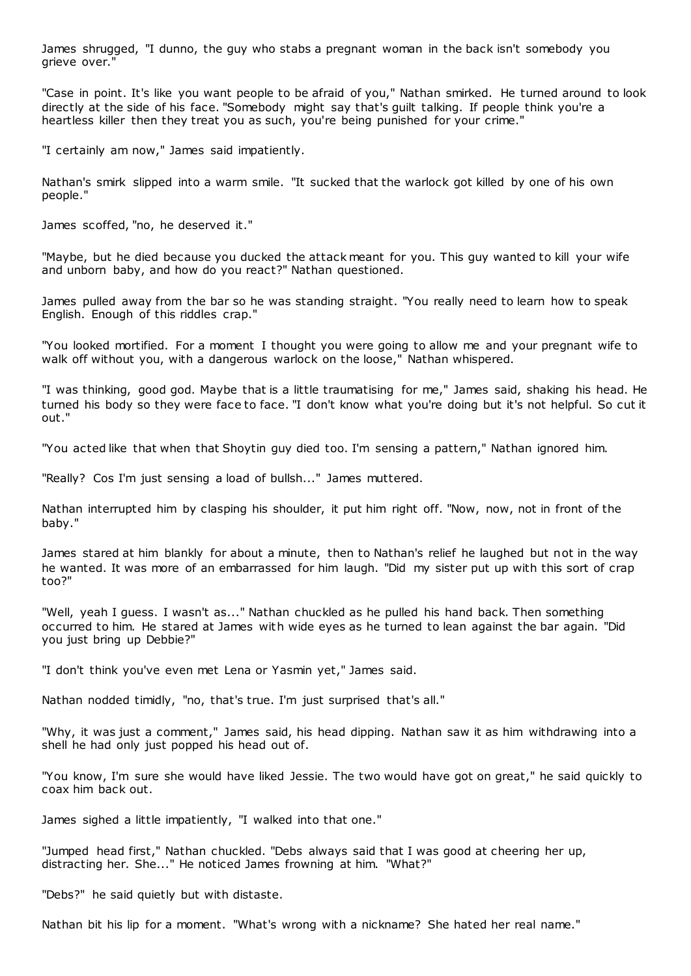James shrugged, "I dunno, the guy who stabs a pregnant woman in the back isn't somebody you grieve over."

"Case in point. It's like you want people to be afraid of you," Nathan smirked. He turned around to look directly at the side of his face. "Somebody might say that's guilt talking. If people think you're a heartless killer then they treat you as such, you're being punished for your crime."

"I certainly am now," James said impatiently.

Nathan's smirk slipped into a warm smile. "It sucked that the warlock got killed by one of his own people."

James scoffed, "no, he deserved it."

"Maybe, but he died because you ducked the attack meant for you. This guy wanted to kill your wife and unborn baby, and how do you react?" Nathan questioned.

James pulled away from the bar so he was standing straight. "You really need to learn how to speak English. Enough of this riddles crap."

"You looked mortified. For a moment I thought you were going to allow me and your pregnant wife to walk off without you, with a dangerous warlock on the loose," Nathan whispered.

"I was thinking, good god. Maybe that is a little traumatising for me," James said, shaking his head. He turned his body so they were face to face. "I don't know what you're doing but it's not helpful. So cut it out."

"You acted like that when that Shoytin guy died too. I'm sensing a pattern," Nathan ignored him.

"Really? Cos I'm just sensing a load of bullsh..." James muttered.

Nathan interrupted him by clasping his shoulder, it put him right off. "Now, now, not in front of the baby."

James stared at him blankly for about a minute, then to Nathan's relief he laughed but not in the way he wanted. It was more of an embarrassed for him laugh. "Did my sister put up with this sort of crap too?"

"Well, yeah I guess. I wasn't as..." Nathan chuckled as he pulled his hand back. Then something occurred to him. He stared at James with wide eyes as he turned to lean against the bar again. "Did you just bring up Debbie?"

"I don't think you've even met Lena or Yasmin yet," James said.

Nathan nodded timidly, "no, that's true. I'm just surprised that's all."

"Why, it was just a comment," James said, his head dipping. Nathan saw it as him withdrawing into a shell he had only just popped his head out of.

"You know, I'm sure she would have liked Jessie. The two would have got on great," he said quickly to coax him back out.

James sighed a little impatiently, "I walked into that one."

"Jumped head first," Nathan chuckled. "Debs always said that I was good at cheering her up, distracting her. She..." He noticed James frowning at him. "What?"

"Debs?" he said quietly but with distaste.

Nathan bit his lip for a moment. "What's wrong with a nickname? She hated her real name."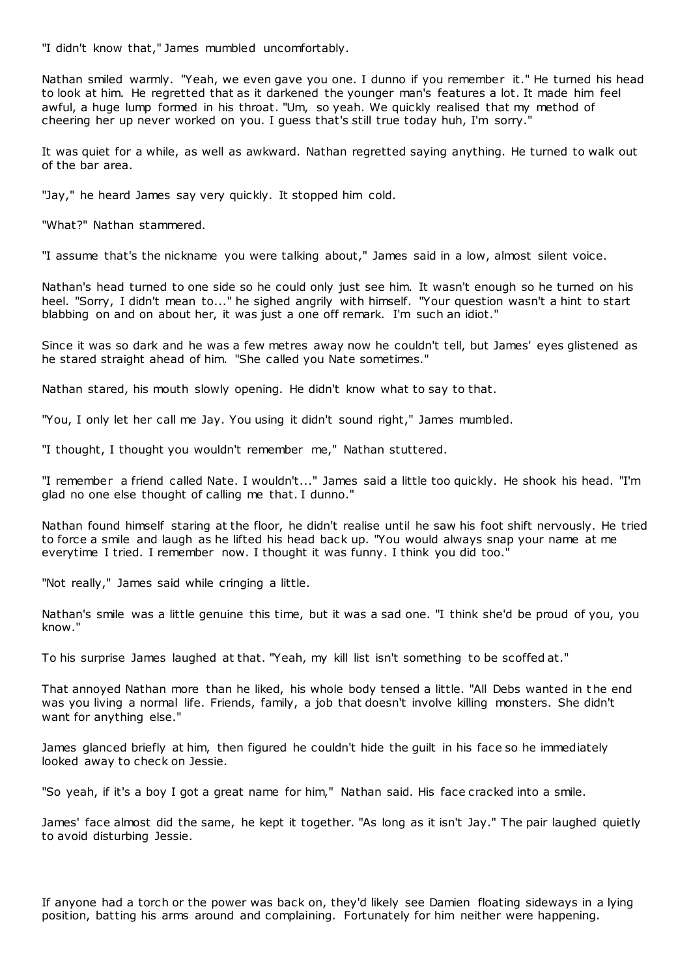"I didn't know that," James mumbled uncomfortably.

Nathan smiled warmly. "Yeah, we even gave you one. I dunno if you remember it." He turned his head to look at him. He regretted that as it darkened the younger man's features a lot. It made him feel awful, a huge lump formed in his throat. "Um, so yeah. We quickly realised that my method of cheering her up never worked on you. I guess that's still true today huh, I'm sorry."

It was quiet for a while, as well as awkward. Nathan regretted saying anything. He turned to walk out of the bar area.

"Jay," he heard James say very quickly. It stopped him cold.

"What?" Nathan stammered.

"I assume that's the nickname you were talking about," James said in a low, almost silent voice.

Nathan's head turned to one side so he could only just see him. It wasn't enough so he turned on his heel. "Sorry, I didn't mean to..." he sighed angrily with himself. "Your question wasn't a hint to start blabbing on and on about her, it was just a one off remark. I'm such an idiot."

Since it was so dark and he was a few metres away now he couldn't tell, but James' eyes glistened as he stared straight ahead of him. "She called you Nate sometimes."

Nathan stared, his mouth slowly opening. He didn't know what to say to that.

"You, I only let her call me Jay. You using it didn't sound right," James mumbled.

"I thought, I thought you wouldn't remember me," Nathan stuttered.

"I remember a friend called Nate. I wouldn't..." James said a little too quickly. He shook his head. "I'm glad no one else thought of calling me that. I dunno."

Nathan found himself staring at the floor, he didn't realise until he saw his foot shift nervously. He tried to force a smile and laugh as he lifted his head back up. "You would always snap your name at me everytime I tried. I remember now. I thought it was funny. I think you did too."

"Not really," James said while cringing a little.

Nathan's smile was a little genuine this time, but it was a sad one. "I think she'd be proud of you, you know."

To his surprise James laughed at that. "Yeah, my kill list isn't something to be scoffed at."

That annoyed Nathan more than he liked, his whole body tensed a little. "All Debs wanted in t he end was you living a normal life. Friends, family, a job that doesn't involve killing monsters. She didn't want for anything else."

James glanced briefly at him, then figured he couldn't hide the guilt in his face so he immediately looked away to check on Jessie.

"So yeah, if it's a boy I got a great name for him," Nathan said. His face cracked into a smile.

James' face almost did the same, he kept it together. "As long as it isn't Jay." The pair laughed quietly to avoid disturbing Jessie.

If anyone had a torch or the power was back on, they'd likely see Damien floating sideways in a lying position, batting his arms around and complaining. Fortunately for him neither were happening.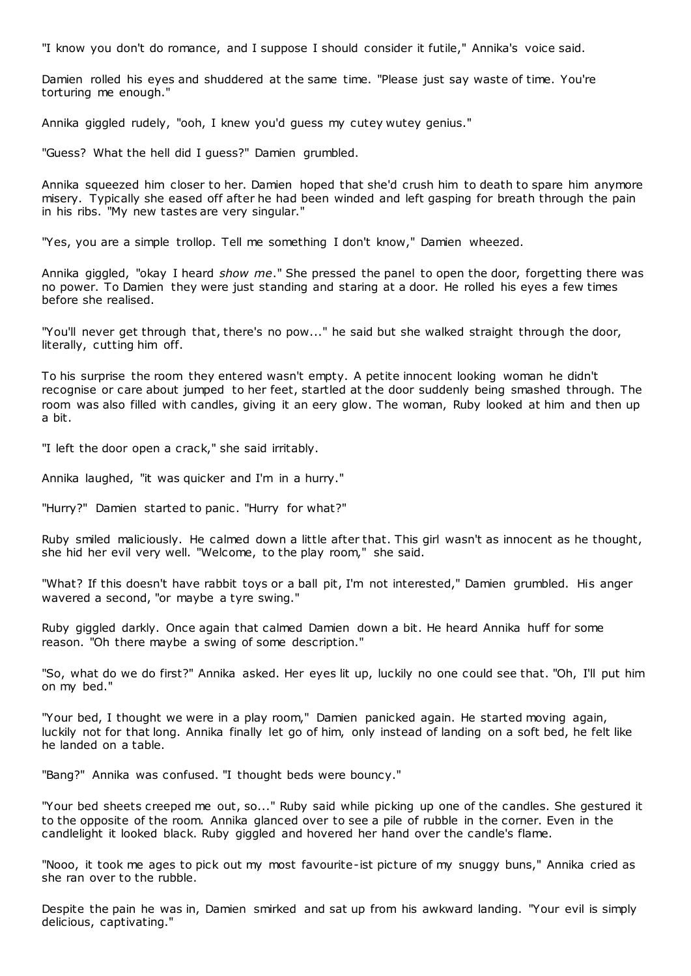"I know you don't do romance, and I suppose I should consider it futile," Annika's voice said.

Damien rolled his eyes and shuddered at the same time. "Please just say waste of time. You're torturing me enough."

Annika giggled rudely, "ooh, I knew you'd guess my cutey wutey genius."

"Guess? What the hell did I guess?" Damien grumbled.

Annika squeezed him closer to her. Damien hoped that she'd crush him to death to spare him anymore misery. Typically she eased off after he had been winded and left gasping for breath through the pain in his ribs. "My new tastes are very singular."

"Yes, you are a simple trollop. Tell me something I don't know," Damien wheezed.

Annika giggled, "okay I heard *show me*." She pressed the panel to open the door, forgetting there was no power. To Damien they were just standing and staring at a door. He rolled his eyes a few times before she realised.

"You'll never get through that, there's no pow..." he said but she walked straight through the door, literally, cutting him off.

To his surprise the room they entered wasn't empty. A petite innocent looking woman he didn't recognise or care about jumped to her feet, startled at the door suddenly being smashed through. The room was also filled with candles, giving it an eery glow. The woman, Ruby looked at him and then up a bit.

"I left the door open a crack," she said irritably.

Annika laughed, "it was quicker and I'm in a hurry."

"Hurry?" Damien started to panic. "Hurry for what?"

Ruby smiled maliciously. He calmed down a little after that. This girl wasn't as innocent as he thought, she hid her evil very well. "Welcome, to the play room," she said.

"What? If this doesn't have rabbit toys or a ball pit, I'm not interested," Damien grumbled. His anger wavered a second, "or maybe a tyre swing."

Ruby giggled darkly. Once again that calmed Damien down a bit. He heard Annika huff for some reason. "Oh there maybe a swing of some description."

"So, what do we do first?" Annika asked. Her eyes lit up, luckily no one could see that. "Oh, I'll put him on my bed."

"Your bed, I thought we were in a play room," Damien panicked again. He started moving again, luckily not for that long. Annika finally let go of him, only instead of landing on a soft bed, he felt like he landed on a table.

"Bang?" Annika was confused. "I thought beds were bouncy."

"Your bed sheets creeped me out, so..." Ruby said while picking up one of the candles. She gestured it to the opposite of the room. Annika glanced over to see a pile of rubble in the corner. Even in the candlelight it looked black. Ruby giggled and hovered her hand over the candle's flame.

"Nooo, it took me ages to pick out my most favourite-ist picture of my snuggy buns," Annika cried as she ran over to the rubble.

Despite the pain he was in, Damien smirked and sat up from his awkward landing. "Your evil is simply delicious, captivating."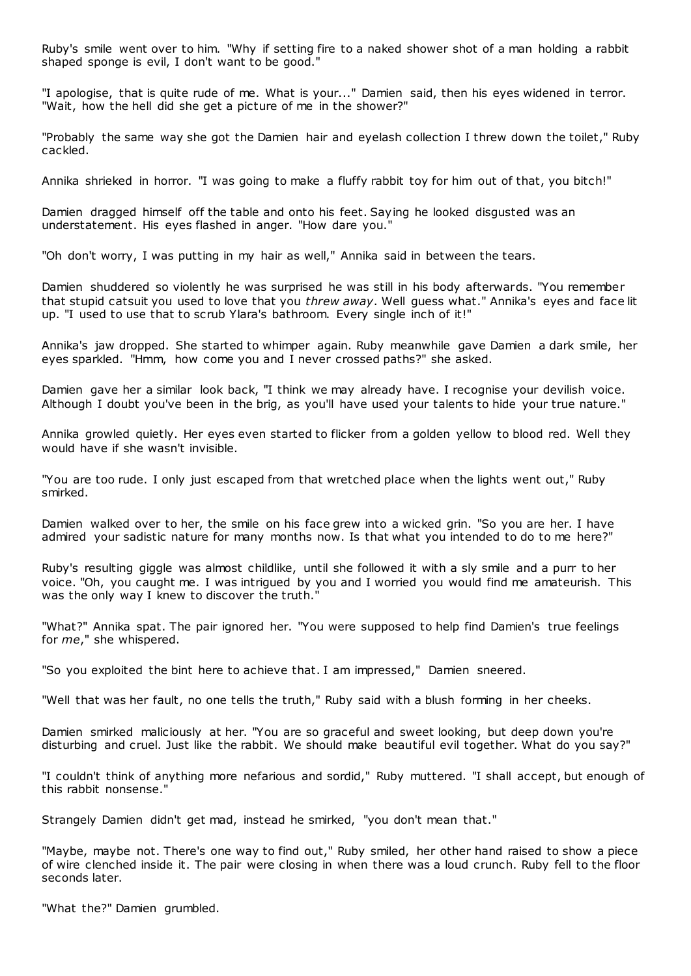Ruby's smile went over to him. "Why if setting fire to a naked shower shot of a man holding a rabbit shaped sponge is evil, I don't want to be good."

"I apologise, that is quite rude of me. What is your..." Damien said, then his eyes widened in terror. "Wait, how the hell did she get a picture of me in the shower?"

"Probably the same way she got the Damien hair and eyelash collection I threw down the toilet," Ruby cackled.

Annika shrieked in horror. "I was going to make a fluffy rabbit toy for him out of that, you bitch!"

Damien dragged himself off the table and onto his feet. Saying he looked disgusted was an understatement. His eyes flashed in anger. "How dare you."

"Oh don't worry, I was putting in my hair as well," Annika said in between the tears.

Damien shuddered so violently he was surprised he was still in his body afterwards. "You remember that stupid catsuit you used to love that you *threw away*. Well guess what." Annika's eyes and face lit up. "I used to use that to scrub Ylara's bathroom. Every single inch of it!"

Annika's jaw dropped. She started to whimper again. Ruby meanwhile gave Damien a dark smile, her eyes sparkled. "Hmm, how come you and I never crossed paths?" she asked.

Damien gave her a similar look back, "I think we may already have. I recognise your devilish voice. Although I doubt you've been in the brig, as you'll have used your talents to hide your true nature."

Annika growled quietly. Her eyes even started to flicker from a golden yellow to blood red. Well they would have if she wasn't invisible.

"You are too rude. I only just escaped from that wretched place when the lights went out," Ruby smirked.

Damien walked over to her, the smile on his face grew into a wicked grin. "So you are her. I have admired your sadistic nature for many months now. Is that what you intended to do to me here?"

Ruby's resulting giggle was almost childlike, until she followed it with a sly smile and a purr to her voice. "Oh, you caught me. I was intrigued by you and I worried you would find me amateurish. This was the only way I knew to discover the truth.

"What?" Annika spat. The pair ignored her. "You were supposed to help find Damien's true feelings for *me*," she whispered.

"So you exploited the bint here to achieve that. I am impressed," Damien sneered.

"Well that was her fault, no one tells the truth," Ruby said with a blush forming in her cheeks.

Damien smirked maliciously at her. "You are so graceful and sweet looking, but deep down you're disturbing and cruel. Just like the rabbit. We should make beautiful evil together. What do you say?"

"I couldn't think of anything more nefarious and sordid," Ruby muttered. "I shall accept, but enough of this rabbit nonsense."

Strangely Damien didn't get mad, instead he smirked, "you don't mean that."

"Maybe, maybe not. There's one way to find out," Ruby smiled, her other hand raised to show a piece of wire clenched inside it. The pair were closing in when there was a loud crunch. Ruby fell to the floor seconds later.

"What the?" Damien grumbled.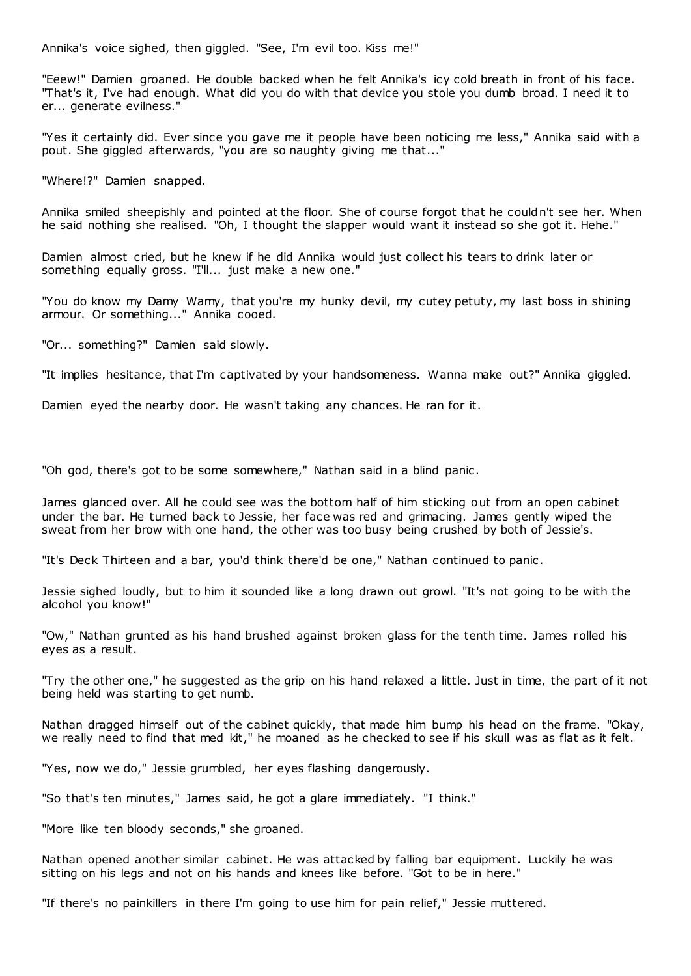Annika's voice sighed, then giggled. "See, I'm evil too. Kiss me!"

"Eeew!" Damien groaned. He double backed when he felt Annika's icy cold breath in front of his face. "That's it, I've had enough. What did you do with that device you stole you dumb broad. I need it to er... generate evilness."

"Yes it certainly did. Ever since you gave me it people have been noticing me less," Annika said with a pout. She giggled afterwards, "you are so naughty giving me that..."

"Where!?" Damien snapped.

Annika smiled sheepishly and pointed at the floor. She of course forgot that he couldn't see her. When he said nothing she realised. "Oh, I thought the slapper would want it instead so she got it. Hehe."

Damien almost cried, but he knew if he did Annika would just collect his tears to drink later or something equally gross. "I'll... just make a new one."

"You do know my Damy Wamy, that you're my hunky devil, my cutey petuty, my last boss in shining armour. Or something..." Annika cooed.

"Or... something?" Damien said slowly.

"It implies hesitance, that I'm captivated by your handsomeness. Wanna make out?" Annika giggled.

Damien eyed the nearby door. He wasn't taking any chances. He ran for it.

"Oh god, there's got to be some somewhere," Nathan said in a blind panic .

James glanced over. All he could see was the bottom half of him sticking out from an open cabinet under the bar. He turned back to Jessie, her face was red and grimacing. James gently wiped the sweat from her brow with one hand, the other was too busy being crushed by both of Jessie's.

"It's Deck Thirteen and a bar, you'd think there'd be one," Nathan continued to panic .

Jessie sighed loudly, but to him it sounded like a long drawn out growl. "It's not going to be with the alcohol you know!"

"Ow," Nathan grunted as his hand brushed against broken glass for the tenth time. James rolled his eyes as a result.

"Try the other one," he suggested as the grip on his hand relaxed a little. Just in time, the part of it not being held was starting to get numb.

Nathan dragged himself out of the cabinet quickly, that made him bump his head on the frame. "Okay, we really need to find that med kit," he moaned as he checked to see if his skull was as flat as it felt.

"Yes, now we do," Jessie grumbled, her eyes flashing dangerously.

"So that's ten minutes," James said, he got a glare immediately. "I think."

"More like ten bloody seconds," she groaned.

Nathan opened another similar cabinet. He was attacked by falling bar equipment. Luckily he was sitting on his legs and not on his hands and knees like before. "Got to be in here."

"If there's no painkillers in there I'm going to use him for pain relief," Jessie muttered.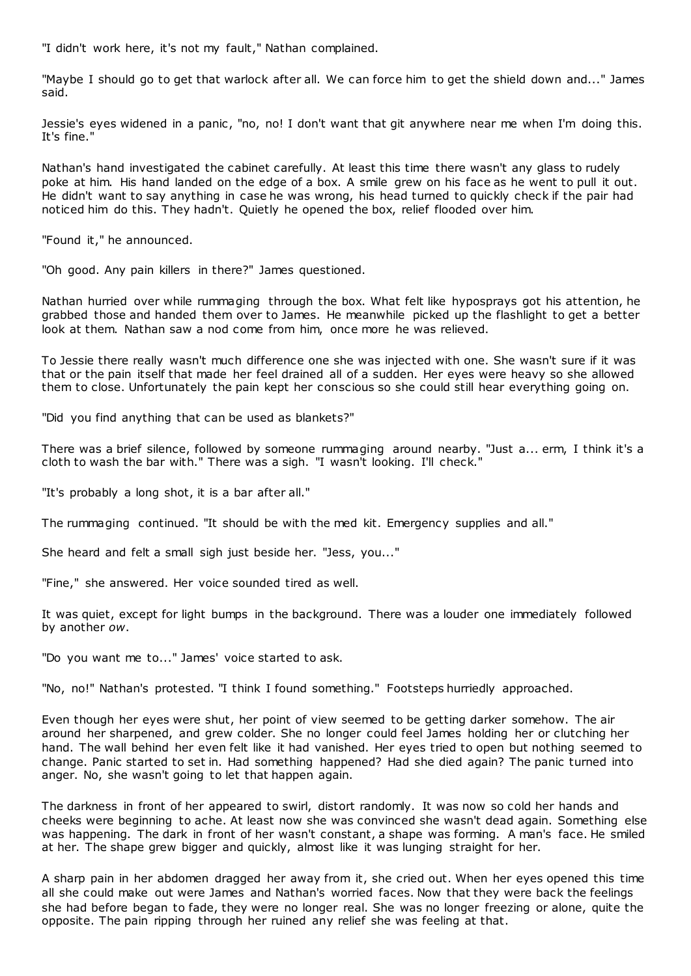"I didn't work here, it's not my fault," Nathan complained.

"Maybe I should go to get that warlock after all. We can force him to get the shield down and..." James said.

Jessie's eyes widened in a panic, "no, no! I don't want that git anywhere near me when I'm doing this. It's fine."

Nathan's hand investigated the cabinet carefully. At least this time there wasn't any glass to rudely poke at him. His hand landed on the edge of a box. A smile grew on his face as he went to pull it out. He didn't want to say anything in case he was wrong, his head turned to quickly check if the pair had noticed him do this. They hadn't. Quietly he opened the box, relief flooded over him.

"Found it," he announced.

"Oh good. Any pain killers in there?" James questioned.

Nathan hurried over while rummaging through the box. What felt like hyposprays got his attention, he grabbed those and handed them over to James. He meanwhile picked up the flashlight to get a better look at them. Nathan saw a nod come from him, once more he was relieved.

To Jessie there really wasn't much difference one she was injected with one. She wasn't sure if it was that or the pain itself that made her feel drained all of a sudden. Her eyes were heavy so she allowed them to close. Unfortunately the pain kept her conscious so she could still hear everything going on.

"Did you find anything that can be used as blankets?"

There was a brief silence, followed by someone rummaging around nearby. "Just a... erm, I think it's a cloth to wash the bar with." There was a sigh. "I wasn't looking. I'll check."

"It's probably a long shot, it is a bar after all."

The rummaging continued. "It should be with the med kit. Emergency supplies and all."

She heard and felt a small sigh just beside her. "Jess, you..."

"Fine," she answered. Her voice sounded tired as well.

It was quiet, except for light bumps in the background. There was a louder one immediately followed by another *ow*.

"Do you want me to..." James' voice started to ask.

"No, no!" Nathan's protested. "I think I found something." Footsteps hurriedly approached.

Even though her eyes were shut, her point of view seemed to be getting darker somehow. The air around her sharpened, and grew colder. She no longer could feel James holding her or clutching her hand. The wall behind her even felt like it had vanished. Her eyes tried to open but nothing seemed to change. Panic started to set in. Had something happened? Had she died again? The panic turned into anger. No, she wasn't going to let that happen again.

The darkness in front of her appeared to swirl, distort randomly. It was now so cold her hands and cheeks were beginning to ache. At least now she was convinced she wasn't dead again. Something else was happening. The dark in front of her wasn't constant, a shape was forming. A man's face. He smiled at her. The shape grew bigger and quickly, almost like it was lunging straight for her.

A sharp pain in her abdomen dragged her away from it, she cried out. When her eyes opened this time all she could make out were James and Nathan's worried faces. Now that they were back the feelings she had before began to fade, they were no longer real. She was no longer freezing or alone, quite the opposite. The pain ripping through her ruined any relief she was feeling at that.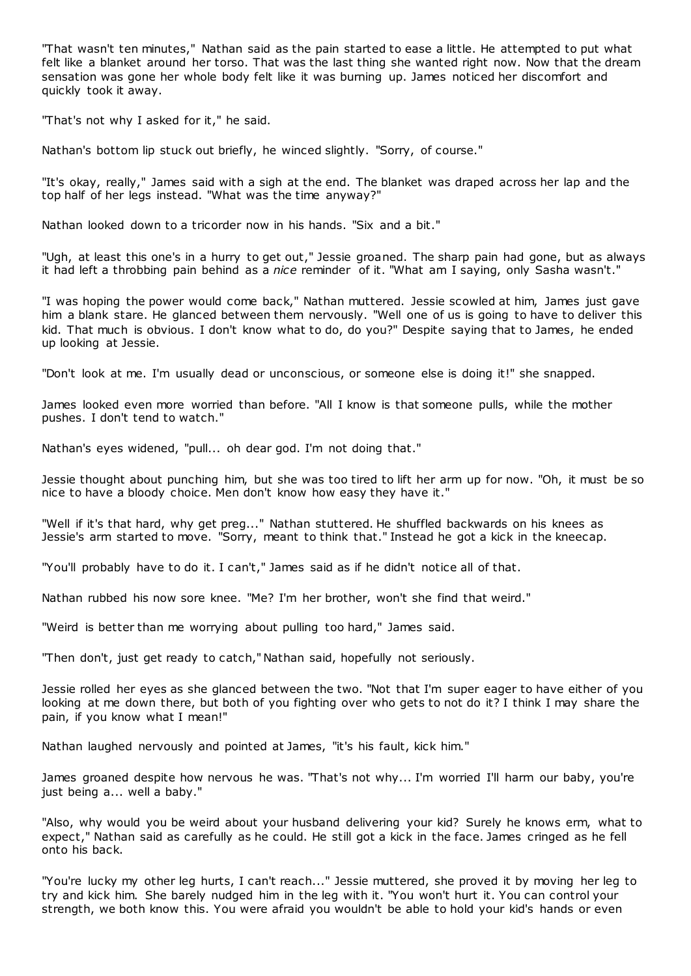"That wasn't ten minutes," Nathan said as the pain started to ease a little. He attempted to put what felt like a blanket around her torso. That was the last thing she wanted right now. Now that the dream sensation was gone her whole body felt like it was burning up. James noticed her discomfort and quickly took it away.

"That's not why I asked for it," he said.

Nathan's bottom lip stuck out briefly, he winced slightly. "Sorry, of course."

"It's okay, really," James said with a sigh at the end. The blanket was draped across her lap and the top half of her legs instead. "What was the time anyway?"

Nathan looked down to a tricorder now in his hands. "Six and a bit."

"Ugh, at least this one's in a hurry to get out," Jessie groaned. The sharp pain had gone, but as always it had left a throbbing pain behind as a *nice* reminder of it. "What am I saying, only Sasha wasn't."

"I was hoping the power would come back," Nathan muttered. Jessie scowled at him, James just gave him a blank stare. He glanced between them nervously. "Well one of us is going to have to deliver this kid. That much is obvious. I don't know what to do, do you?" Despite saying that to James, he ended up looking at Jessie.

"Don't look at me. I'm usually dead or unconscious, or someone else is doing it!" she snapped.

James looked even more worried than before. "All I know is that someone pulls, while the mother pushes. I don't tend to watch."

Nathan's eyes widened, "pull... oh dear god. I'm not doing that."

Jessie thought about punching him, but she was too tired to lift her arm up for now. "Oh, it must be so nice to have a bloody choice. Men don't know how easy they have it."

"Well if it's that hard, why get preg..." Nathan stuttered. He shuffled backwards on his knees as Jessie's arm started to move. "Sorry, meant to think that." Instead he got a kick in the kneecap.

"You'll probably have to do it. I can't," James said as if he didn't notice all of that.

Nathan rubbed his now sore knee. "Me? I'm her brother, won't she find that weird."

"Weird is better than me worrying about pulling too hard," James said.

"Then don't, just get ready to catch," Nathan said, hopefully not seriously.

Jessie rolled her eyes as she glanced between the two. "Not that I'm super eager to have either of you looking at me down there, but both of you fighting over who gets to not do it? I think I may share the pain, if you know what I mean!"

Nathan laughed nervously and pointed at James, "it's his fault, kick him."

James groaned despite how nervous he was. "That's not why... I'm worried I'll harm our baby, you're just being a... well a baby."

"Also, why would you be weird about your husband delivering your kid? Surely he knows erm, what to expect," Nathan said as carefully as he could. He still got a kick in the face. James cringed as he fell onto his back.

"You're lucky my other leg hurts, I can't reach..." Jessie muttered, she proved it by moving her leg to try and kick him. She barely nudged him in the leg with it. "You won't hurt it. You can control your strength, we both know this. You were afraid you wouldn't be able to hold your kid's hands or even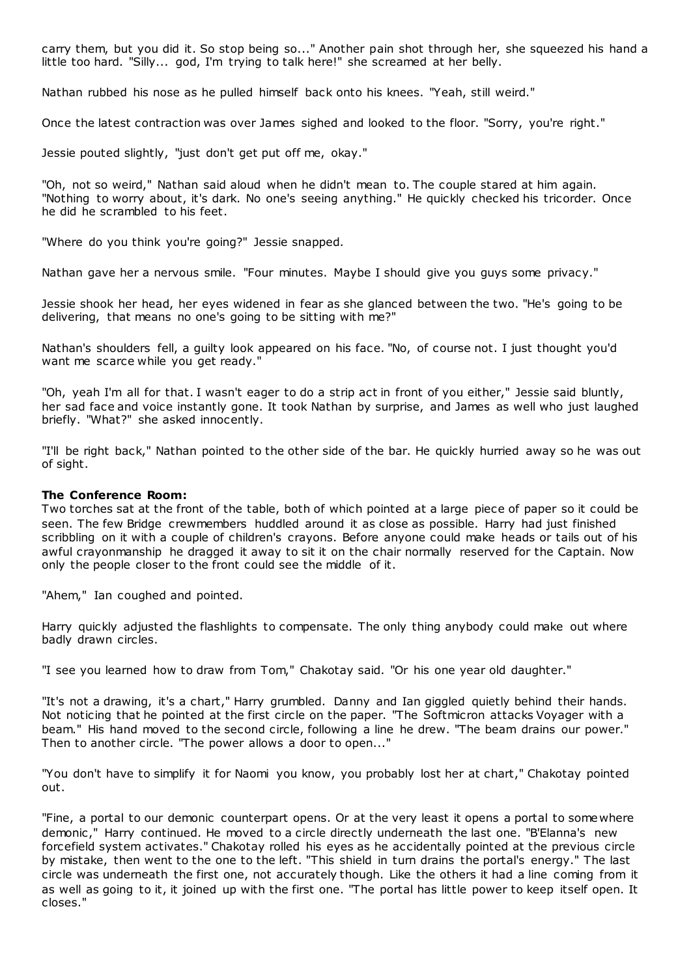carry them, but you did it. So stop being so..." Another pain shot through her, she squeezed his hand a little too hard. "Silly... god, I'm trying to talk here!" she screamed at her belly.

Nathan rubbed his nose as he pulled himself back onto his knees. "Yeah, still weird."

Once the latest contraction was over James sighed and looked to the floor. "Sorry, you're right."

Jessie pouted slightly, "just don't get put off me, okay."

"Oh, not so weird," Nathan said aloud when he didn't mean to. The couple stared at him again. "Nothing to worry about, it's dark. No one's seeing anything." He quickly checked his tricorder. Once he did he scrambled to his feet.

"Where do you think you're going?" Jessie snapped.

Nathan gave her a nervous smile. "Four minutes. Maybe I should give you guys some privacy."

Jessie shook her head, her eyes widened in fear as she glanced between the two. "He's going to be delivering, that means no one's going to be sitting with me?"

Nathan's shoulders fell, a guilty look appeared on his face. "No, of course not. I just thought you'd want me scarce while you get ready."

"Oh, yeah I'm all for that. I wasn't eager to do a strip act in front of you either," Jessie said bluntly, her sad face and voice instantly gone. It took Nathan by surprise, and James as well who just laughed briefly. "What?" she asked innocently.

"I'll be right back," Nathan pointed to the other side of the bar. He quickly hurried away so he was out of sight.

### **The Conference Room:**

Two torches sat at the front of the table, both of which pointed at a large piece of paper so it could be seen. The few Bridge crewmembers huddled around it as close as possible. Harry had just finished scribbling on it with a couple of children's crayons. Before anyone could make heads or tails out of his awful crayonmanship he dragged it away to sit it on the chair normally reserved for the Captain. Now only the people closer to the front could see the middle of it.

"Ahem," Ian coughed and pointed.

Harry quickly adjusted the flashlights to compensate. The only thing anybody could make out where badly drawn circles.

"I see you learned how to draw from Tom," Chakotay said. "Or his one year old daughter."

"It's not a drawing, it's a chart," Harry grumbled. Danny and Ian giggled quietly behind their hands. Not noticing that he pointed at the first circle on the paper. "The Softmicron attacks Voyager with a beam." His hand moved to the second circle, following a line he drew. "The beam drains our power." Then to another circle. "The power allows a door to open..."

"You don't have to simplify it for Naomi you know, you probably lost her at chart," Chakotay pointed out.

"Fine, a portal to our demonic counterpart opens. Or at the very least it opens a portal to some where demonic ," Harry continued. He moved to a circle directly underneath the last one. "B'Elanna's new forcefield system activates." Chakotay rolled his eyes as he accidentally pointed at the previous circle by mistake, then went to the one to the left. "This shield in turn drains the portal's energy." The last circle was underneath the first one, not accurately though. Like the others it had a line coming from it as well as going to it, it joined up with the first one. "The portal has little power to keep itself open. It closes."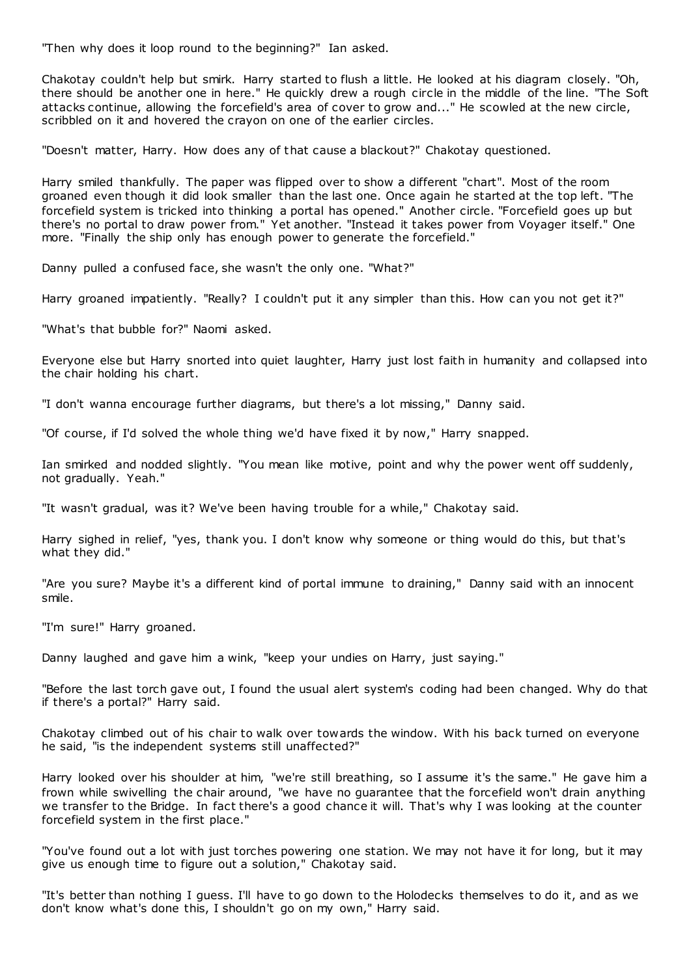"Then why does it loop round to the beginning?" Ian asked.

Chakotay couldn't help but smirk. Harry started to flush a little. He looked at his diagram closely. "Oh, there should be another one in here." He quickly drew a rough circle in the middle of the line. "The Soft attacks continue, allowing the forcefield's area of cover to grow and..." He scowled at the new circle, scribbled on it and hovered the crayon on one of the earlier circles.

"Doesn't matter, Harry. How does any of that cause a blackout?" Chakotay questioned.

Harry smiled thankfully. The paper was flipped over to show a different "chart". Most of the room groaned even though it did look smaller than the last one. Once again he started at the top left. "The forcefield system is tricked into thinking a portal has opened." Another circle. "Forcefield goes up but there's no portal to draw power from." Yet another. "Instead it takes power from Voyager itself." One more. "Finally the ship only has enough power to generate the forcefield."

Danny pulled a confused face, she wasn't the only one. "What?"

Harry groaned impatiently. "Really? I couldn't put it any simpler than this. How can you not get it?"

"What's that bubble for?" Naomi asked.

Everyone else but Harry snorted into quiet laughter, Harry just lost faith in humanity and collapsed into the chair holding his chart.

"I don't wanna encourage further diagrams, but there's a lot missing," Danny said.

"Of course, if I'd solved the whole thing we'd have fixed it by now," Harry snapped.

Ian smirked and nodded slightly. "You mean like motive, point and why the power went off suddenly, not gradually. Yeah."

"It wasn't gradual, was it? We've been having trouble for a while," Chakotay said.

Harry sighed in relief, "yes, thank you. I don't know why someone or thing would do this, but that's what they did."

"Are you sure? Maybe it's a different kind of portal immune to draining," Danny said with an innocent smile.

"I'm sure!" Harry groaned.

Danny laughed and gave him a wink, "keep your undies on Harry, just saying."

"Before the last torch gave out, I found the usual alert system's coding had been changed. Why do that if there's a portal?" Harry said.

Chakotay climbed out of his chair to walk over towards the window. With his back turned on everyone he said, "is the independent systems still unaffected?"

Harry looked over his shoulder at him, "we're still breathing, so I assume it's the same." He gave him a frown while swivelling the chair around, "we have no guarantee that the forcefield won't drain anything we transfer to the Bridge. In fact there's a good chance it will. That's why I was looking at the counter forcefield system in the first place."

"You've found out a lot with just torches powering one station. We may not have it for long, but it may give us enough time to figure out a solution," Chakotay said.

"It's better than nothing I guess. I'll have to go down to the Holodecks themselves to do it, and as we don't know what's done this, I shouldn't go on my own," Harry said.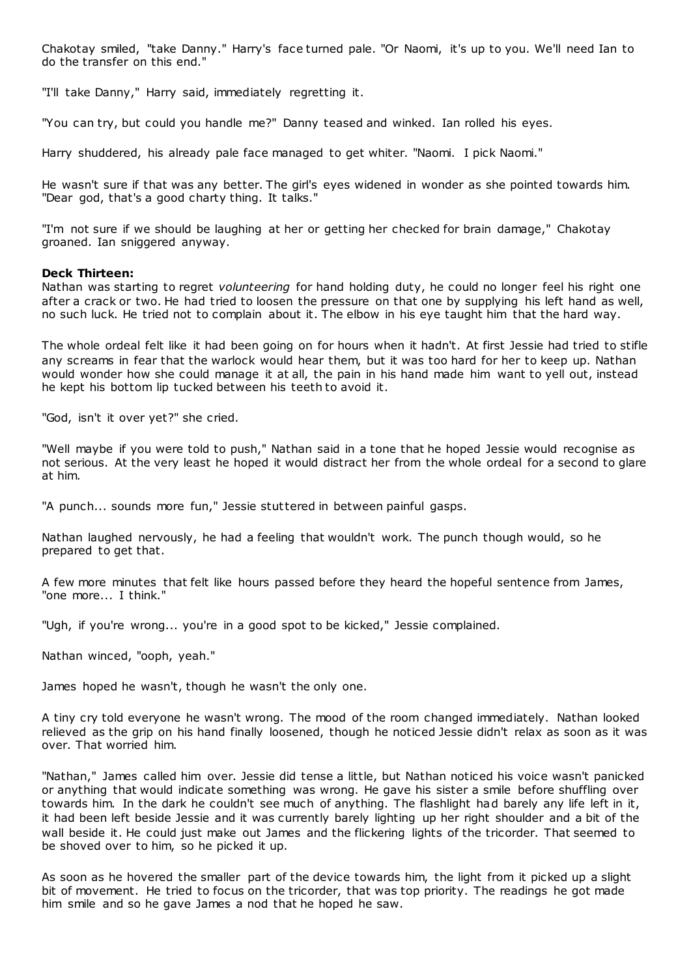Chakotay smiled, "take Danny." Harry's face turned pale. "Or Naomi, it's up to you. We'll need Ian to do the transfer on this end."

"I'll take Danny," Harry said, immediately regretting it.

"You can try, but could you handle me?" Danny teased and winked. Ian rolled his eyes.

Harry shuddered, his already pale face managed to get whiter. "Naomi. I pick Naomi."

He wasn't sure if that was any better. The girl's eyes widened in wonder as she pointed towards him. "Dear god, that's a good charty thing. It talks."

"I'm not sure if we should be laughing at her or getting her checked for brain damage," Chakotay groaned. Ian sniggered anyway.

### **Deck Thirteen:**

Nathan was starting to regret *volunteering* for hand holding duty, he could no longer feel his right one after a crack or two. He had tried to loosen the pressure on that one by supplying his left hand as well, no such luck. He tried not to complain about it. The elbow in his eye taught him that the hard way.

The whole ordeal felt like it had been going on for hours when it hadn't. At first Jessie had tried to stifle any screams in fear that the warlock would hear them, but it was too hard for her to keep up. Nathan would wonder how she could manage it at all, the pain in his hand made him want to yell out, instead he kept his bottom lip tucked between his teeth to avoid it.

"God, isn't it over yet?" she cried.

"Well maybe if you were told to push," Nathan said in a tone that he hoped Jessie would recognise as not serious. At the very least he hoped it would distract her from the whole ordeal for a second to glare at him.

"A punch... sounds more fun," Jessie stuttered in between painful gasps.

Nathan laughed nervously, he had a feeling that wouldn't work. The punch though would, so he prepared to get that.

A few more minutes that felt like hours passed before they heard the hopeful sentence from James, "one more... I think."

"Ugh, if you're wrong... you're in a good spot to be kicked," Jessie complained.

Nathan winced, "ooph, yeah."

James hoped he wasn't, though he wasn't the only one.

A tiny cry told everyone he wasn't wrong. The mood of the room changed immediately. Nathan looked relieved as the grip on his hand finally loosened, though he noticed Jessie didn't relax as soon as it was over. That worried him.

"Nathan," James called him over. Jessie did tense a little, but Nathan noticed his voice wasn't panicked or anything that would indicate something was wrong. He gave his sister a smile before shuffling over towards him. In the dark he couldn't see much of anything. The flashlight had barely any life left in it, it had been left beside Jessie and it was currently barely lighting up her right shoulder and a bit of the wall beside it. He could just make out James and the flickering lights of the tricorder. That seemed to be shoved over to him, so he picked it up.

As soon as he hovered the smaller part of the device towards him, the light from it picked up a slight bit of movement. He tried to focus on the tricorder, that was top priority. The readings he got made him smile and so he gave James a nod that he hoped he saw.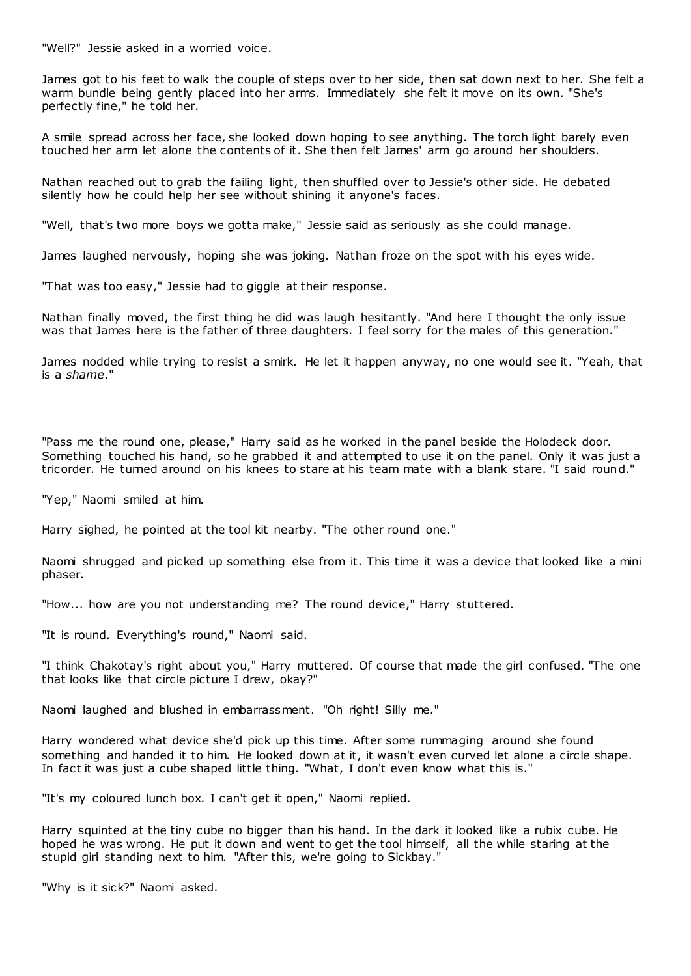"Well?" Jessie asked in a worried voice.

James got to his feet to walk the couple of steps over to her side, then sat down next to her. She felt a warm bundle being gently placed into her arms. Immediately she felt it move on its own. "She's perfectly fine," he told her.

A smile spread across her face, she looked down hoping to see anything. The torch light barely even touched her arm let alone the contents of it. She then felt James' arm go around her shoulders.

Nathan reached out to grab the failing light, then shuffled over to Jessie's other side. He debated silently how he could help her see without shining it anyone's faces.

"Well, that's two more boys we gotta make," Jessie said as seriously as she could manage.

James laughed nervously, hoping she was joking. Nathan froze on the spot with his eyes wide.

"That was too easy," Jessie had to giggle at their response.

Nathan finally moved, the first thing he did was laugh hesitantly. "And here I thought the only issue was that James here is the father of three daughters. I feel sorry for the males of this generation."

James nodded while trying to resist a smirk. He let it happen anyway, no one would see it. "Yeah, that is a *shame*."

"Pass me the round one, please," Harry said as he worked in the panel beside the Holodeck door. Something touched his hand, so he grabbed it and attempted to use it on the panel. Only it was just a tricorder. He turned around on his knees to stare at his team mate with a blank stare. "I said round."

"Yep," Naomi smiled at him.

Harry sighed, he pointed at the tool kit nearby. "The other round one."

Naomi shrugged and picked up something else from it. This time it was a device that looked like a mini phaser.

"How... how are you not understanding me? The round device," Harry stuttered.

"It is round. Everything's round," Naomi said.

"I think Chakotay's right about you," Harry muttered. Of course that made the girl confused. "The one that looks like that circle picture I drew, okay?"

Naomi laughed and blushed in embarrassment. "Oh right! Silly me."

Harry wondered what device she'd pick up this time. After some rummaging around she found something and handed it to him. He looked down at it, it wasn't even curved let alone a circle shape. In fact it was just a cube shaped little thing. "What, I don't even know what this is."

"It's my coloured lunch box. I can't get it open," Naomi replied.

Harry squinted at the tiny cube no bigger than his hand. In the dark it looked like a rubix cube. He hoped he was wrong. He put it down and went to get the tool himself, all the while staring at the stupid girl standing next to him. "After this, we're going to Sickbay."

"Why is it sick?" Naomi asked.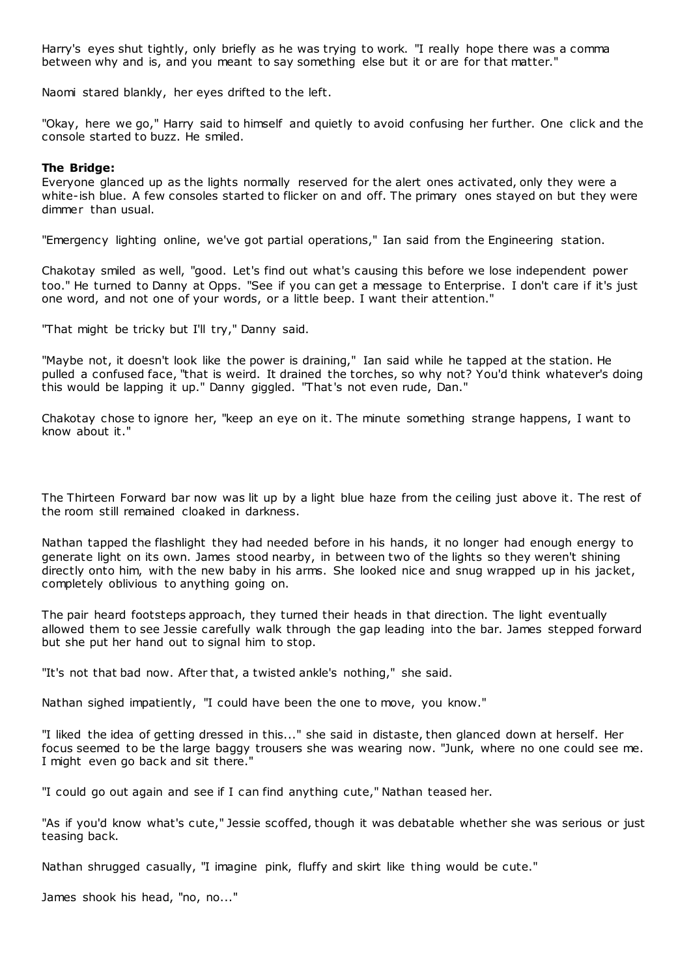Harry's eyes shut tightly, only briefly as he was trying to work. "I really hope there was a comma between why and is, and you meant to say something else but it or are for that matter."

Naomi stared blankly, her eyes drifted to the left.

"Okay, here we go," Harry said to himself and quietly to avoid confusing her further. One click and the console started to buzz. He smiled.

#### **The Bridge:**

Everyone glanced up as the lights normally reserved for the alert ones activated, only they were a white-ish blue. A few consoles started to flicker on and off. The primary ones stayed on but they were dimmer than usual.

"Emergency lighting online, we've got partial operations," Ian said from the Engineering station.

Chakotay smiled as well, "good. Let's find out what's causing this before we lose independent power too." He turned to Danny at Opps. "See if you can get a message to Enterprise. I don't care if it's just one word, and not one of your words, or a little beep. I want their attention."

"That might be tricky but I'll try," Danny said.

"Maybe not, it doesn't look like the power is draining," Ian said while he tapped at the station. He pulled a confused face, "that is weird. It drained the torches, so why not? You'd think whatever's doing this would be lapping it up." Danny giggled. "That's not even rude, Dan."

Chakotay chose to ignore her, "keep an eye on it. The minute something strange happens, I want to know about it."

The Thirteen Forward bar now was lit up by a light blue haze from the ceiling just above it. The rest of the room still remained cloaked in darkness.

Nathan tapped the flashlight they had needed before in his hands, it no longer had enough energy to generate light on its own. James stood nearby, in between two of the lights so they weren't shining directly onto him, with the new baby in his arms. She looked nice and snug wrapped up in his jacket, completely oblivious to anything going on.

The pair heard footsteps approach, they turned their heads in that direction. The light eventually allowed them to see Jessie carefully walk through the gap leading into the bar. James stepped forward but she put her hand out to signal him to stop.

"It's not that bad now. After that, a twisted ankle's nothing," she said.

Nathan sighed impatiently, "I could have been the one to move, you know."

"I liked the idea of getting dressed in this..." she said in distaste, then glanced down at herself. Her focus seemed to be the large baggy trousers she was wearing now. "Junk, where no one could see me. I might even go back and sit there."

"I could go out again and see if I can find anything cute," Nathan teased her.

"As if you'd know what's cute," Jessie scoffed, though it was debatable whether she was serious or just teasing back.

Nathan shrugged casually, "I imagine pink, fluffy and skirt like thing would be cute."

James shook his head, "no, no..."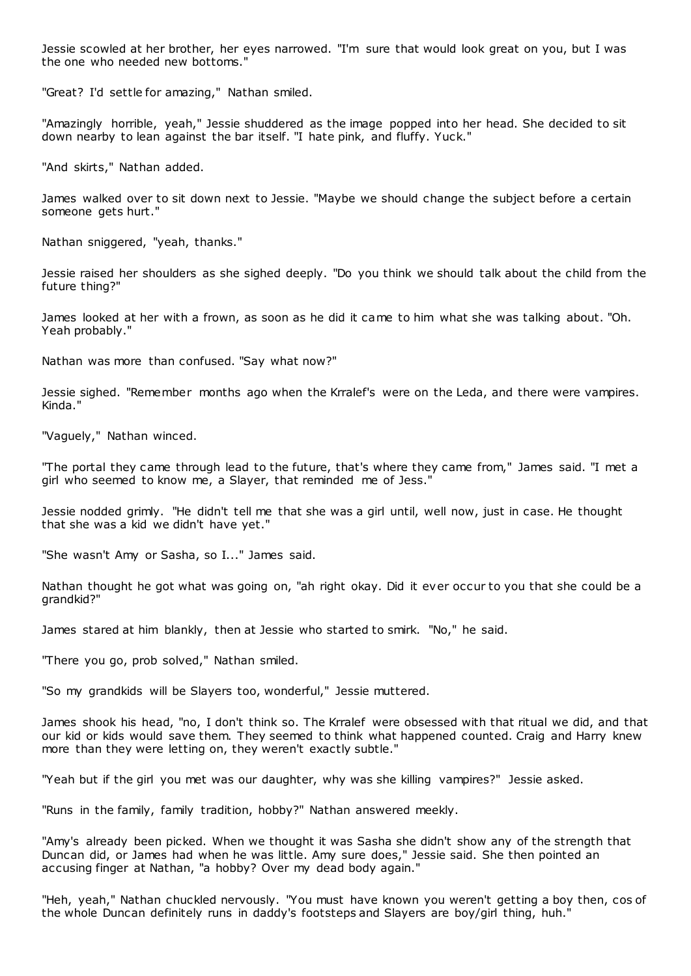Jessie scowled at her brother, her eyes narrowed. "I'm sure that would look great on you, but I was the one who needed new bottoms."

"Great? I'd settle for amazing," Nathan smiled.

"Amazingly horrible, yeah," Jessie shuddered as the image popped into her head. She decided to sit down nearby to lean against the bar itself. "I hate pink, and fluffy. Yuck."

"And skirts," Nathan added.

James walked over to sit down next to Jessie. "Maybe we should change the subject before a certain someone gets hurt."

Nathan sniggered, "yeah, thanks."

Jessie raised her shoulders as she sighed deeply. "Do you think we should talk about the child from the future thing?"

James looked at her with a frown, as soon as he did it came to him what she was talking about. "Oh. Yeah probably."

Nathan was more than confused. "Say what now?"

Jessie sighed. "Remember months ago when the Krralef's were on the Leda, and there were vampires. Kinda."

"Vaguely," Nathan winced.

"The portal they came through lead to the future, that's where they came from," James said. "I met a girl who seemed to know me, a Slayer, that reminded me of Jess."

Jessie nodded grimly. "He didn't tell me that she was a girl until, well now, just in case. He thought that she was a kid we didn't have yet."

"She wasn't Amy or Sasha, so I..." James said.

Nathan thought he got what was going on, "ah right okay. Did it ever occur to you that she could be a grandkid?"

James stared at him blankly, then at Jessie who started to smirk. "No," he said.

"There you go, prob solved," Nathan smiled.

"So my grandkids will be Slayers too, wonderful," Jessie muttered.

James shook his head, "no, I don't think so. The Krralef were obsessed with that ritual we did, and that our kid or kids would save them. They seemed to think what happened counted. Craig and Harry knew more than they were letting on, they weren't exactly subtle."

"Yeah but if the girl you met was our daughter, why was she killing vampires?" Jessie asked.

"Runs in the family, family tradition, hobby?" Nathan answered meekly.

"Amy's already been picked. When we thought it was Sasha she didn't show any of the strength that Duncan did, or James had when he was little. Amy sure does," Jessie said. She then pointed an accusing finger at Nathan, "a hobby? Over my dead body again."

"Heh, yeah," Nathan chuckled nervously. "You must have known you weren't getting a boy then, cos of the whole Duncan definitely runs in daddy's footsteps and Slayers are boy/girl thing, huh."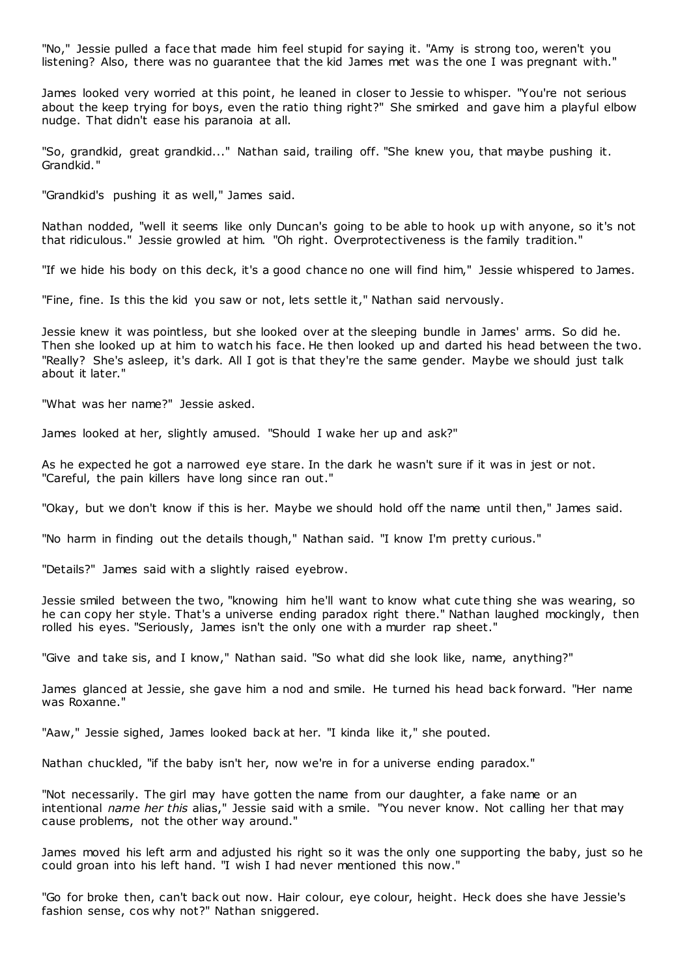"No," Jessie pulled a face that made him feel stupid for saying it. "Amy is strong too, weren't you listening? Also, there was no guarantee that the kid James met was the one I was pregnant with."

James looked very worried at this point, he leaned in closer to Jessie to whisper. "You're not serious about the keep trying for boys, even the ratio thing right?" She smirked and gave him a playful elbow nudge. That didn't ease his paranoia at all.

"So, grandkid, great grandkid..." Nathan said, trailing off. "She knew you, that maybe pushing it. Grandkid."

"Grandkid's pushing it as well," James said.

Nathan nodded, "well it seems like only Duncan's going to be able to hook up with anyone, so it's not that ridiculous." Jessie growled at him. "Oh right. Overprotectiveness is the family tradition."

"If we hide his body on this deck, it's a good chance no one will find him," Jessie whispered to James.

"Fine, fine. Is this the kid you saw or not, lets settle it," Nathan said nervously.

Jessie knew it was pointless, but she looked over at the sleeping bundle in James' arms. So did he. Then she looked up at him to watch his face. He then looked up and darted his head between the two. "Really? She's asleep, it's dark. All I got is that they're the same gender. Maybe we should just talk about it later."

"What was her name?" Jessie asked.

James looked at her, slightly amused. "Should I wake her up and ask?"

As he expected he got a narrowed eye stare. In the dark he wasn't sure if it was in jest or not. "Careful, the pain killers have long since ran out."

"Okay, but we don't know if this is her. Maybe we should hold off the name until then," James said.

"No harm in finding out the details though," Nathan said. "I know I'm pretty curious."

"Details?" James said with a slightly raised eyebrow.

Jessie smiled between the two, "knowing him he'll want to know what cute thing she was wearing, so he can copy her style. That's a universe ending paradox right there." Nathan laughed mockingly, then rolled his eyes. "Seriously, James isn't the only one with a murder rap sheet."

"Give and take sis, and I know," Nathan said. "So what did she look like, name, anything?"

James glanced at Jessie, she gave him a nod and smile. He turned his head back forward. "Her name was Roxanne."

"Aaw," Jessie sighed, James looked back at her. "I kinda like it," she pouted.

Nathan chuckled, "if the baby isn't her, now we're in for a universe ending paradox."

"Not necessarily. The girl may have gotten the name from our daughter, a fake name or an intentional *name her this* alias," Jessie said with a smile. "You never know. Not calling her that may cause problems, not the other way around."

James moved his left arm and adjusted his right so it was the only one supporting the baby, just so he could groan into his left hand. "I wish I had never mentioned this now."

"Go for broke then, can't back out now. Hair colour, eye colour, height. Heck does she have Jessie's fashion sense, cos why not?" Nathan sniggered.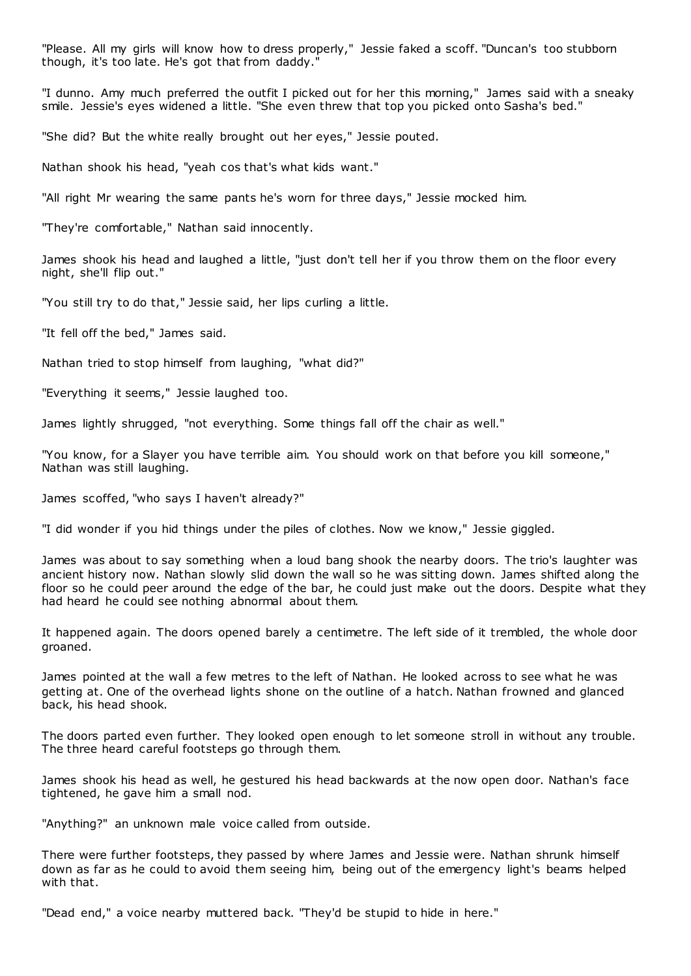"Please. All my girls will know how to dress properly," Jessie faked a scoff. "Duncan's too stubborn though, it's too late. He's got that from daddy."

"I dunno. Amy much preferred the outfit I picked out for her this morning," James said with a sneaky smile. Jessie's eyes widened a little. "She even threw that top you picked onto Sasha's bed."

"She did? But the white really brought out her eyes," Jessie pouted.

Nathan shook his head, "yeah cos that's what kids want."

"All right Mr wearing the same pants he's worn for three days," Jessie mocked him.

"They're comfortable," Nathan said innocently.

James shook his head and laughed a little, "just don't tell her if you throw them on the floor every night, she'll flip out."

"You still try to do that," Jessie said, her lips curling a little.

"It fell off the bed," James said.

Nathan tried to stop himself from laughing, "what did?"

"Everything it seems," Jessie laughed too.

James lightly shrugged, "not everything. Some things fall off the chair as well."

"You know, for a Slayer you have terrible aim. You should work on that before you kill someone," Nathan was still laughing.

James scoffed, "who says I haven't already?"

"I did wonder if you hid things under the piles of clothes. Now we know," Jessie giggled.

James was about to say something when a loud bang shook the nearby doors. The trio's laughter was ancient history now. Nathan slowly slid down the wall so he was sitting down. James shifted along the floor so he could peer around the edge of the bar, he could just make out the doors. Despite what they had heard he could see nothing abnormal about them.

It happened again. The doors opened barely a centimetre. The left side of it trembled, the whole door groaned.

James pointed at the wall a few metres to the left of Nathan. He looked across to see what he was getting at. One of the overhead lights shone on the outline of a hatch. Nathan frowned and glanced back, his head shook.

The doors parted even further. They looked open enough to let someone stroll in without any trouble. The three heard careful footsteps go through them.

James shook his head as well, he gestured his head backwards at the now open door. Nathan's face tightened, he gave him a small nod.

"Anything?" an unknown male voice called from outside.

There were further footsteps, they passed by where James and Jessie were. Nathan shrunk himself down as far as he could to avoid them seeing him, being out of the emergency light's beams helped with that.

"Dead end," a voice nearby muttered back. "They'd be stupid to hide in here."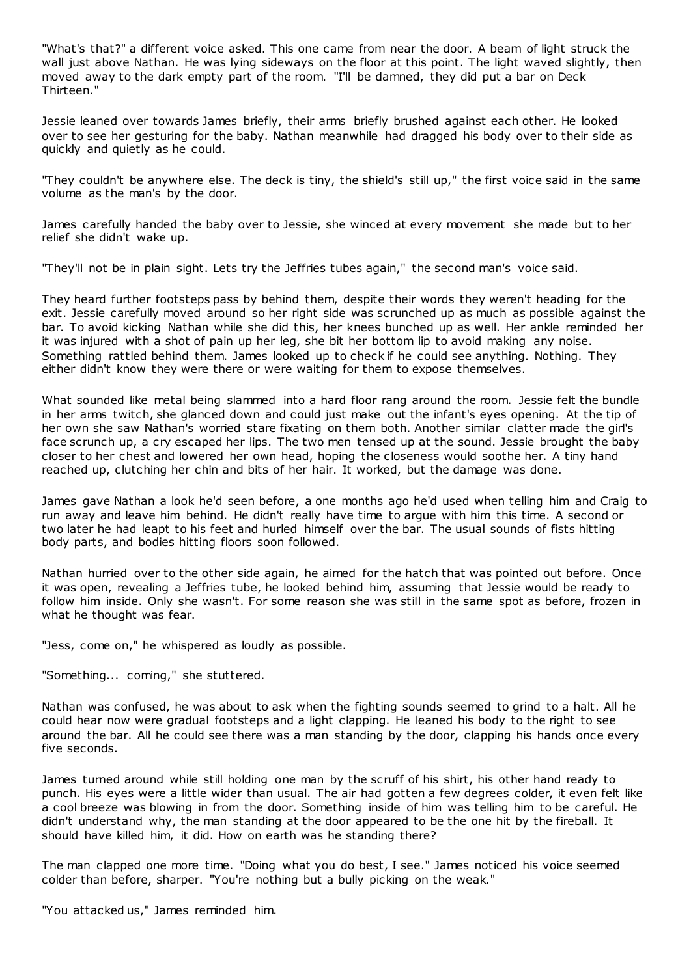"What's that?" a different voice asked. This one came from near the door. A beam of light struck the wall just above Nathan. He was lying sideways on the floor at this point. The light waved slightly, then moved away to the dark empty part of the room. "I'll be damned, they did put a bar on Deck Thirteen."

Jessie leaned over towards James briefly, their arms briefly brushed against each other. He looked over to see her gesturing for the baby. Nathan meanwhile had dragged his body over to their side as quickly and quietly as he could.

"They couldn't be anywhere else. The deck is tiny, the shield's still up," the first voice said in the same volume as the man's by the door.

James carefully handed the baby over to Jessie, she winced at every movement she made but to her relief she didn't wake up.

"They'll not be in plain sight. Lets try the Jeffries tubes again," the second man's voice said.

They heard further footsteps pass by behind them, despite their words they weren't heading for the exit. Jessie carefully moved around so her right side was scrunched up as much as possible against the bar. To avoid kicking Nathan while she did this, her knees bunched up as well. Her ankle reminded her it was injured with a shot of pain up her leg, she bit her bottom lip to avoid making any noise. Something rattled behind them. James looked up to check if he could see anything. Nothing. They either didn't know they were there or were waiting for them to expose themselves.

What sounded like metal being slammed into a hard floor rang around the room. Jessie felt the bundle in her arms twitch, she glanced down and could just make out the infant's eyes opening. At the tip of her own she saw Nathan's worried stare fixating on them both. Another similar clatter made the girl's face scrunch up, a cry escaped her lips. The two men tensed up at the sound. Jessie brought the baby closer to her chest and lowered her own head, hoping the closeness would soothe her. A tiny hand reached up, clutching her chin and bits of her hair. It worked, but the damage was done.

James gave Nathan a look he'd seen before, a one months ago he'd used when telling him and Craig to run away and leave him behind. He didn't really have time to argue with him this time. A second or two later he had leapt to his feet and hurled himself over the bar. The usual sounds of fists hitting body parts, and bodies hitting floors soon followed.

Nathan hurried over to the other side again, he aimed for the hatch that was pointed out before. Once it was open, revealing a Jeffries tube, he looked behind him, assuming that Jessie would be ready to follow him inside. Only she wasn't. For some reason she was still in the same spot as before, frozen in what he thought was fear.

"Jess, come on," he whispered as loudly as possible.

"Something... coming," she stuttered.

Nathan was confused, he was about to ask when the fighting sounds seemed to grind to a halt. All he could hear now were gradual footsteps and a light clapping. He leaned his body to the right to see around the bar. All he could see there was a man standing by the door, clapping his hands once every five seconds.

James turned around while still holding one man by the scruff of his shirt, his other hand ready to punch. His eyes were a little wider than usual. The air had gotten a few degrees colder, it even felt like a cool breeze was blowing in from the door. Something inside of him was telling him to be careful. He didn't understand why, the man standing at the door appeared to be the one hit by the fireball. It should have killed him, it did. How on earth was he standing there?

The man clapped one more time. "Doing what you do best, I see." James noticed his voice seemed colder than before, sharper. "You're nothing but a bully picking on the weak."

"You attacked us," James reminded him.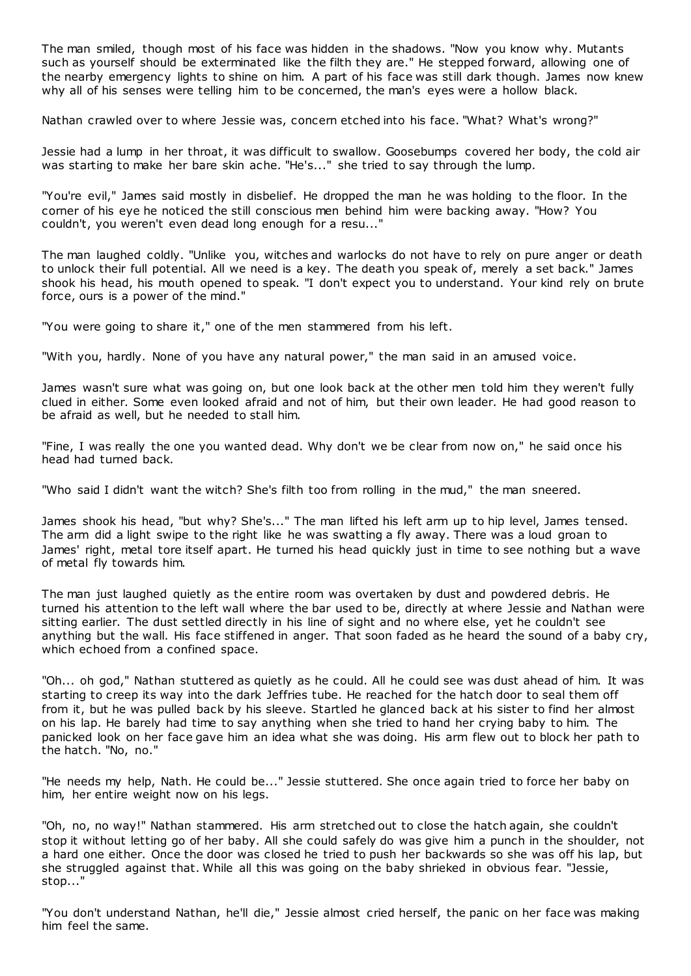The man smiled, though most of his face was hidden in the shadows. "Now you know why. Mutants such as yourself should be exterminated like the filth they are." He stepped forward, allowing one of the nearby emergency lights to shine on him. A part of his face was still dark though. James now knew why all of his senses were telling him to be concerned, the man's eyes were a hollow black.

Nathan crawled over to where Jessie was, concern etched into his face. "What? What's wrong?"

Jessie had a lump in her throat, it was difficult to swallow. Goosebumps covered her body, the cold air was starting to make her bare skin ache. "He's..." she tried to say through the lump.

"You're evil," James said mostly in disbelief. He dropped the man he was holding to the floor. In the corner of his eye he noticed the still conscious men behind him were backing away. "How? You couldn't, you weren't even dead long enough for a resu..."

The man laughed coldly. "Unlike you, witches and warlocks do not have to rely on pure anger or death to unlock their full potential. All we need is a key. The death you speak of, merely a set back." James shook his head, his mouth opened to speak. "I don't expect you to understand. Your kind rely on brute force, ours is a power of the mind."

"You were going to share it," one of the men stammered from his left.

"With you, hardly. None of you have any natural power," the man said in an amused voice.

James wasn't sure what was going on, but one look back at the other men told him they weren't fully clued in either. Some even looked afraid and not of him, but their own leader. He had good reason to be afraid as well, but he needed to stall him.

"Fine, I was really the one you wanted dead. Why don't we be clear from now on," he said once his head had turned back.

"Who said I didn't want the witch? She's filth too from rolling in the mud," the man sneered.

James shook his head, "but why? She's..." The man lifted his left arm up to hip level, James tensed. The arm did a light swipe to the right like he was swatting a fly away. There was a loud groan to James' right, metal tore itself apart. He turned his head quickly just in time to see nothing but a wave of metal fly towards him.

The man just laughed quietly as the entire room was overtaken by dust and powdered debris. He turned his attention to the left wall where the bar used to be, directly at where Jessie and Nathan were sitting earlier. The dust settled directly in his line of sight and no where else, yet he couldn't see anything but the wall. His face stiffened in anger. That soon faded as he heard the sound of a baby cry, which echoed from a confined space.

"Oh... oh god," Nathan stuttered as quietly as he could. All he could see was dust ahead of him. It was starting to creep its way into the dark Jeffries tube. He reached for the hatch door to seal them off from it, but he was pulled back by his sleeve. Startled he glanced back at his sister to find her almost on his lap. He barely had time to say anything when she tried to hand her crying baby to him. The panicked look on her face gave him an idea what she was doing. His arm flew out to block her path to the hatch. "No, no."

"He needs my help, Nath. He could be..." Jessie stuttered. She once again tried to force her baby on him, her entire weight now on his legs.

"Oh, no, no way!" Nathan stammered. His arm stretched out to close the hatch again, she couldn't stop it without letting go of her baby. All she could safely do was give him a punch in the shoulder, not a hard one either. Once the door was closed he tried to push her backwards so she was off his lap, but she struggled against that. While all this was going on the baby shrieked in obvious fear. "Jessie, stop..."

"You don't understand Nathan, he'll die," Jessie almost cried herself, the panic on her face was making him feel the same.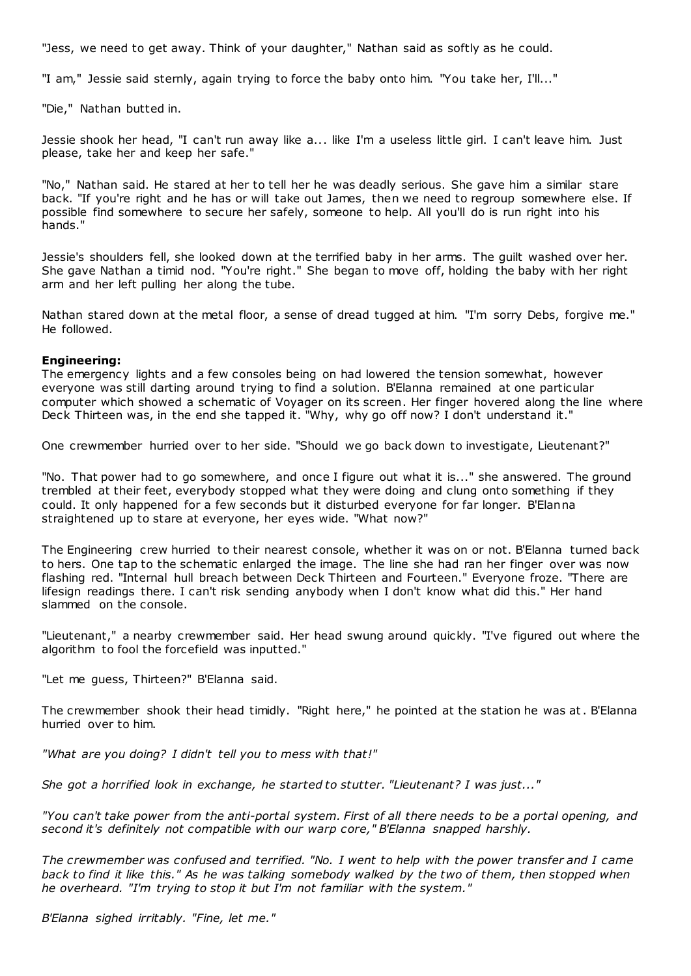"Jess, we need to get away. Think of your daughter," Nathan said as softly as he could.

"I am," Jessie said sternly, again trying to force the baby onto him. "You take her, I'll..."

"Die," Nathan butted in.

Jessie shook her head, "I can't run away like a... like I'm a useless little girl. I can't leave him. Just please, take her and keep her safe."

"No," Nathan said. He stared at her to tell her he was deadly serious. She gave him a similar stare back. "If you're right and he has or will take out James, then we need to regroup somewhere else. If possible find somewhere to secure her safely, someone to help. All you'll do is run right into his hands."

Jessie's shoulders fell, she looked down at the terrified baby in her arms. The guilt washed over her. She gave Nathan a timid nod. "You're right." She began to move off, holding the baby with her right arm and her left pulling her along the tube.

Nathan stared down at the metal floor, a sense of dread tugged at him. "I'm sorry Debs, forgive me." He followed.

#### **Engineering:**

The emergency lights and a few consoles being on had lowered the tension somewhat, however everyone was still darting around trying to find a solution. B'Elanna remained at one particular computer which showed a schematic of Voyager on its screen. Her finger hovered along the line where Deck Thirteen was, in the end she tapped it. "Why, why go off now? I don't understand it."

One crewmember hurried over to her side. "Should we go back down to investigate, Lieutenant?"

"No. That power had to go somewhere, and once I figure out what it is..." she answered. The ground trembled at their feet, everybody stopped what they were doing and clung onto something if they could. It only happened for a few seconds but it disturbed everyone for far longer. B'Elanna straightened up to stare at everyone, her eyes wide. "What now?"

The Engineering crew hurried to their nearest console, whether it was on or not. B'Elanna turned back to hers. One tap to the schematic enlarged the image. The line she had ran her finger over was now flashing red. "Internal hull breach between Deck Thirteen and Fourteen." Everyone froze. "There are lifesign readings there. I can't risk sending anybody when I don't know what did this." Her hand slammed on the console.

"Lieutenant," a nearby crewmember said. Her head swung around quickly. "I've figured out where the algorithm to fool the forcefield was inputted."

"Let me guess, Thirteen?" B'Elanna said.

The crewmember shook their head timidly. "Right here," he pointed at the station he was at. B'Elanna hurried over to him.

*"What are you doing? I didn't tell you to mess with that!"*

*She got a horrified look in exchange, he started to stutter. "Lieutenant? I was just..."*

*"You can't take power from the anti-portal system. First of all there needs to be a portal opening, and second it's definitely not compatible with our warp core," B'Elanna snapped harshly.*

*The crewmember was confused and terrified. "No. I went to help with the power transfer and I came back to find it like this." As he was talking somebody walked by the two of them, then stopped when he overheard. "I'm trying to stop it but I'm not familiar with the system."*

*B'Elanna sighed irritably. "Fine, let me."*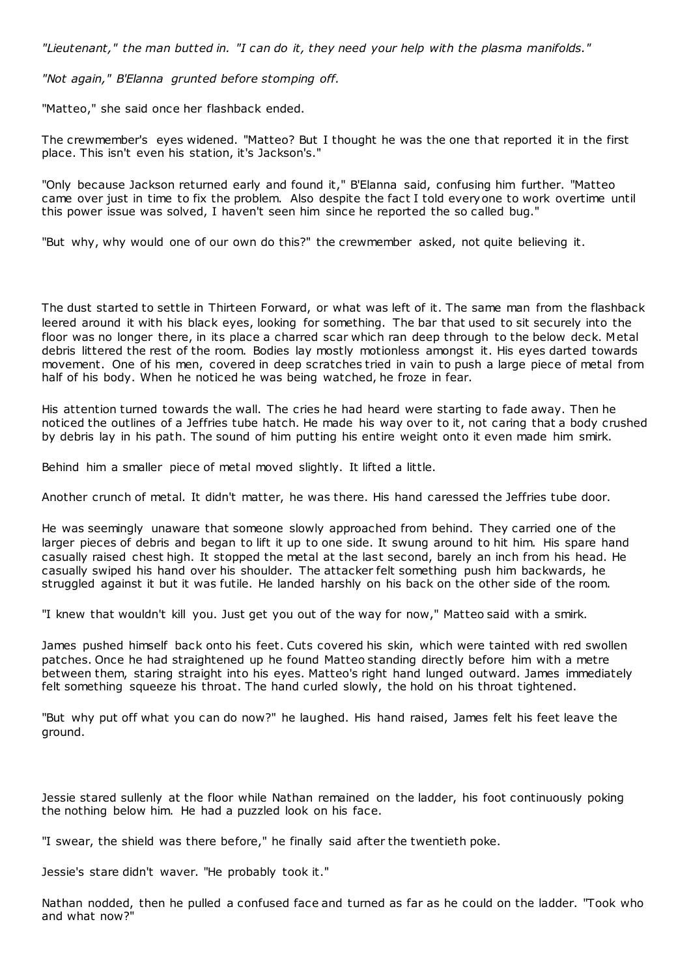*"Lieutenant," the man butted in. "I can do it, they need your help with the plasma manifolds."*

*"Not again," B'Elanna grunted before stomping off.*

"Matteo," she said once her flashback ended.

The crewmember's eyes widened. "Matteo? But I thought he was the one that reported it in the first place. This isn't even his station, it's Jackson's."

"Only because Jackson returned early and found it," B'Elanna said, confusing him further. "Matteo came over just in time to fix the problem. Also despite the fact I told everyone to work overtime until this power issue was solved, I haven't seen him since he reported the so called bug."

"But why, why would one of our own do this?" the crewmember asked, not quite believing it.

The dust started to settle in Thirteen Forward, or what was left of it. The same man from the flashback leered around it with his black eyes, looking for something. The bar that used to sit securely into the floor was no longer there, in its place a charred scar which ran deep through to the below deck. Metal debris littered the rest of the room. Bodies lay mostly motionless amongst it. His eyes darted towards movement. One of his men, covered in deep scratches tried in vain to push a large piece of metal from half of his body. When he noticed he was being watched, he froze in fear.

His attention turned towards the wall. The cries he had heard were starting to fade away. Then he noticed the outlines of a Jeffries tube hatch. He made his way over to it, not caring that a body crushed by debris lay in his path. The sound of him putting his entire weight onto it even made him smirk.

Behind him a smaller piece of metal moved slightly. It lifted a little.

Another crunch of metal. It didn't matter, he was there. His hand caressed the Jeffries tube door.

He was seemingly unaware that someone slowly approached from behind. They carried one of the larger pieces of debris and began to lift it up to one side. It swung around to hit him. His spare hand casually raised chest high. It stopped the metal at the last second, barely an inch from his head. He casually swiped his hand over his shoulder. The attacker felt something push him backwards, he struggled against it but it was futile. He landed harshly on his back on the other side of the room.

"I knew that wouldn't kill you. Just get you out of the way for now," Matteo said with a smirk.

James pushed himself back onto his feet. Cuts covered his skin, which were tainted with red swollen patches. Once he had straightened up he found Matteo standing directly before him with a metre between them, staring straight into his eyes. Matteo's right hand lunged outward. James immediately felt something squeeze his throat. The hand curled slowly, the hold on his throat tightened.

"But why put off what you can do now?" he laughed. His hand raised, James felt his feet leave the ground.

Jessie stared sullenly at the floor while Nathan remained on the ladder, his foot continuously poking the nothing below him. He had a puzzled look on his face.

"I swear, the shield was there before," he finally said after the twentieth poke.

Jessie's stare didn't waver. "He probably took it."

Nathan nodded, then he pulled a confused face and turned as far as he could on the ladder. "Took who and what now?"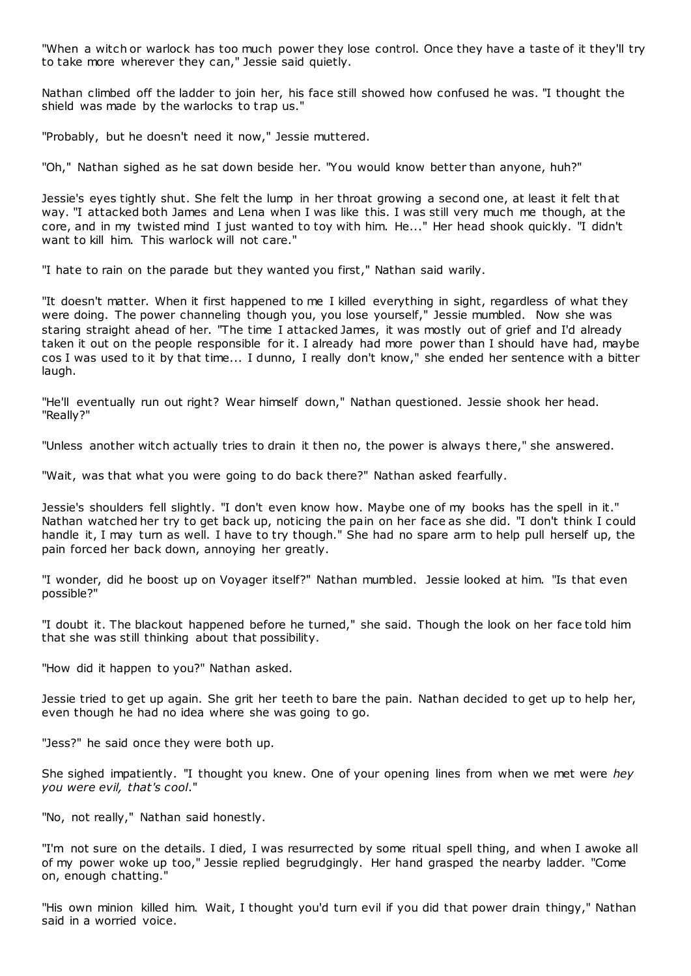"When a witch or warlock has too much power they lose control. Once they have a taste of it they'll try to take more wherever they can," Jessie said quietly.

Nathan climbed off the ladder to join her, his face still showed how confused he was. "I thought the shield was made by the warlocks to trap us."

"Probably, but he doesn't need it now," Jessie muttered.

"Oh," Nathan sighed as he sat down beside her. "You would know better than anyone, huh?"

Jessie's eyes tightly shut. She felt the lump in her throat growing a second one, at least it felt that way. "I attacked both James and Lena when I was like this. I was still very much me though, at the core, and in my twisted mind I just wanted to toy with him. He..." Her head shook quickly. "I didn't want to kill him. This warlock will not care."

"I hate to rain on the parade but they wanted you first," Nathan said warily.

"It doesn't matter. When it first happened to me I killed everything in sight, regardless of what they were doing. The power channeling though you, you lose yourself," Jessie mumbled. Now she was staring straight ahead of her. "The time I attacked James, it was mostly out of grief and I'd already taken it out on the people responsible for it. I already had more power than I should have had, maybe cos I was used to it by that time... I dunno, I really don't know," she ended her sentence with a bitter laugh.

"He'll eventually run out right? Wear himself down," Nathan questioned. Jessie shook her head. "Really?"

"Unless another witch actually tries to drain it then no, the power is always t here," she answered.

"Wait, was that what you were going to do back there?" Nathan asked fearfully.

Jessie's shoulders fell slightly. "I don't even know how. Maybe one of my books has the spell in it." Nathan watched her try to get back up, noticing the pain on her face as she did. "I don't think I could handle it, I may turn as well. I have to try though." She had no spare arm to help pull herself up, the pain forced her back down, annoying her greatly.

"I wonder, did he boost up on Voyager itself?" Nathan mumbled. Jessie looked at him. "Is that even possible?"

"I doubt it. The blackout happened before he turned," she said. Though the look on her face told him that she was still thinking about that possibility.

"How did it happen to you?" Nathan asked.

Jessie tried to get up again. She grit her teeth to bare the pain. Nathan decided to get up to help her, even though he had no idea where she was going to go.

"Jess?" he said once they were both up.

She sighed impatiently. "I thought you knew. One of your opening lines from when we met were *hey you were evil, that's cool*."

"No, not really," Nathan said honestly.

"I'm not sure on the details. I died, I was resurrected by some ritual spell thing, and when I awoke all of my power woke up too," Jessie replied begrudgingly. Her hand grasped the nearby ladder. "Come on, enough chatting."

"His own minion killed him. Wait, I thought you'd turn evil if you did that power drain thingy," Nathan said in a worried voice.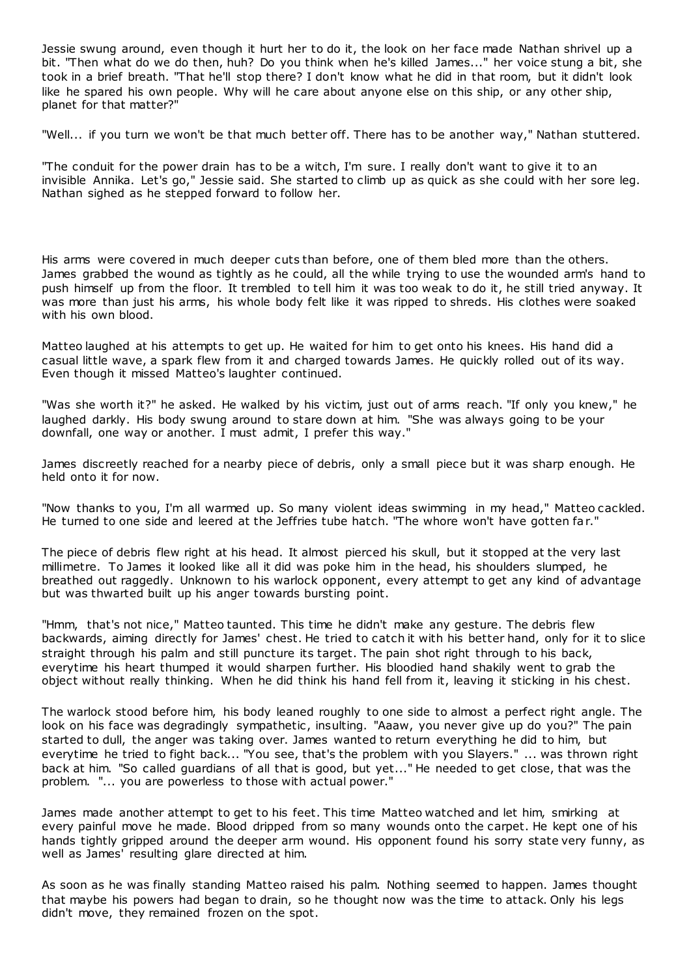Jessie swung around, even though it hurt her to do it, the look on her face made Nathan shrivel up a bit. "Then what do we do then, huh? Do you think when he's killed James..." her voice stung a bit, she took in a brief breath. "That he'll stop there? I don't know what he did in that room, but it didn't look like he spared his own people. Why will he care about anyone else on this ship, or any other ship, planet for that matter?"

"Well... if you turn we won't be that much better off. There has to be another way," Nathan stuttered.

"The conduit for the power drain has to be a witch, I'm sure. I really don't want to give it to an invisible Annika. Let's go," Jessie said. She started to climb up as quick as she could with her sore leg. Nathan sighed as he stepped forward to follow her.

His arms were covered in much deeper cuts than before, one of them bled more than the others. James grabbed the wound as tightly as he could, all the while trying to use the wounded arm's hand to push himself up from the floor. It trembled to tell him it was too weak to do it, he still tried anyway. It was more than just his arms, his whole body felt like it was ripped to shreds. His clothes were soaked with his own blood.

Matteo laughed at his attempts to get up. He waited for him to get onto his knees. His hand did a casual little wave, a spark flew from it and charged towards James. He quickly rolled out of its way. Even though it missed Matteo's laughter continued.

"Was she worth it?" he asked. He walked by his victim, just out of arms reach. "If only you knew," he laughed darkly. His body swung around to stare down at him. "She was always going to be your downfall, one way or another. I must admit, I prefer this way."

James discreetly reached for a nearby piece of debris, only a small piece but it was sharp enough. He held onto it for now.

"Now thanks to you, I'm all warmed up. So many violent ideas swimming in my head," Matteo cackled. He turned to one side and leered at the Jeffries tube hatch. "The whore won't have gotten far."

The piece of debris flew right at his head. It almost pierced his skull, but it stopped at the very last millimetre. To James it looked like all it did was poke him in the head, his shoulders slumped, he breathed out raggedly. Unknown to his warlock opponent, every attempt to get any kind of advantage but was thwarted built up his anger towards bursting point.

"Hmm, that's not nice," Matteo taunted. This time he didn't make any gesture. The debris flew backwards, aiming directly for James' chest. He tried to catch it with his better hand, only for it to slice straight through his palm and still puncture its target. The pain shot right through to his back, everytime his heart thumped it would sharpen further. His bloodied hand shakily went to grab the object without really thinking. When he did think his hand fell from it, leaving it sticking in his chest.

The warlock stood before him, his body leaned roughly to one side to almost a perfect right angle. The look on his face was degradingly sympathetic, insulting. "Aaaw, you never give up do you?" The pain started to dull, the anger was taking over. James wanted to return everything he did to him, but everytime he tried to fight back... "You see, that's the problem with you Slayers." ... was thrown right back at him. "So called guardians of all that is good, but yet..." He needed to get close, that was the problem. "... you are powerless to those with actual power."

James made another attempt to get to his feet. This time Matteo watched and let him, smirking at every painful move he made. Blood dripped from so many wounds onto the carpet. He kept one of his hands tightly gripped around the deeper arm wound. His opponent found his sorry state very funny, as well as James' resulting glare directed at him.

As soon as he was finally standing Matteo raised his palm. Nothing seemed to happen. James thought that maybe his powers had began to drain, so he thought now was the time to attack. Only his legs didn't move, they remained frozen on the spot.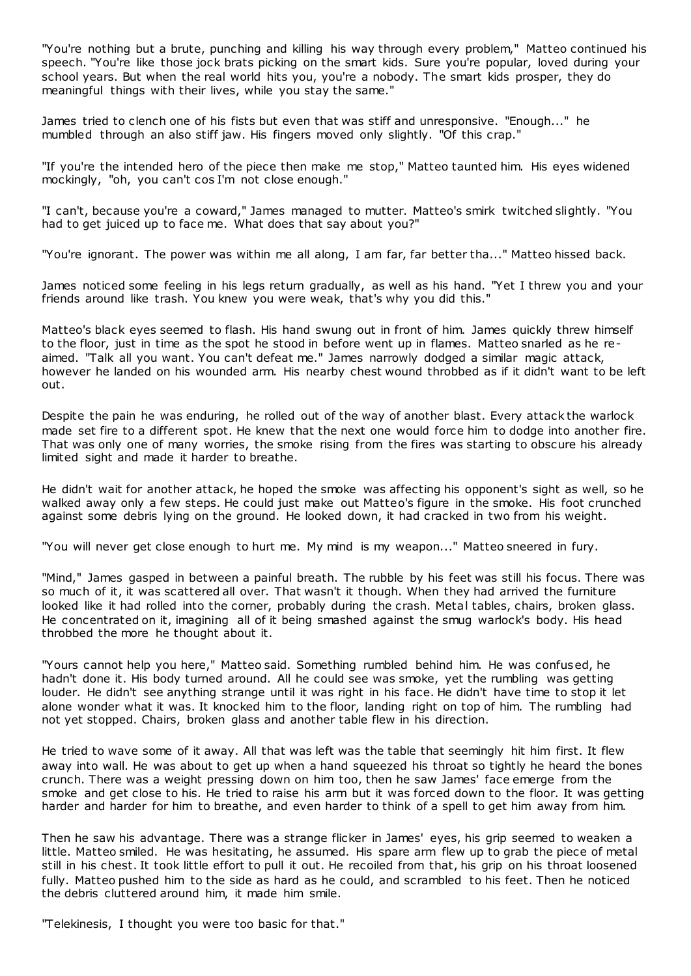"You're nothing but a brute, punching and killing his way through every problem," Matteo continued his speech. "You're like those jock brats picking on the smart kids. Sure you're popular, loved during your school years. But when the real world hits you, you're a nobody. The smart kids prosper, they do meaningful things with their lives, while you stay the same."

James tried to clench one of his fists but even that was stiff and unresponsive. "Enough..." he mumbled through an also stiff jaw. His fingers moved only slightly. "Of this crap."

"If you're the intended hero of the piece then make me stop," Matteo taunted him. His eyes widened mockingly, "oh, you can't cos I'm not close enough."

"I can't, because you're a coward," James managed to mutter. Matteo's smirk twitched slightly. "You had to get juiced up to face me. What does that say about you?"

"You're ignorant. The power was within me all along, I am far, far better tha..." Matteo hissed back.

James noticed some feeling in his legs return gradually, as well as his hand. "Yet I threw you and your friends around like trash. You knew you were weak, that's why you did this."

Matteo's black eyes seemed to flash. His hand swung out in front of him. James quickly threw himself to the floor, just in time as the spot he stood in before went up in flames. Matteo snarled as he reaimed. "Talk all you want. You can't defeat me." James narrowly dodged a similar magic attack, however he landed on his wounded arm. His nearby chest wound throbbed as if it didn't want to be left out.

Despite the pain he was enduring, he rolled out of the way of another blast. Every attack the warlock made set fire to a different spot. He knew that the next one would force him to dodge into another fire. That was only one of many worries, the smoke rising from the fires was starting to obscure his already limited sight and made it harder to breathe.

He didn't wait for another attack, he hoped the smoke was affecting his opponent's sight as well, so he walked away only a few steps. He could just make out Matteo's figure in the smoke. His foot crunched against some debris lying on the ground. He looked down, it had cracked in two from his weight.

"You will never get close enough to hurt me. My mind is my weapon..." Matteo sneered in fury.

"Mind," James gasped in between a painful breath. The rubble by his feet was still his focus. There was so much of it, it was scattered all over. That wasn't it though. When they had arrived the furniture looked like it had rolled into the corner, probably during the crash. Metal tables, chairs, broken glass. He concentrated on it, imagining all of it being smashed against the smug warlock's body. His head throbbed the more he thought about it.

"Yours cannot help you here," Matteo said. Something rumbled behind him. He was confused, he hadn't done it. His body turned around. All he could see was smoke, yet the rumbling was getting louder. He didn't see anything strange until it was right in his face. He didn't have time to stop it let alone wonder what it was. It knocked him to the floor, landing right on top of him. The rumbling had not yet stopped. Chairs, broken glass and another table flew in his direction.

He tried to wave some of it away. All that was left was the table that seemingly hit him first. It flew away into wall. He was about to get up when a hand squeezed his throat so tightly he heard the bones crunch. There was a weight pressing down on him too, then he saw James' face emerge from the smoke and get close to his. He tried to raise his arm but it was forced down to the floor. It was getting harder and harder for him to breathe, and even harder to think of a spell to get him away from him.

Then he saw his advantage. There was a strange flicker in James' eyes, his grip seemed to weaken a little. Matteo smiled. He was hesitating, he assumed. His spare arm flew up to grab the piece of metal still in his chest. It took little effort to pull it out. He recoiled from that, his grip on his throat loosened fully. Matteo pushed him to the side as hard as he could, and scrambled to his feet. Then he noticed the debris cluttered around him, it made him smile.

"Telekinesis, I thought you were too basic for that."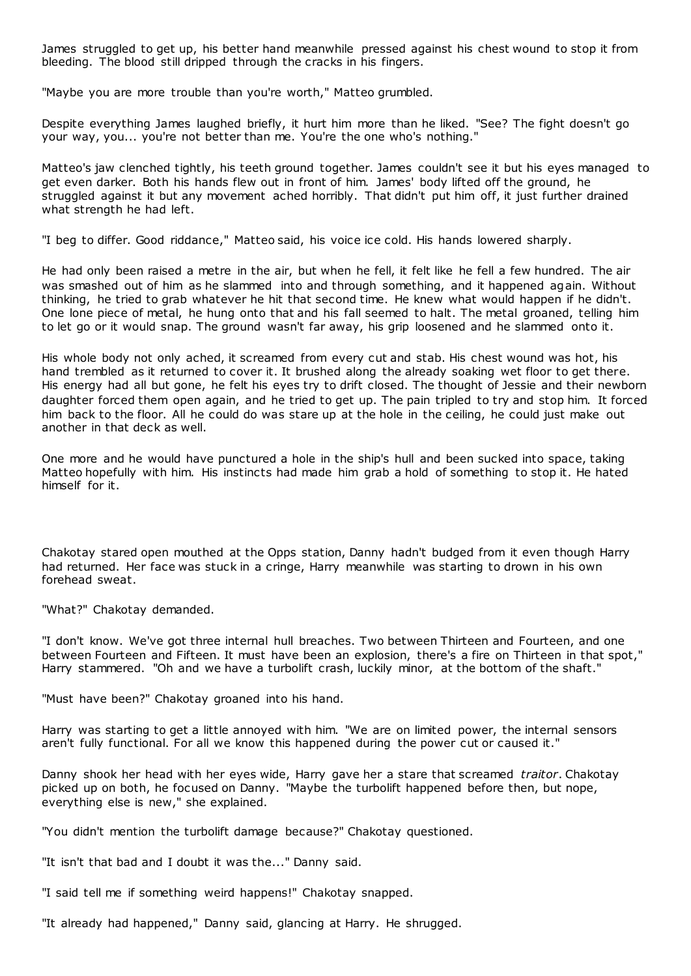James struggled to get up, his better hand meanwhile pressed against his chest wound to stop it from bleeding. The blood still dripped through the cracks in his fingers.

"Maybe you are more trouble than you're worth," Matteo grumbled.

Despite everything James laughed briefly, it hurt him more than he liked. "See? The fight doesn't go your way, you... you're not better than me. You're the one who's nothing."

Matteo's jaw clenched tightly, his teeth ground together. James couldn't see it but his eyes managed to get even darker. Both his hands flew out in front of him. James' body lifted off the ground, he struggled against it but any movement ached horribly. That didn't put him off, it just further drained what strength he had left.

"I beg to differ. Good riddance," Matteo said, his voice ice cold. His hands lowered sharply.

He had only been raised a metre in the air, but when he fell, it felt like he fell a few hundred. The air was smashed out of him as he slammed into and through something, and it happened again. Without thinking, he tried to grab whatever he hit that second time. He knew what would happen if he didn't. One lone piece of metal, he hung onto that and his fall seemed to halt. The metal groaned, telling him to let go or it would snap. The ground wasn't far away, his grip loosened and he slammed onto it.

His whole body not only ached, it screamed from every cut and stab. His chest wound was hot, his hand trembled as it returned to cover it. It brushed along the already soaking wet floor to get there. His energy had all but gone, he felt his eyes try to drift closed. The thought of Jessie and their newborn daughter forced them open again, and he tried to get up. The pain tripled to try and stop him. It forced him back to the floor. All he could do was stare up at the hole in the ceiling, he could just make out another in that deck as well.

One more and he would have punctured a hole in the ship's hull and been sucked into space, taking Matteo hopefully with him. His instincts had made him grab a hold of something to stop it. He hated himself for it.

Chakotay stared open mouthed at the Opps station, Danny hadn't budged from it even though Harry had returned. Her face was stuck in a cringe, Harry meanwhile was starting to drown in his own forehead sweat.

"What?" Chakotay demanded.

"I don't know. We've got three internal hull breaches. Two between Thirteen and Fourteen, and one between Fourteen and Fifteen. It must have been an explosion, there's a fire on Thirteen in that spot," Harry stammered. "Oh and we have a turbolift crash, luckily minor, at the bottom of the shaft."

"Must have been?" Chakotay groaned into his hand.

Harry was starting to get a little annoyed with him. "We are on limited power, the internal sensors aren't fully functional. For all we know this happened during the power cut or caused it."

Danny shook her head with her eyes wide, Harry gave her a stare that screamed *traitor*. Chakotay picked up on both, he focused on Danny. "Maybe the turbolift happened before then, but nope, everything else is new," she explained.

"You didn't mention the turbolift damage because?" Chakotay questioned.

"It isn't that bad and I doubt it was the..." Danny said.

"I said tell me if something weird happens!" Chakotay snapped.

"It already had happened," Danny said, glancing at Harry. He shrugged.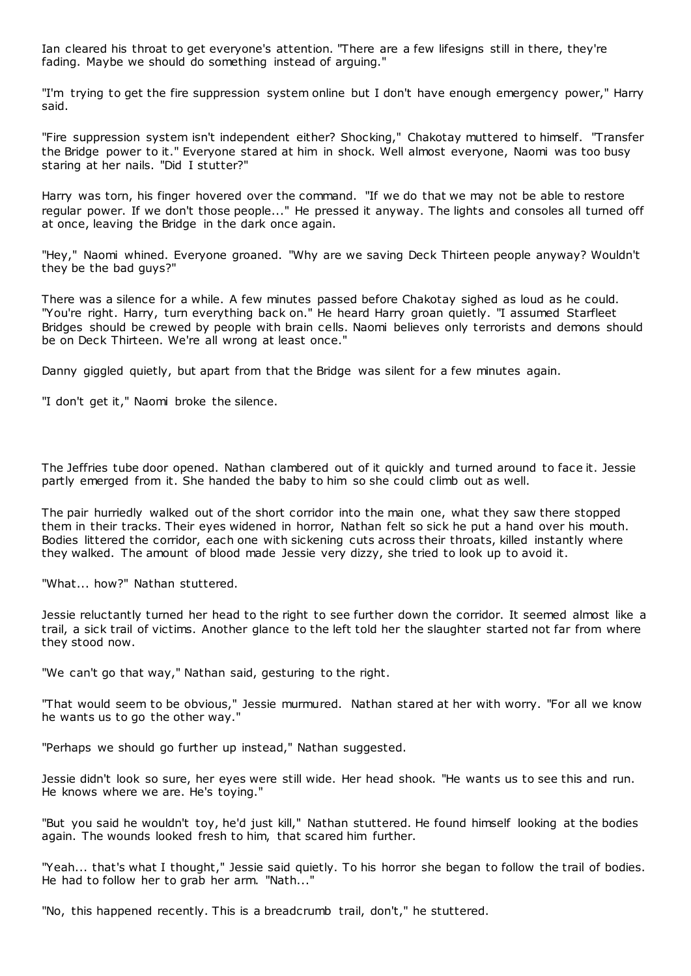Ian cleared his throat to get everyone's attention. "There are a few lifesigns still in there, they're fading. Maybe we should do something instead of arguing."

"I'm trying to get the fire suppression system online but I don't have enough emergency power," Harry said.

"Fire suppression system isn't independent either? Shocking," Chakotay muttered to himself. "Transfer the Bridge power to it." Everyone stared at him in shock. Well almost everyone, Naomi was too busy staring at her nails. "Did I stutter?"

Harry was torn, his finger hovered over the command. "If we do that we may not be able to restore regular power. If we don't those people..." He pressed it anyway. The lights and consoles all turned off at once, leaving the Bridge in the dark once again.

"Hey," Naomi whined. Everyone groaned. "Why are we saving Deck Thirteen people anyway? Wouldn't they be the bad guys?"

There was a silence for a while. A few minutes passed before Chakotay sighed as loud as he could. "You're right. Harry, turn everything back on." He heard Harry groan quietly. "I assumed Starfleet Bridges should be crewed by people with brain cells. Naomi believes only terrorists and demons should be on Deck Thirteen. We're all wrong at least once."

Danny giggled quietly, but apart from that the Bridge was silent for a few minutes again.

"I don't get it," Naomi broke the silence.

The Jeffries tube door opened. Nathan clambered out of it quickly and turned around to face it. Jessie partly emerged from it. She handed the baby to him so she could climb out as well.

The pair hurriedly walked out of the short corridor into the main one, what they saw there stopped them in their tracks. Their eyes widened in horror, Nathan felt so sick he put a hand over his mouth. Bodies littered the corridor, each one with sickening cuts across their throats, killed instantly where they walked. The amount of blood made Jessie very dizzy, she tried to look up to avoid it.

"What... how?" Nathan stuttered.

Jessie reluctantly turned her head to the right to see further down the corridor. It seemed almost like a trail, a sick trail of victims. Another glance to the left told her the slaughter started not far from where they stood now.

"We can't go that way," Nathan said, gesturing to the right.

"That would seem to be obvious," Jessie murmured. Nathan stared at her with worry. "For all we know he wants us to go the other way."

"Perhaps we should go further up instead," Nathan suggested.

Jessie didn't look so sure, her eyes were still wide. Her head shook. "He wants us to see this and run. He knows where we are. He's toying."

"But you said he wouldn't toy, he'd just kill," Nathan stuttered. He found himself looking at the bodies again. The wounds looked fresh to him, that scared him further.

"Yeah... that's what I thought," Jessie said quietly. To his horror she began to follow the trail of bodies. He had to follow her to grab her arm. "Nath..."

"No, this happened recently. This is a breadcrumb trail, don't," he stuttered.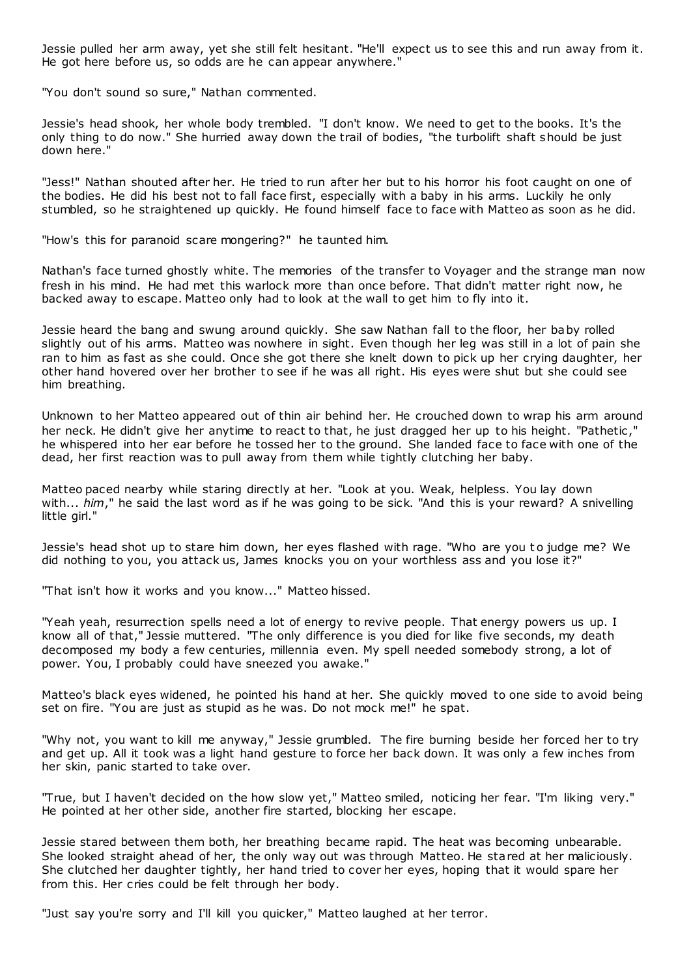Jessie pulled her arm away, yet she still felt hesitant. "He'll expect us to see this and run away from it. He got here before us, so odds are he can appear anywhere."

"You don't sound so sure," Nathan commented.

Jessie's head shook, her whole body trembled. "I don't know. We need to get to the books. It's the only thing to do now." She hurried away down the trail of bodies, "the turbolift shaft should be just down here."

"Jess!" Nathan shouted after her. He tried to run after her but to his horror his foot caught on one of the bodies. He did his best not to fall face first, especially with a baby in his arms. Luckily he only stumbled, so he straightened up quickly. He found himself face to face with Matteo as soon as he did.

"How's this for paranoid scare mongering?" he taunted him.

Nathan's face turned ghostly white. The memories of the transfer to Voyager and the strange man now fresh in his mind. He had met this warlock more than once before. That didn't matter right now, he backed away to escape. Matteo only had to look at the wall to get him to fly into it.

Jessie heard the bang and swung around quickly. She saw Nathan fall to the floor, her baby rolled slightly out of his arms. Matteo was nowhere in sight. Even though her leg was still in a lot of pain she ran to him as fast as she could. Once she got there she knelt down to pick up her crying daughter, her other hand hovered over her brother to see if he was all right. His eyes were shut but she could see him breathing.

Unknown to her Matteo appeared out of thin air behind her. He crouched down to wrap his arm around her neck. He didn't give her anytime to react to that, he just dragged her up to his height. "Pathetic ," he whispered into her ear before he tossed her to the ground. She landed face to face with one of the dead, her first reaction was to pull away from them while tightly clutching her baby.

Matteo paced nearby while staring directly at her. "Look at you. Weak, helpless. You lay down with... *him*," he said the last word as if he was going to be sick. "And this is your reward? A snivelling little girl."

Jessie's head shot up to stare him down, her eyes flashed with rage. "Who are you t o judge me? We did nothing to you, you attack us, James knocks you on your worthless ass and you lose it?"

"That isn't how it works and you know..." Matteo hissed.

"Yeah yeah, resurrection spells need a lot of energy to revive people. That energy powers us up. I know all of that," Jessie muttered. "The only difference is you died for like five seconds, my death decomposed my body a few centuries, millennia even. My spell needed somebody strong, a lot of power. You, I probably could have sneezed you awake."

Matteo's black eyes widened, he pointed his hand at her. She quickly moved to one side to avoid being set on fire. "You are just as stupid as he was. Do not mock me!" he spat.

"Why not, you want to kill me anyway," Jessie grumbled. The fire burning beside her forced her to try and get up. All it took was a light hand gesture to force her back down. It was only a few inches from her skin, panic started to take over.

"True, but I haven't decided on the how slow yet," Matteo smiled, noticing her fear. "I'm liking very." He pointed at her other side, another fire started, blocking her escape.

Jessie stared between them both, her breathing became rapid. The heat was becoming unbearable. She looked straight ahead of her, the only way out was through Matteo. He stared at her maliciously. She clutched her daughter tightly, her hand tried to cover her eyes, hoping that it would spare her from this. Her cries could be felt through her body.

"Just say you're sorry and I'll kill you quicker," Matteo laughed at her terror.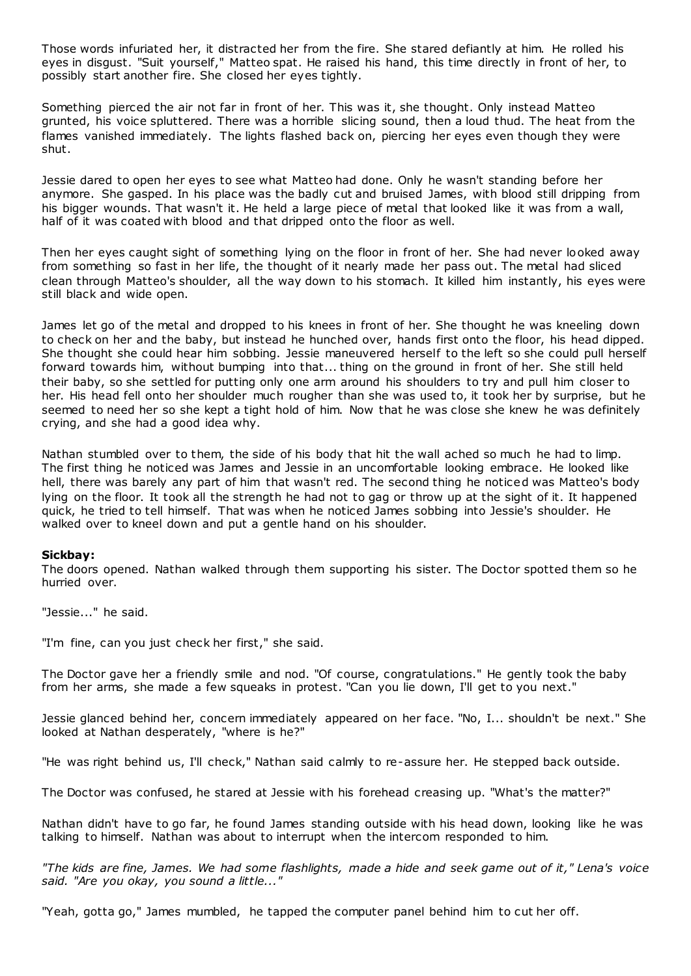Those words infuriated her, it distracted her from the fire. She stared defiantly at him. He rolled his eyes in disgust. "Suit yourself," Matteo spat. He raised his hand, this time directly in front of her, to possibly start another fire. She closed her eyes tightly.

Something pierced the air not far in front of her. This was it, she thought. Only instead Matteo grunted, his voice spluttered. There was a horrible slicing sound, then a loud thud. The heat from the flames vanished immediately. The lights flashed back on, piercing her eyes even though they were shut.

Jessie dared to open her eyes to see what Matteo had done. Only he wasn't standing before her anymore. She gasped. In his place was the badly cut and bruised James, with blood still dripping from his bigger wounds. That wasn't it. He held a large piece of metal that looked like it was from a wall, half of it was coated with blood and that dripped onto the floor as well.

Then her eyes caught sight of something lying on the floor in front of her. She had never looked away from something so fast in her life, the thought of it nearly made her pass out. The metal had sliced clean through Matteo's shoulder, all the way down to his stomach. It killed him instantly, his eyes were still black and wide open.

James let go of the metal and dropped to his knees in front of her. She thought he was kneeling down to check on her and the baby, but instead he hunched over, hands first onto the floor, his head dipped. She thought she could hear him sobbing. Jessie maneuvered herself to the left so she could pull herself forward towards him, without bumping into that... thing on the ground in front of her. She still held their baby, so she settled for putting only one arm around his shoulders to try and pull him closer to her. His head fell onto her shoulder much rougher than she was used to, it took her by surprise, but he seemed to need her so she kept a tight hold of him. Now that he was close she knew he was definitely crying, and she had a good idea why.

Nathan stumbled over to them, the side of his body that hit the wall ached so much he had to limp. The first thing he noticed was James and Jessie in an uncomfortable looking embrace. He looked like hell, there was barely any part of him that wasn't red. The second thing he noticed was Matteo's body lying on the floor. It took all the strength he had not to gag or throw up at the sight of it. It happened quick, he tried to tell himself. That was when he noticed James sobbing into Jessie's shoulder. He walked over to kneel down and put a gentle hand on his shoulder.

### **Sickbay:**

The doors opened. Nathan walked through them supporting his sister. The Doctor spotted them so he hurried over.

"Jessie..." he said.

"I'm fine, can you just check her first," she said.

The Doctor gave her a friendly smile and nod. "Of course, congratulations." He gently took the baby from her arms, she made a few squeaks in protest. "Can you lie down, I'll get to you next."

Jessie glanced behind her, concern immediately appeared on her face. "No, I... shouldn't be next." She looked at Nathan desperately, "where is he?"

"He was right behind us, I'll check," Nathan said calmly to re-assure her. He stepped back outside.

The Doctor was confused, he stared at Jessie with his forehead creasing up. "What's the matter?"

Nathan didn't have to go far, he found James standing outside with his head down, looking like he was talking to himself. Nathan was about to interrupt when the intercom responded to him.

*"The kids are fine, James. We had some flashlights, made a hide and seek game out of it," Lena's voice said. "Are you okay, you sound a little..."*

"Yeah, gotta go," James mumbled, he tapped the computer panel behind him to cut her off.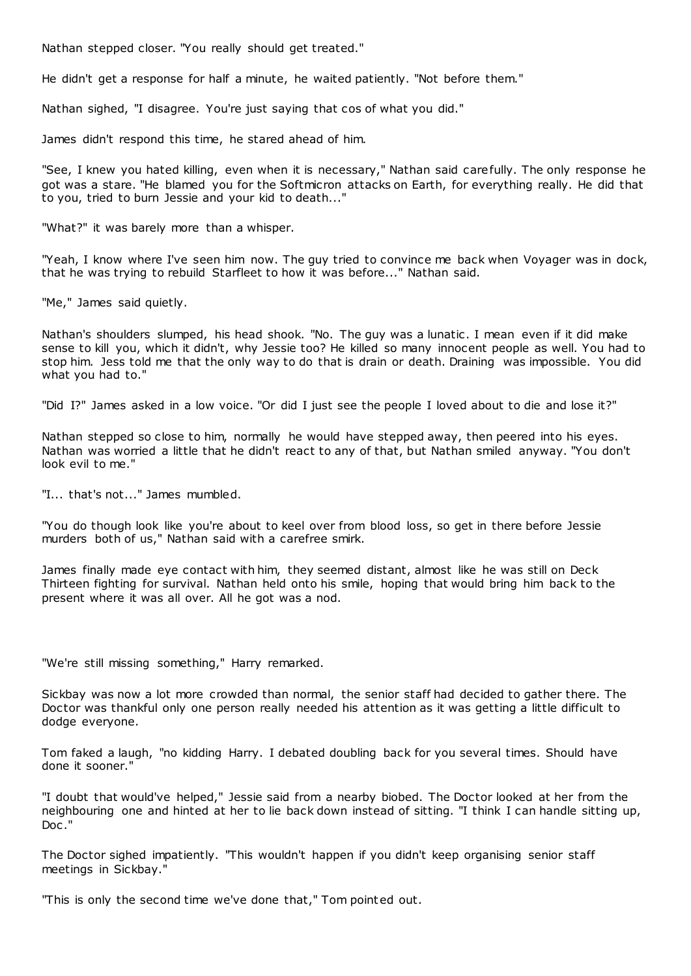Nathan stepped closer. "You really should get treated."

He didn't get a response for half a minute, he waited patiently. "Not before them."

Nathan sighed, "I disagree. You're just saying that cos of what you did."

James didn't respond this time, he stared ahead of him.

"See, I knew you hated killing, even when it is necessary," Nathan said carefully. The only response he got was a stare. "He blamed you for the Softmicron attacks on Earth, for everything really. He did that to you, tried to burn Jessie and your kid to death..."

"What?" it was barely more than a whisper.

"Yeah, I know where I've seen him now. The guy tried to convince me back when Voyager was in dock, that he was trying to rebuild Starfleet to how it was before..." Nathan said.

"Me," James said quietly.

Nathan's shoulders slumped, his head shook. "No. The guy was a lunatic . I mean even if it did make sense to kill you, which it didn't, why Jessie too? He killed so many innocent people as well. You had to stop him. Jess told me that the only way to do that is drain or death. Draining was impossible. You did what you had to."

"Did I?" James asked in a low voice. "Or did I just see the people I loved about to die and lose it?"

Nathan stepped so close to him, normally he would have stepped away, then peered into his eyes. Nathan was worried a little that he didn't react to any of that, but Nathan smiled anyway. "You don't look evil to me."

"I... that's not..." James mumbled.

"You do though look like you're about to keel over from blood loss, so get in there before Jessie murders both of us," Nathan said with a carefree smirk.

James finally made eye contact with him, they seemed distant, almost like he was still on Deck Thirteen fighting for survival. Nathan held onto his smile, hoping that would bring him back to the present where it was all over. All he got was a nod.

"We're still missing something," Harry remarked.

Sickbay was now a lot more crowded than normal, the senior staff had decided to gather there. The Doctor was thankful only one person really needed his attention as it was getting a little difficult to dodge everyone.

Tom faked a laugh, "no kidding Harry. I debated doubling back for you several times. Should have done it sooner."

"I doubt that would've helped," Jessie said from a nearby biobed. The Doctor looked at her from the neighbouring one and hinted at her to lie back down instead of sitting. "I think I can handle sitting up, Doc ."

The Doctor sighed impatiently. "This wouldn't happen if you didn't keep organising senior staff meetings in Sickbay."

"This is only the second time we've done that," Tom pointed out.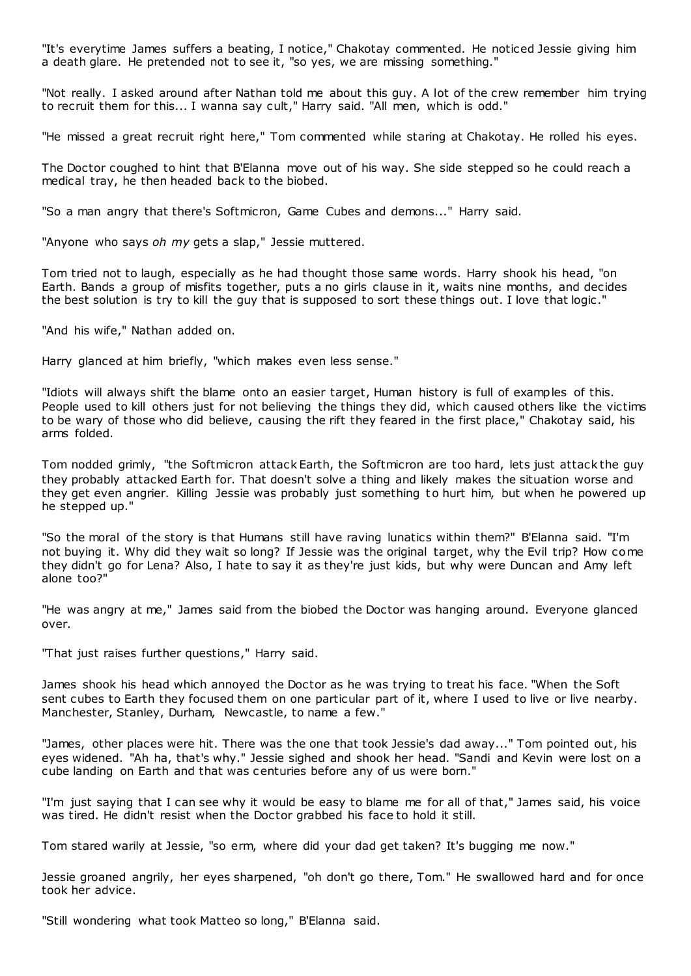"It's everytime James suffers a beating, I notice," Chakotay commented. He noticed Jessie giving him a death glare. He pretended not to see it, "so yes, we are missing something."

"Not really. I asked around after Nathan told me about this guy. A lot of the crew remember him trying to recruit them for this... I wanna say cult," Harry said. "All men, which is odd."

"He missed a great recruit right here," Tom commented while staring at Chakotay. He rolled his eyes.

The Doctor coughed to hint that B'Elanna move out of his way. She side stepped so he could reach a medical tray, he then headed back to the biobed.

"So a man angry that there's Softmicron, Game Cubes and demons..." Harry said.

"Anyone who says *oh my* gets a slap," Jessie muttered.

Tom tried not to laugh, especially as he had thought those same words. Harry shook his head, "on Earth. Bands a group of misfits together, puts a no girls clause in it, waits nine months, and decides the best solution is try to kill the guy that is supposed to sort these things out. I love that logic ."

"And his wife," Nathan added on.

Harry glanced at him briefly, "which makes even less sense."

"Idiots will always shift the blame onto an easier target, Human history is full of examples of this. People used to kill others just for not believing the things they did, which caused others like the victims to be wary of those who did believe, causing the rift they feared in the first place," Chakotay said, his arms folded.

Tom nodded grimly, "the Softmicron attack Earth, the Softmicron are too hard, lets just attack the guy they probably attacked Earth for. That doesn't solve a thing and likely makes the situation worse and they get even angrier. Killing Jessie was probably just something to hurt him, but when he powered up he stepped up."

"So the moral of the story is that Humans still have raving lunatics within them?" B'Elanna said. "I'm not buying it. Why did they wait so long? If Jessie was the original target, why the Evil trip? How come they didn't go for Lena? Also, I hate to say it as they're just kids, but why were Duncan and Amy left alone too?"

"He was angry at me," James said from the biobed the Doctor was hanging around. Everyone glanced over.

"That just raises further questions," Harry said.

James shook his head which annoyed the Doctor as he was trying to treat his face. "When the Soft sent cubes to Earth they focused them on one particular part of it, where I used to live or live nearby. Manchester, Stanley, Durham, Newcastle, to name a few."

"James, other places were hit. There was the one that took Jessie's dad away..." Tom pointed out, his eyes widened. "Ah ha, that's why." Jessie sighed and shook her head. "Sandi and Kevin were lost on a cube landing on Earth and that was centuries before any of us were born."

"I'm just saying that I can see why it would be easy to blame me for all of that," James said, his voice was tired. He didn't resist when the Doctor grabbed his face to hold it still.

Tom stared warily at Jessie, "so erm, where did your dad get taken? It's bugging me now."

Jessie groaned angrily, her eyes sharpened, "oh don't go there, Tom." He swallowed hard and for once took her advice.

"Still wondering what took Matteo so long," B'Elanna said.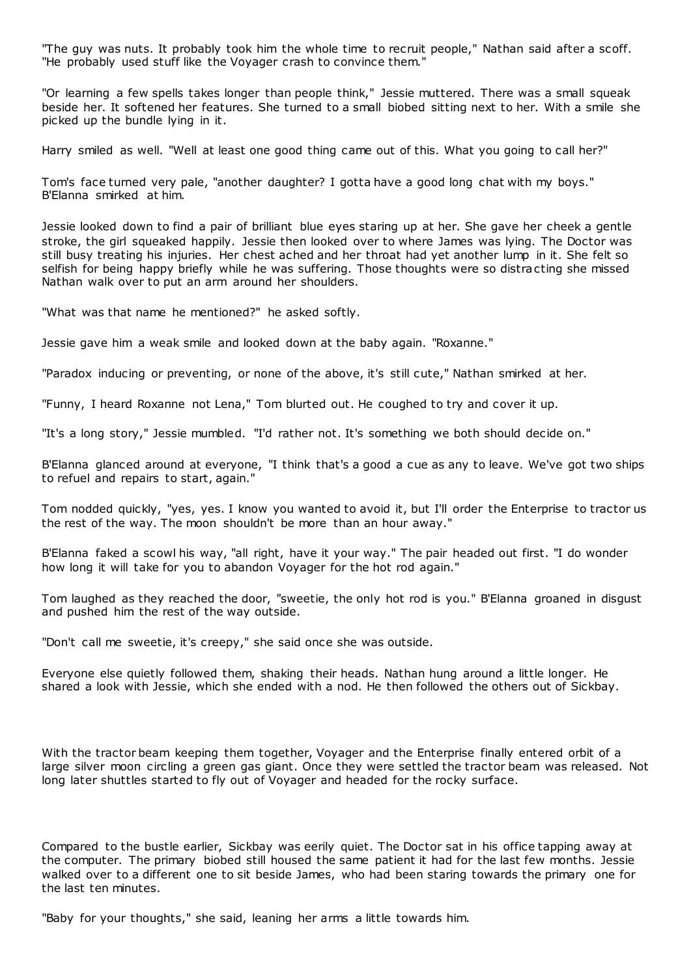"The guy was nuts. It probably took him the whole time to recruit people," Nathan said after a scoff. "He probably used stuff like the Voyager crash to convince them."

"Or learning a few spells takes longer than people think," Jessie muttered. There was a small squeak beside her. It softened her features. She turned to a small biobed sitting next to her. With a smile she picked up the bundle lying in it.

Harry smiled as well. "Well at least one good thing came out of this. What you going to call her?"

Tom's face turned very pale, "another daughter? I gotta have a good long chat with my boys." B'Elanna smirked at him.

Jessie looked down to find a pair of brilliant blue eyes staring up at her. She gave her cheek a gentle stroke, the girl squeaked happily. Jessie then looked over to where James was lying. The Doctor was still busy treating his injuries. Her chest ached and her throat had yet another lump in it. She felt so selfish for being happy briefly while he was suffering. Those thoughts were so distracting she missed Nathan walk over to put an arm around her shoulders.

"What was that name he mentioned?" he asked softly.

Jessie gave him a weak smile and looked down at the baby again. "Roxanne."

"Paradox inducing or preventing, or none of the above, it's still cute," Nathan smirked at her.

"Funny, I heard Roxanne not Lena," Tom blurted out. He coughed to try and cover it up.

"It's a long story," Jessie mumbled. "I'd rather not. It's something we both should decide on."

B'Elanna glanced around at everyone, "I think that's a good a cue as any to leave. We've got two ships to refuel and repairs to start, again."

Tom nodded quickly, "yes, yes. I know you wanted to avoid it, but I'll order the Enterprise to tractor us the rest of the way. The moon shouldn't be more than an hour away."

B'Elanna faked a scowl his way, "all right, have it your way." The pair headed out first. "I do wonder how long it will take for you to abandon Voyager for the hot rod again."

Tom laughed as they reached the door, "sweetie, the only hot rod is you." B'Elanna groaned in disgust and pushed him the rest of the way outside.

"Don't call me sweetie, it's creepy," she said once she was outside.

Everyone else quietly followed them, shaking their heads. Nathan hung around a little longer. He shared a look with Jessie, which she ended with a nod. He then followed the others out of Sickbay.

With the tractor beam keeping them together, Voyager and the Enterprise finally entered orbit of a large silver moon circling a green gas giant. Once they were settled the tractor beam was released. Not long later shuttles started to fly out of Voyager and headed for the rocky surface.

Compared to the bustle earlier, Sickbay was eerily quiet. The Doctor sat in his office tapping away at the computer. The primary biobed still housed the same patient it had for the last few months. Jessie walked over to a different one to sit beside James, who had been staring towards the primary one for the last ten minutes.

"Baby for your thoughts," she said, leaning her arms a little towards him.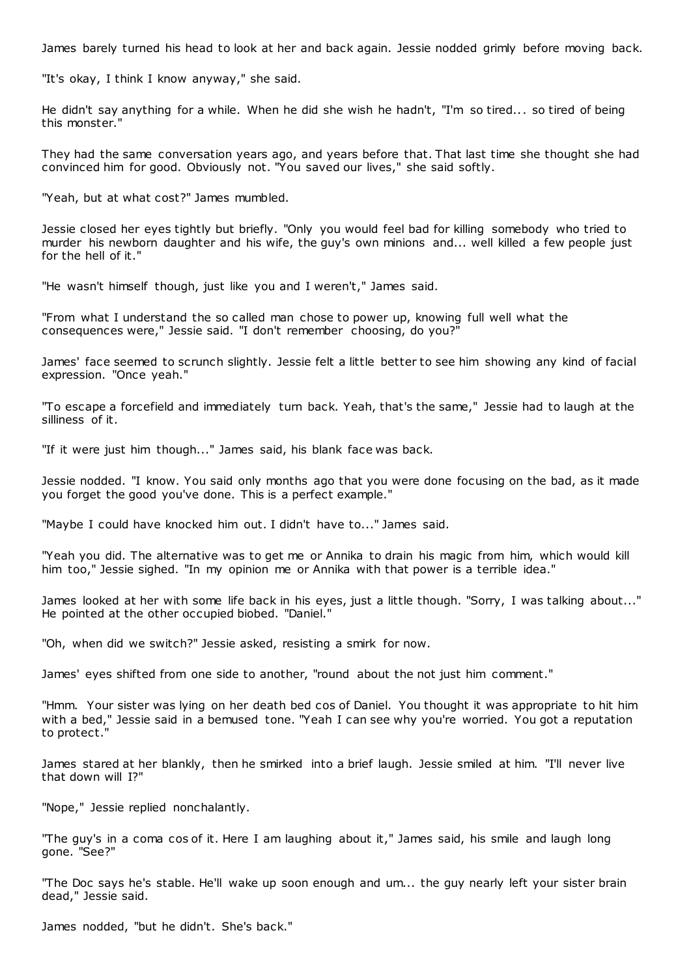James barely turned his head to look at her and back again. Jessie nodded grimly before moving back.

"It's okay, I think I know anyway," she said.

He didn't say anything for a while. When he did she wish he hadn't, "I'm so tired... so tired of being this monster."

They had the same conversation years ago, and years before that. That last time she thought she had convinced him for good. Obviously not. "You saved our lives," she said softly.

"Yeah, but at what cost?" James mumbled.

Jessie closed her eyes tightly but briefly. "Only you would feel bad for killing somebody who tried to murder his newborn daughter and his wife, the guy's own minions and... well killed a few people just for the hell of it."

"He wasn't himself though, just like you and I weren't," James said.

"From what I understand the so called man chose to power up, knowing full well what the consequences were," Jessie said. "I don't remember choosing, do you?"

James' face seemed to scrunch slightly. Jessie felt a little better to see him showing any kind of facial expression. "Once yeah."

"To escape a forcefield and immediately turn back. Yeah, that's the same," Jessie had to laugh at the silliness of it.

"If it were just him though..." James said, his blank face was back.

Jessie nodded. "I know. You said only months ago that you were done focusing on the bad, as it made you forget the good you've done. This is a perfect example."

"Maybe I could have knocked him out. I didn't have to..." James said.

"Yeah you did. The alternative was to get me or Annika to drain his magic from him, which would kill him too," Jessie sighed. "In my opinion me or Annika with that power is a terrible idea."

James looked at her with some life back in his eyes, just a little though. "Sorry, I was talking about..." He pointed at the other occupied biobed. "Daniel."

"Oh, when did we switch?" Jessie asked, resisting a smirk for now.

James' eyes shifted from one side to another, "round about the not just him comment."

"Hmm. Your sister was lying on her death bed cos of Daniel. You thought it was appropriate to hit him with a bed," Jessie said in a bemused tone. "Yeah I can see why you're worried. You got a reputation to protect."

James stared at her blankly, then he smirked into a brief laugh. Jessie smiled at him. "I'll never live that down will I?"

"Nope," Jessie replied nonchalantly.

"The guy's in a coma cos of it. Here I am laughing about it," James said, his smile and laugh long gone. "See?"

"The Doc says he's stable. He'll wake up soon enough and um... the guy nearly left your sister brain dead," Jessie said.

James nodded, "but he didn't. She's back."